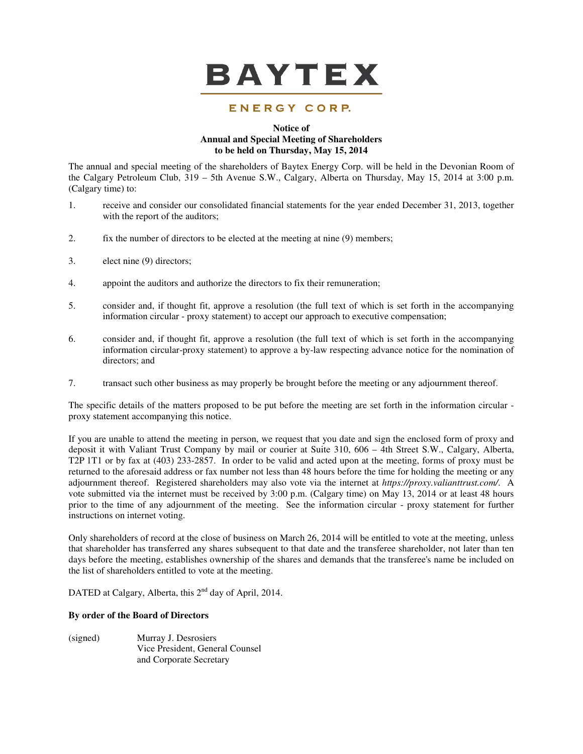

# ENERGY CORP.

# **Notice of Annual and Special Meeting of Shareholders to be held on Thursday, May 15, 2014**

The annual and special meeting of the shareholders of Baytex Energy Corp. will be held in the Devonian Room of the Calgary Petroleum Club, 319 – 5th Avenue S.W., Calgary, Alberta on Thursday, May 15, 2014 at 3:00 p.m. (Calgary time) to:

- 1. receive and consider our consolidated financial statements for the year ended December 31, 2013, together with the report of the auditors;
- 2. fix the number of directors to be elected at the meeting at nine (9) members;
- 3. elect nine (9) directors;
- 4. appoint the auditors and authorize the directors to fix their remuneration;
- 5. consider and, if thought fit, approve a resolution (the full text of which is set forth in the accompanying information circular - proxy statement) to accept our approach to executive compensation;
- 6. consider and, if thought fit, approve a resolution (the full text of which is set forth in the accompanying information circular-proxy statement) to approve a by-law respecting advance notice for the nomination of directors; and
- 7. transact such other business as may properly be brought before the meeting or any adjournment thereof.

The specific details of the matters proposed to be put before the meeting are set forth in the information circular proxy statement accompanying this notice.

If you are unable to attend the meeting in person, we request that you date and sign the enclosed form of proxy and deposit it with Valiant Trust Company by mail or courier at Suite 310, 606 – 4th Street S.W., Calgary, Alberta, T2P 1T1 or by fax at (403) 233-2857. In order to be valid and acted upon at the meeting, forms of proxy must be returned to the aforesaid address or fax number not less than 48 hours before the time for holding the meeting or any adjournment thereof. Registered shareholders may also vote via the internet at *https://proxy.valianttrust.com/*. A vote submitted via the internet must be received by 3:00 p.m. (Calgary time) on May 13, 2014 or at least 48 hours prior to the time of any adjournment of the meeting. See the information circular - proxy statement for further instructions on internet voting.

Only shareholders of record at the close of business on March 26, 2014 will be entitled to vote at the meeting, unless that shareholder has transferred any shares subsequent to that date and the transferee shareholder, not later than ten days before the meeting, establishes ownership of the shares and demands that the transferee's name be included on the list of shareholders entitled to vote at the meeting.

DATED at Calgary, Alberta, this 2<sup>nd</sup> day of April, 2014.

# **By order of the Board of Directors**

| (signed) | Murray J. Desrosiers            |
|----------|---------------------------------|
|          | Vice President, General Counsel |
|          | and Corporate Secretary         |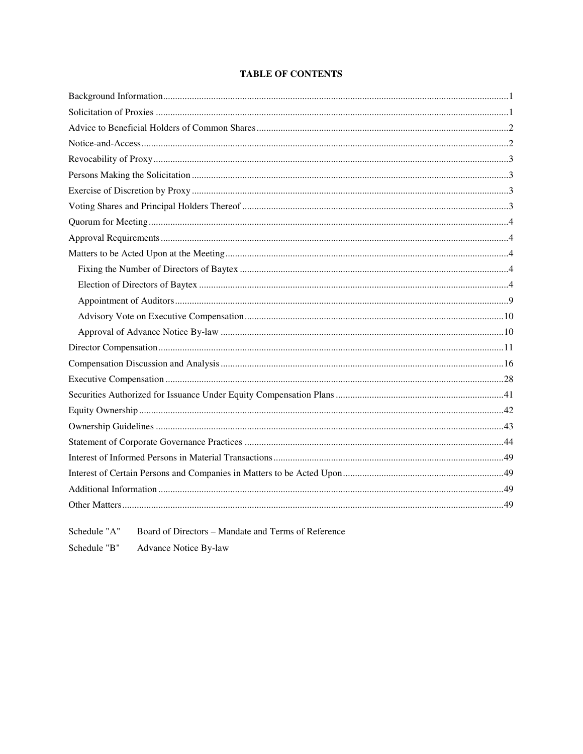# **TABLE OF CONTENTS**

Board of Directors - Mandate and Terms of Reference Schedule "A"

Schedule "B" Advance Notice By-law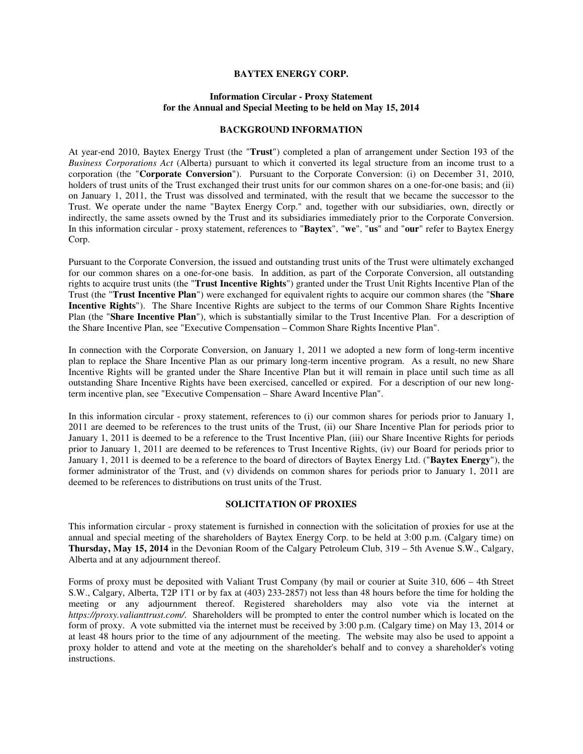# **BAYTEX ENERGY CORP.**

# **Information Circular - Proxy Statement for the Annual and Special Meeting to be held on May 15, 2014**

# **BACKGROUND INFORMATION**

At year-end 2010, Baytex Energy Trust (the "**Trust**") completed a plan of arrangement under Section 193 of the *Business Corporations Act* (Alberta) pursuant to which it converted its legal structure from an income trust to a corporation (the "**Corporate Conversion**"). Pursuant to the Corporate Conversion: (i) on December 31, 2010, holders of trust units of the Trust exchanged their trust units for our common shares on a one-for-one basis; and (ii) on January 1, 2011, the Trust was dissolved and terminated, with the result that we became the successor to the Trust. We operate under the name "Baytex Energy Corp." and, together with our subsidiaries, own, directly or indirectly, the same assets owned by the Trust and its subsidiaries immediately prior to the Corporate Conversion. In this information circular - proxy statement, references to "**Baytex**", "**we**", "**us**" and "**our**" refer to Baytex Energy Corp.

Pursuant to the Corporate Conversion, the issued and outstanding trust units of the Trust were ultimately exchanged for our common shares on a one-for-one basis. In addition, as part of the Corporate Conversion, all outstanding rights to acquire trust units (the "**Trust Incentive Rights**") granted under the Trust Unit Rights Incentive Plan of the Trust (the "**Trust Incentive Plan**") were exchanged for equivalent rights to acquire our common shares (the "**Share Incentive Rights**"). The Share Incentive Rights are subject to the terms of our Common Share Rights Incentive Plan (the "**Share Incentive Plan**"), which is substantially similar to the Trust Incentive Plan. For a description of the Share Incentive Plan, see "Executive Compensation – Common Share Rights Incentive Plan".

In connection with the Corporate Conversion, on January 1, 2011 we adopted a new form of long-term incentive plan to replace the Share Incentive Plan as our primary long-term incentive program. As a result, no new Share Incentive Rights will be granted under the Share Incentive Plan but it will remain in place until such time as all outstanding Share Incentive Rights have been exercised, cancelled or expired. For a description of our new longterm incentive plan, see "Executive Compensation – Share Award Incentive Plan".

In this information circular - proxy statement, references to (i) our common shares for periods prior to January 1, 2011 are deemed to be references to the trust units of the Trust, (ii) our Share Incentive Plan for periods prior to January 1, 2011 is deemed to be a reference to the Trust Incentive Plan, (iii) our Share Incentive Rights for periods prior to January 1, 2011 are deemed to be references to Trust Incentive Rights, (iv) our Board for periods prior to January 1, 2011 is deemed to be a reference to the board of directors of Baytex Energy Ltd. ("**Baytex Energy**"), the former administrator of the Trust, and (v) dividends on common shares for periods prior to January 1, 2011 are deemed to be references to distributions on trust units of the Trust.

#### **SOLICITATION OF PROXIES**

This information circular - proxy statement is furnished in connection with the solicitation of proxies for use at the annual and special meeting of the shareholders of Baytex Energy Corp. to be held at 3:00 p.m. (Calgary time) on **Thursday, May 15, 2014** in the Devonian Room of the Calgary Petroleum Club, 319 – 5th Avenue S.W., Calgary, Alberta and at any adjournment thereof.

Forms of proxy must be deposited with Valiant Trust Company (by mail or courier at Suite 310, 606 – 4th Street S.W., Calgary, Alberta, T2P 1T1 or by fax at (403) 233-2857) not less than 48 hours before the time for holding the meeting or any adjournment thereof. Registered shareholders may also vote via the internet at *https://proxy.valianttrust.com/*. Shareholders will be prompted to enter the control number which is located on the form of proxy. A vote submitted via the internet must be received by 3:00 p.m. (Calgary time) on May 13, 2014 or at least 48 hours prior to the time of any adjournment of the meeting. The website may also be used to appoint a proxy holder to attend and vote at the meeting on the shareholder's behalf and to convey a shareholder's voting instructions.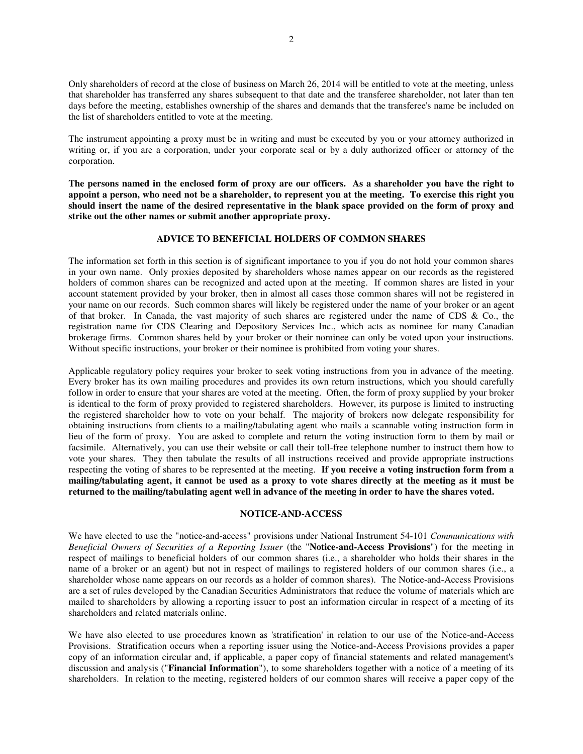Only shareholders of record at the close of business on March 26, 2014 will be entitled to vote at the meeting, unless that shareholder has transferred any shares subsequent to that date and the transferee shareholder, not later than ten days before the meeting, establishes ownership of the shares and demands that the transferee's name be included on the list of shareholders entitled to vote at the meeting.

The instrument appointing a proxy must be in writing and must be executed by you or your attorney authorized in writing or, if you are a corporation, under your corporate seal or by a duly authorized officer or attorney of the corporation.

**The persons named in the enclosed form of proxy are our officers. As a shareholder you have the right to appoint a person, who need not be a shareholder, to represent you at the meeting. To exercise this right you should insert the name of the desired representative in the blank space provided on the form of proxy and strike out the other names or submit another appropriate proxy.** 

# **ADVICE TO BENEFICIAL HOLDERS OF COMMON SHARES**

The information set forth in this section is of significant importance to you if you do not hold your common shares in your own name. Only proxies deposited by shareholders whose names appear on our records as the registered holders of common shares can be recognized and acted upon at the meeting. If common shares are listed in your account statement provided by your broker, then in almost all cases those common shares will not be registered in your name on our records. Such common shares will likely be registered under the name of your broker or an agent of that broker. In Canada, the vast majority of such shares are registered under the name of CDS & Co., the registration name for CDS Clearing and Depository Services Inc., which acts as nominee for many Canadian brokerage firms. Common shares held by your broker or their nominee can only be voted upon your instructions. Without specific instructions, your broker or their nominee is prohibited from voting your shares.

Applicable regulatory policy requires your broker to seek voting instructions from you in advance of the meeting. Every broker has its own mailing procedures and provides its own return instructions, which you should carefully follow in order to ensure that your shares are voted at the meeting. Often, the form of proxy supplied by your broker is identical to the form of proxy provided to registered shareholders. However, its purpose is limited to instructing the registered shareholder how to vote on your behalf. The majority of brokers now delegate responsibility for obtaining instructions from clients to a mailing/tabulating agent who mails a scannable voting instruction form in lieu of the form of proxy. You are asked to complete and return the voting instruction form to them by mail or facsimile. Alternatively, you can use their website or call their toll-free telephone number to instruct them how to vote your shares. They then tabulate the results of all instructions received and provide appropriate instructions respecting the voting of shares to be represented at the meeting. **If you receive a voting instruction form from a mailing/tabulating agent, it cannot be used as a proxy to vote shares directly at the meeting as it must be returned to the mailing/tabulating agent well in advance of the meeting in order to have the shares voted.**

#### **NOTICE-AND-ACCESS**

We have elected to use the "notice-and-access" provisions under National Instrument 54-101 *Communications with Beneficial Owners of Securities of a Reporting Issuer* (the "**Notice-and-Access Provisions**") for the meeting in respect of mailings to beneficial holders of our common shares (i.e., a shareholder who holds their shares in the name of a broker or an agent) but not in respect of mailings to registered holders of our common shares (i.e., a shareholder whose name appears on our records as a holder of common shares). The Notice-and-Access Provisions are a set of rules developed by the Canadian Securities Administrators that reduce the volume of materials which are mailed to shareholders by allowing a reporting issuer to post an information circular in respect of a meeting of its shareholders and related materials online.

We have also elected to use procedures known as 'stratification' in relation to our use of the Notice-and-Access Provisions. Stratification occurs when a reporting issuer using the Notice-and-Access Provisions provides a paper copy of an information circular and, if applicable, a paper copy of financial statements and related management's discussion and analysis ("**Financial Information**"), to some shareholders together with a notice of a meeting of its shareholders. In relation to the meeting, registered holders of our common shares will receive a paper copy of the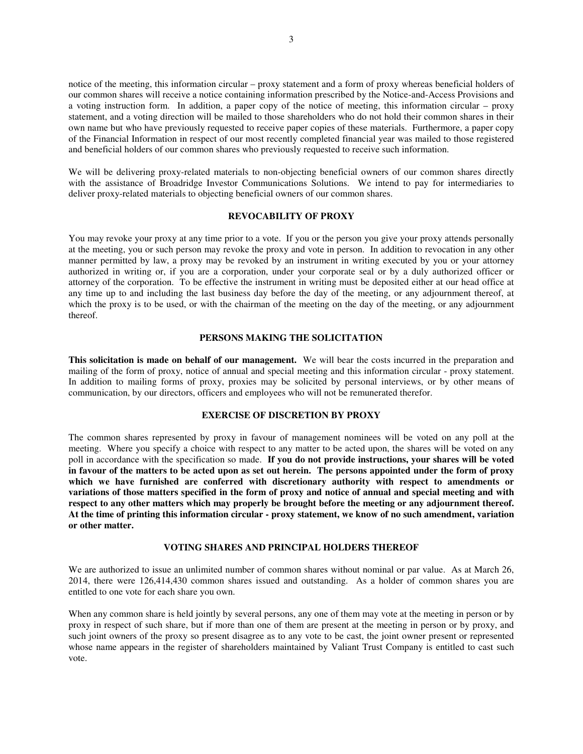notice of the meeting, this information circular – proxy statement and a form of proxy whereas beneficial holders of our common shares will receive a notice containing information prescribed by the Notice-and-Access Provisions and a voting instruction form. In addition, a paper copy of the notice of meeting, this information circular – proxy statement, and a voting direction will be mailed to those shareholders who do not hold their common shares in their own name but who have previously requested to receive paper copies of these materials. Furthermore, a paper copy of the Financial Information in respect of our most recently completed financial year was mailed to those registered and beneficial holders of our common shares who previously requested to receive such information.

We will be delivering proxy-related materials to non-objecting beneficial owners of our common shares directly with the assistance of Broadridge Investor Communications Solutions. We intend to pay for intermediaries to deliver proxy-related materials to objecting beneficial owners of our common shares.

# **REVOCABILITY OF PROXY**

You may revoke your proxy at any time prior to a vote. If you or the person you give your proxy attends personally at the meeting, you or such person may revoke the proxy and vote in person. In addition to revocation in any other manner permitted by law, a proxy may be revoked by an instrument in writing executed by you or your attorney authorized in writing or, if you are a corporation, under your corporate seal or by a duly authorized officer or attorney of the corporation. To be effective the instrument in writing must be deposited either at our head office at any time up to and including the last business day before the day of the meeting, or any adjournment thereof, at which the proxy is to be used, or with the chairman of the meeting on the day of the meeting, or any adjournment thereof.

# **PERSONS MAKING THE SOLICITATION**

**This solicitation is made on behalf of our management.** We will bear the costs incurred in the preparation and mailing of the form of proxy, notice of annual and special meeting and this information circular - proxy statement. In addition to mailing forms of proxy, proxies may be solicited by personal interviews, or by other means of communication, by our directors, officers and employees who will not be remunerated therefor.

# **EXERCISE OF DISCRETION BY PROXY**

The common shares represented by proxy in favour of management nominees will be voted on any poll at the meeting. Where you specify a choice with respect to any matter to be acted upon, the shares will be voted on any poll in accordance with the specification so made. **If you do not provide instructions, your shares will be voted in favour of the matters to be acted upon as set out herein. The persons appointed under the form of proxy which we have furnished are conferred with discretionary authority with respect to amendments or variations of those matters specified in the form of proxy and notice of annual and special meeting and with respect to any other matters which may properly be brought before the meeting or any adjournment thereof. At the time of printing this information circular - proxy statement, we know of no such amendment, variation or other matter.**

# **VOTING SHARES AND PRINCIPAL HOLDERS THEREOF**

We are authorized to issue an unlimited number of common shares without nominal or par value. As at March 26, 2014, there were 126,414,430 common shares issued and outstanding. As a holder of common shares you are entitled to one vote for each share you own.

When any common share is held jointly by several persons, any one of them may vote at the meeting in person or by proxy in respect of such share, but if more than one of them are present at the meeting in person or by proxy, and such joint owners of the proxy so present disagree as to any vote to be cast, the joint owner present or represented whose name appears in the register of shareholders maintained by Valiant Trust Company is entitled to cast such vote.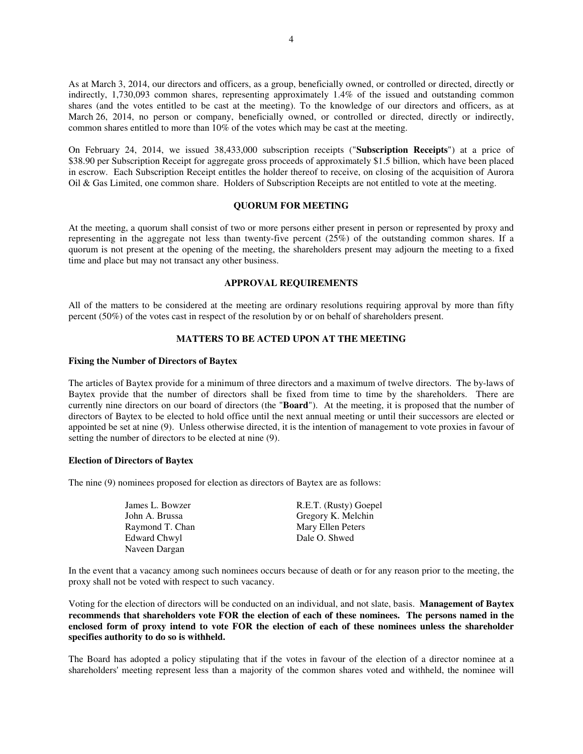As at March 3, 2014, our directors and officers, as a group, beneficially owned, or controlled or directed, directly or indirectly, 1,730,093 common shares, representing approximately 1.4% of the issued and outstanding common shares (and the votes entitled to be cast at the meeting). To the knowledge of our directors and officers, as at March 26, 2014, no person or company, beneficially owned, or controlled or directed, directly or indirectly, common shares entitled to more than 10% of the votes which may be cast at the meeting.

On February 24, 2014, we issued 38,433,000 subscription receipts ("**Subscription Receipts**") at a price of \$38.90 per Subscription Receipt for aggregate gross proceeds of approximately \$1.5 billion, which have been placed in escrow. Each Subscription Receipt entitles the holder thereof to receive, on closing of the acquisition of Aurora Oil & Gas Limited, one common share. Holders of Subscription Receipts are not entitled to vote at the meeting.

# **QUORUM FOR MEETING**

At the meeting, a quorum shall consist of two or more persons either present in person or represented by proxy and representing in the aggregate not less than twenty-five percent (25%) of the outstanding common shares. If a quorum is not present at the opening of the meeting, the shareholders present may adjourn the meeting to a fixed time and place but may not transact any other business.

# **APPROVAL REQUIREMENTS**

All of the matters to be considered at the meeting are ordinary resolutions requiring approval by more than fifty percent (50%) of the votes cast in respect of the resolution by or on behalf of shareholders present.

# **MATTERS TO BE ACTED UPON AT THE MEETING**

# **Fixing the Number of Directors of Baytex**

The articles of Baytex provide for a minimum of three directors and a maximum of twelve directors. The by-laws of Baytex provide that the number of directors shall be fixed from time to time by the shareholders. There are currently nine directors on our board of directors (the "**Board**"). At the meeting, it is proposed that the number of directors of Baytex to be elected to hold office until the next annual meeting or until their successors are elected or appointed be set at nine (9). Unless otherwise directed, it is the intention of management to vote proxies in favour of setting the number of directors to be elected at nine (9).

### **Election of Directors of Baytex**

The nine (9) nominees proposed for election as directors of Baytex are as follows:

| James L. Bowzer     |
|---------------------|
| John A. Brussa      |
| Raymond T. Chan     |
| <b>Edward Chwyl</b> |
| Naveen Dargan       |

R.E.T. (Rusty) Goepel Gregory K. Melchin Mary Ellen Peters Dale O. Shwed

In the event that a vacancy among such nominees occurs because of death or for any reason prior to the meeting, the proxy shall not be voted with respect to such vacancy.

Voting for the election of directors will be conducted on an individual, and not slate, basis. **Management of Baytex recommends that shareholders vote FOR the election of each of these nominees. The persons named in the enclosed form of proxy intend to vote FOR the election of each of these nominees unless the shareholder specifies authority to do so is withheld.** 

The Board has adopted a policy stipulating that if the votes in favour of the election of a director nominee at a shareholders' meeting represent less than a majority of the common shares voted and withheld, the nominee will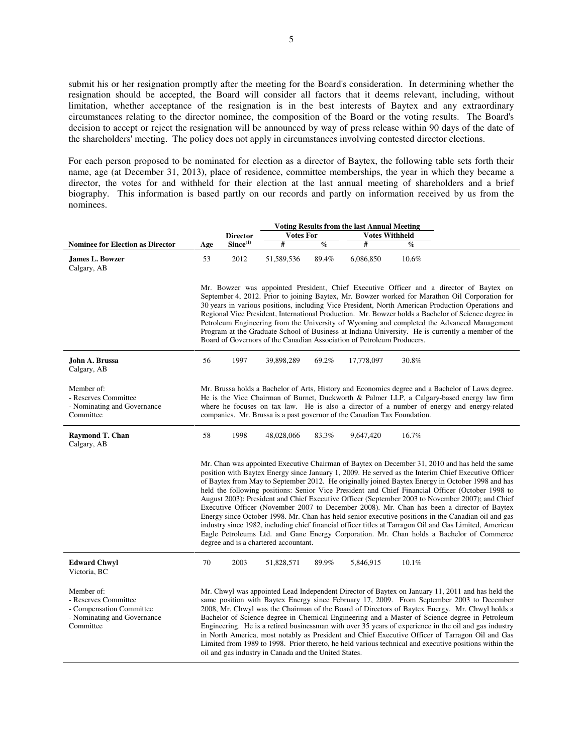submit his or her resignation promptly after the meeting for the Board's consideration. In determining whether the resignation should be accepted, the Board will consider all factors that it deems relevant, including, without limitation, whether acceptance of the resignation is in the best interests of Baytex and any extraordinary circumstances relating to the director nominee, the composition of the Board or the voting results. The Board's decision to accept or reject the resignation will be announced by way of press release within 90 days of the date of the shareholders' meeting. The policy does not apply in circumstances involving contested director elections.

For each person proposed to be nominated for election as a director of Baytex, the following table sets forth their name, age (at December 31, 2013), place of residence, committee memberships, the year in which they became a director, the votes for and withheld for their election at the last annual meeting of shareholders and a brief biography. This information is based partly on our records and partly on information received by us from the nominees.

|                                                                                                            |     | <b>Voting Results from the last Annual Meeting</b> |                                                       |                          |                                                                          |                 |                                                                                                                                                                                                                                                                                                                                                                                                                                                                                                                                                                                                                                                                                                                                                                                                                                                                                                                               |  |
|------------------------------------------------------------------------------------------------------------|-----|----------------------------------------------------|-------------------------------------------------------|--------------------------|--------------------------------------------------------------------------|-----------------|-------------------------------------------------------------------------------------------------------------------------------------------------------------------------------------------------------------------------------------------------------------------------------------------------------------------------------------------------------------------------------------------------------------------------------------------------------------------------------------------------------------------------------------------------------------------------------------------------------------------------------------------------------------------------------------------------------------------------------------------------------------------------------------------------------------------------------------------------------------------------------------------------------------------------------|--|
|                                                                                                            |     | <b>Director</b>                                    | <b>Votes For</b>                                      |                          | <b>Votes Withheld</b>                                                    |                 |                                                                                                                                                                                                                                                                                                                                                                                                                                                                                                                                                                                                                                                                                                                                                                                                                                                                                                                               |  |
| <b>Nominee for Election as Director</b>                                                                    | Age | Since <sup>(1)</sup>                               | #                                                     | $\overline{\mathcal{C}}$ | #                                                                        | $\mathcal{G}_0$ |                                                                                                                                                                                                                                                                                                                                                                                                                                                                                                                                                                                                                                                                                                                                                                                                                                                                                                                               |  |
| James L. Bowzer<br>Calgary, AB                                                                             | 53  | 2012                                               | 51,589,536                                            | 89.4%                    | 6,086,850                                                                | 10.6%           |                                                                                                                                                                                                                                                                                                                                                                                                                                                                                                                                                                                                                                                                                                                                                                                                                                                                                                                               |  |
|                                                                                                            |     |                                                    |                                                       |                          | Board of Governors of the Canadian Association of Petroleum Producers.   |                 | Mr. Bowzer was appointed President, Chief Executive Officer and a director of Baytex on<br>September 4, 2012. Prior to joining Baytex, Mr. Bowzer worked for Marathon Oil Corporation for<br>30 years in various positions, including Vice President, North American Production Operations and<br>Regional Vice President, International Production. Mr. Bowzer holds a Bachelor of Science degree in<br>Petroleum Engineering from the University of Wyoming and completed the Advanced Management<br>Program at the Graduate School of Business at Indiana University. He is currently a member of the                                                                                                                                                                                                                                                                                                                      |  |
| John A. Brussa<br>Calgary, AB                                                                              | 56  | 1997                                               | 39,898,289                                            | 69.2%                    | 17,778,097                                                               | 30.8%           |                                                                                                                                                                                                                                                                                                                                                                                                                                                                                                                                                                                                                                                                                                                                                                                                                                                                                                                               |  |
| Member of:<br>- Reserves Committee<br>- Nominating and Governance<br>Committee                             |     |                                                    |                                                       |                          | companies. Mr. Brussa is a past governor of the Canadian Tax Foundation. |                 | Mr. Brussa holds a Bachelor of Arts, History and Economics degree and a Bachelor of Laws degree.<br>He is the Vice Chairman of Burnet, Duckworth & Palmer LLP, a Calgary-based energy law firm<br>where he focuses on tax law. He is also a director of a number of energy and energy-related                                                                                                                                                                                                                                                                                                                                                                                                                                                                                                                                                                                                                                 |  |
| Raymond T. Chan<br>Calgary, AB                                                                             | 58  | 1998                                               | 48,028,066                                            | 83.3%                    | 9,647,420                                                                | 16.7%           |                                                                                                                                                                                                                                                                                                                                                                                                                                                                                                                                                                                                                                                                                                                                                                                                                                                                                                                               |  |
|                                                                                                            |     |                                                    | degree and is a chartered accountant.                 |                          |                                                                          |                 | Mr. Chan was appointed Executive Chairman of Baytex on December 31, 2010 and has held the same<br>position with Baytex Energy since January 1, 2009. He served as the Interim Chief Executive Officer<br>of Baytex from May to September 2012. He originally joined Baytex Energy in October 1998 and has<br>held the following positions: Senior Vice President and Chief Financial Officer (October 1998 to<br>August 2003); President and Chief Executive Officer (September 2003 to November 2007); and Chief<br>Executive Officer (November 2007 to December 2008). Mr. Chan has been a director of Baytex<br>Energy since October 1998. Mr. Chan has held senior executive positions in the Canadian oil and gas<br>industry since 1982, including chief financial officer titles at Tarragon Oil and Gas Limited, American<br>Eagle Petroleums Ltd. and Gane Energy Corporation. Mr. Chan holds a Bachelor of Commerce |  |
| <b>Edward Chwyl</b><br>Victoria, BC                                                                        | 70  | 2003                                               | 51,828,571                                            | 89.9%                    | 5,846,915                                                                | 10.1%           |                                                                                                                                                                                                                                                                                                                                                                                                                                                                                                                                                                                                                                                                                                                                                                                                                                                                                                                               |  |
| Member of:<br>- Reserves Committee<br>- Compensation Committee<br>- Nominating and Governance<br>Committee |     |                                                    | oil and gas industry in Canada and the United States. |                          |                                                                          |                 | Mr. Chwyl was appointed Lead Independent Director of Baytex on January 11, 2011 and has held the<br>same position with Baytex Energy since February 17, 2009. From September 2003 to December<br>2008, Mr. Chwyl was the Chairman of the Board of Directors of Baytex Energy. Mr. Chwyl holds a<br>Bachelor of Science degree in Chemical Engineering and a Master of Science degree in Petroleum<br>Engineering. He is a retired businessman with over 35 years of experience in the oil and gas industry<br>in North America, most notably as President and Chief Executive Officer of Tarragon Oil and Gas<br>Limited from 1989 to 1998. Prior thereto, he held various technical and executive positions within the                                                                                                                                                                                                       |  |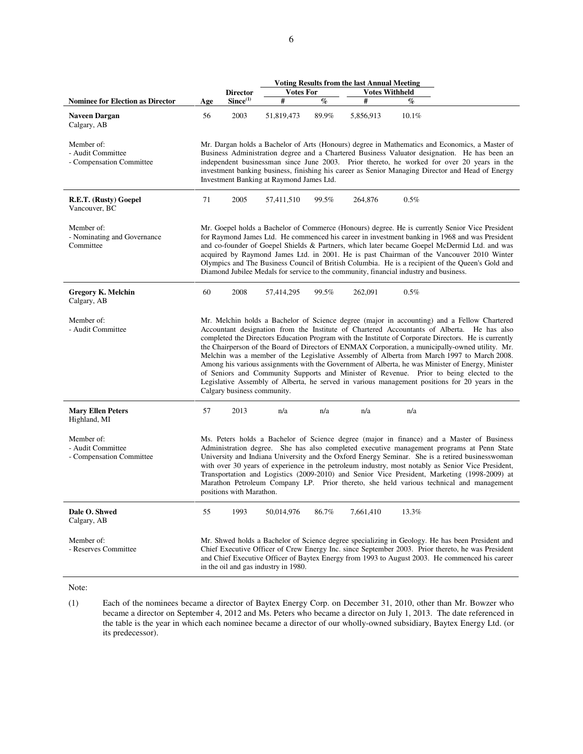|                                                             | <b>Voting Results from the last Annual Meeting</b>                                                                                                                                                                                                                                                                                                                                                                                           |                             |                                      |       |                                                                                       |       |                                                                                                                                                                                                                                                                                                                                                                                                                                                                                                                                                                                                                                                                                                                                                                                                        |  |  |
|-------------------------------------------------------------|----------------------------------------------------------------------------------------------------------------------------------------------------------------------------------------------------------------------------------------------------------------------------------------------------------------------------------------------------------------------------------------------------------------------------------------------|-----------------------------|--------------------------------------|-------|---------------------------------------------------------------------------------------|-------|--------------------------------------------------------------------------------------------------------------------------------------------------------------------------------------------------------------------------------------------------------------------------------------------------------------------------------------------------------------------------------------------------------------------------------------------------------------------------------------------------------------------------------------------------------------------------------------------------------------------------------------------------------------------------------------------------------------------------------------------------------------------------------------------------------|--|--|
|                                                             |                                                                                                                                                                                                                                                                                                                                                                                                                                              | <b>Director</b>             | <b>Votes For</b>                     |       | <b>Votes Withheld</b>                                                                 |       |                                                                                                                                                                                                                                                                                                                                                                                                                                                                                                                                                                                                                                                                                                                                                                                                        |  |  |
| <b>Nominee for Election as Director</b>                     | Age                                                                                                                                                                                                                                                                                                                                                                                                                                          | Since <sup>(1)</sup>        | #                                    | $\%$  | #                                                                                     | $\%$  |                                                                                                                                                                                                                                                                                                                                                                                                                                                                                                                                                                                                                                                                                                                                                                                                        |  |  |
| Naveen Dargan<br>Calgary, AB                                | 56                                                                                                                                                                                                                                                                                                                                                                                                                                           | 2003                        | 51,819,473                           | 89.9% | 5,856,913                                                                             | 10.1% |                                                                                                                                                                                                                                                                                                                                                                                                                                                                                                                                                                                                                                                                                                                                                                                                        |  |  |
| Member of:<br>- Audit Committee<br>- Compensation Committee | Mr. Dargan holds a Bachelor of Arts (Honours) degree in Mathematics and Economics, a Master of<br>Business Administration degree and a Chartered Business Valuator designation. He has been an<br>independent businessman since June 2003. Prior thereto, he worked for over 20 years in the<br>investment banking business, finishing his career as Senior Managing Director and Head of Energy<br>Investment Banking at Raymond James Ltd. |                             |                                      |       |                                                                                       |       |                                                                                                                                                                                                                                                                                                                                                                                                                                                                                                                                                                                                                                                                                                                                                                                                        |  |  |
| R.E.T. (Rusty) Goepel<br>Vancouver, BC                      | 71                                                                                                                                                                                                                                                                                                                                                                                                                                           | 2005                        | 57,411,510                           | 99.5% | 264,876                                                                               | 0.5%  |                                                                                                                                                                                                                                                                                                                                                                                                                                                                                                                                                                                                                                                                                                                                                                                                        |  |  |
| Member of:<br>- Nominating and Governance<br>Committee      |                                                                                                                                                                                                                                                                                                                                                                                                                                              |                             |                                      |       | Diamond Jubilee Medals for service to the community, financial industry and business. |       | Mr. Goepel holds a Bachelor of Commerce (Honours) degree. He is currently Senior Vice President<br>for Raymond James Ltd. He commenced his career in investment banking in 1968 and was President<br>and co-founder of Goepel Shields & Partners, which later became Goepel McDermid Ltd. and was<br>acquired by Raymond James Ltd. in 2001. He is past Chairman of the Vancouver 2010 Winter<br>Olympics and The Business Council of British Columbia. He is a recipient of the Queen's Gold and                                                                                                                                                                                                                                                                                                      |  |  |
| <b>Gregory K. Melchin</b><br>Calgary, AB                    | 60                                                                                                                                                                                                                                                                                                                                                                                                                                           | 2008                        | 57,414,295                           | 99.5% | 262,091                                                                               | 0.5%  |                                                                                                                                                                                                                                                                                                                                                                                                                                                                                                                                                                                                                                                                                                                                                                                                        |  |  |
| Member of:<br>- Audit Committee                             |                                                                                                                                                                                                                                                                                                                                                                                                                                              | Calgary business community. |                                      |       |                                                                                       |       | Mr. Melchin holds a Bachelor of Science degree (major in accounting) and a Fellow Chartered<br>Accountant designation from the Institute of Chartered Accountants of Alberta. He has also<br>completed the Directors Education Program with the Institute of Corporate Directors. He is currently<br>the Chairperson of the Board of Directors of ENMAX Corporation, a municipally-owned utility. Mr.<br>Melchin was a member of the Legislative Assembly of Alberta from March 1997 to March 2008.<br>Among his various assignments with the Government of Alberta, he was Minister of Energy, Minister<br>of Seniors and Community Supports and Minister of Revenue. Prior to being elected to the<br>Legislative Assembly of Alberta, he served in various management positions for 20 years in the |  |  |
| <b>Mary Ellen Peters</b><br>Highland, MI                    | 57                                                                                                                                                                                                                                                                                                                                                                                                                                           | 2013                        | n/a                                  | n/a   | n/a                                                                                   | n/a   |                                                                                                                                                                                                                                                                                                                                                                                                                                                                                                                                                                                                                                                                                                                                                                                                        |  |  |
| Member of:<br>- Audit Committee<br>- Compensation Committee |                                                                                                                                                                                                                                                                                                                                                                                                                                              | positions with Marathon.    |                                      |       |                                                                                       |       | Ms. Peters holds a Bachelor of Science degree (major in finance) and a Master of Business<br>Administration degree. She has also completed executive management programs at Penn State<br>University and Indiana University and the Oxford Energy Seminar. She is a retired businesswoman<br>with over 30 years of experience in the petroleum industry, most notably as Senior Vice President,<br>Transportation and Logistics (2009-2010) and Senior Vice President, Marketing (1998-2009) at<br>Marathon Petroleum Company LP. Prior thereto, she held various technical and management                                                                                                                                                                                                             |  |  |
| Dale O. Shwed<br>Calgary, AB                                | 55                                                                                                                                                                                                                                                                                                                                                                                                                                           | 1993                        | 50,014,976                           | 86.7% | 7,661,410                                                                             | 13.3% |                                                                                                                                                                                                                                                                                                                                                                                                                                                                                                                                                                                                                                                                                                                                                                                                        |  |  |
| Member of:<br>- Reserves Committee                          |                                                                                                                                                                                                                                                                                                                                                                                                                                              |                             | in the oil and gas industry in 1980. |       |                                                                                       |       | Mr. Shwed holds a Bachelor of Science degree specializing in Geology. He has been President and<br>Chief Executive Officer of Crew Energy Inc. since September 2003. Prior thereto, he was President<br>and Chief Executive Officer of Baytex Energy from 1993 to August 2003. He commenced his career                                                                                                                                                                                                                                                                                                                                                                                                                                                                                                 |  |  |

Note:

(1) Each of the nominees became a director of Baytex Energy Corp. on December 31, 2010, other than Mr. Bowzer who became a director on September 4, 2012 and Ms. Peters who became a director on July 1, 2013. The date referenced in the table is the year in which each nominee became a director of our wholly-owned subsidiary, Baytex Energy Ltd. (or its predecessor).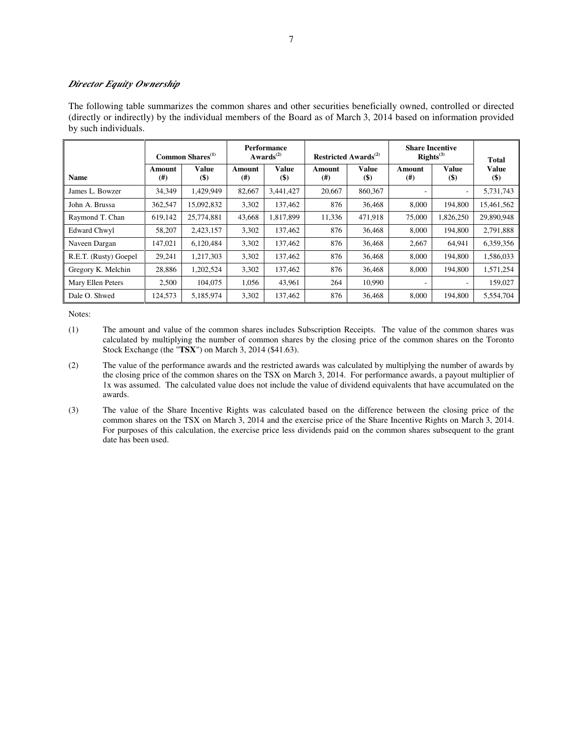# *Director Equity Ownership*

The following table summarizes the common shares and other securities beneficially owned, controlled or directed (directly or indirectly) by the individual members of the Board as of March 3, 2014 based on information provided by such individuals.

|                       |                    | Common Shares <sup>(1)</sup> | <b>Performance</b><br>Awards $^{(2)}$ |                                             | Restricted Awards <sup>(2)</sup> |                             | <b>Share Incentive</b><br>$\mathbf{RightS}^{(3)}$ | <b>Total</b>             |                        |
|-----------------------|--------------------|------------------------------|---------------------------------------|---------------------------------------------|----------------------------------|-----------------------------|---------------------------------------------------|--------------------------|------------------------|
| <b>Name</b>           | Amount<br>$^{(#)}$ | Value<br>$(\$)$              | Amount<br>$^{(#)}$                    | <b>Value</b><br>$\left( \mathsf{S} \right)$ | Amount<br>$^{(#)}$               | <b>Value</b><br><b>(\$)</b> | Amount<br>(# )                                    | Value<br>$($ \$)         | <b>Value</b><br>$(\$)$ |
| James L. Bowzer       | 34,349             | 1,429,949                    | 82,667                                | 3,441,427                                   | 20,667                           | 860,367                     | ٠                                                 | $\overline{\phantom{a}}$ | 5,731,743              |
| John A. Brussa        | 362,547            | 15,092,832                   | 3,302                                 | 137,462                                     | 876                              | 36,468                      | 8,000                                             | 194.800                  | 15,461,562             |
| Raymond T. Chan       | 619,142            | 25,774,881                   | 43,668                                | 1,817,899                                   | 11,336                           | 471,918                     | 75,000                                            | 1,826,250                | 29,890,948             |
| <b>Edward Chwyl</b>   | 58,207             | 2,423,157                    | 3,302                                 | 137,462                                     | 876                              | 36,468                      | 8,000                                             | 194.800                  | 2,791,888              |
| Naveen Dargan         | 147,021            | 6,120,484                    | 3,302                                 | 137,462                                     | 876                              | 36,468                      | 2.667                                             | 64,941                   | 6,359,356              |
| R.E.T. (Rusty) Goepel | 29,241             | 1,217,303                    | 3,302                                 | 137,462                                     | 876                              | 36,468                      | 8,000                                             | 194,800                  | 1,586,033              |
| Gregory K. Melchin    | 28,886             | 1,202,524                    | 3,302                                 | 137,462                                     | 876                              | 36,468                      | 8.000                                             | 194.800                  | 1,571,254              |
| Mary Ellen Peters     | 2,500              | 104,075                      | 1,056                                 | 43,961                                      | 264                              | 10,990                      | ٠                                                 | $\overline{\phantom{a}}$ | 159,027                |
| Dale O. Shwed         | 124,573            | 5,185,974                    | 3,302                                 | 137,462                                     | 876                              | 36,468                      | 8.000                                             | 194.800                  | 5,554,704              |

- (1) The amount and value of the common shares includes Subscription Receipts. The value of the common shares was calculated by multiplying the number of common shares by the closing price of the common shares on the Toronto Stock Exchange (the "**TSX**") on March 3, 2014 (\$41.63).
- (2) The value of the performance awards and the restricted awards was calculated by multiplying the number of awards by the closing price of the common shares on the TSX on March 3, 2014. For performance awards, a payout multiplier of 1x was assumed. The calculated value does not include the value of dividend equivalents that have accumulated on the awards.
- (3) The value of the Share Incentive Rights was calculated based on the difference between the closing price of the common shares on the TSX on March 3, 2014 and the exercise price of the Share Incentive Rights on March 3, 2014. For purposes of this calculation, the exercise price less dividends paid on the common shares subsequent to the grant date has been used.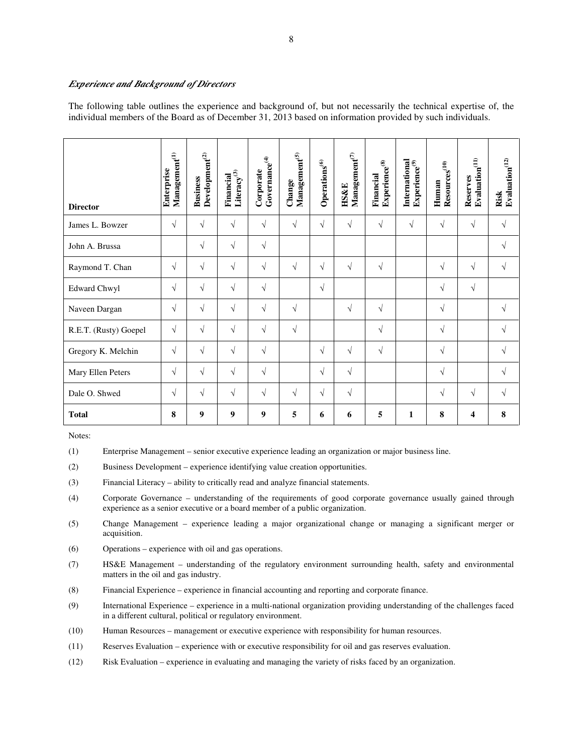# *Experience and Background of Directors*

The following table outlines the experience and background of, but not necessarily the technical expertise of, the individual members of the Board as of December 31, 2013 based on information provided by such individuals.

| <b>Director</b>       | $\mathbf{M}$ anagement $^{(1)}$<br>Enterprise | Development <sup>(2)</sup><br><b>Business</b> | Literacy $^{\scriptscriptstyle{(3)}}$<br>Financial | $Govername{name}^{(4)}$<br>Corporate | $\mathbf{M}$ anagement $^{(5)}$<br>Change | Operations <sup>(6)</sup> | $\mathbf{Mana} \mathbf{gement}^{(7)}$<br><b>HS&amp;E</b> | Experience <sup>(8)</sup><br>Financial | International<br>Experience $^{(9)}$ | ${\bf Resources}^{(10)}$<br>Human | Evaluation <sup>(11)</sup><br>Reserves | Evaluation $^{(12)}$<br>Risk |
|-----------------------|-----------------------------------------------|-----------------------------------------------|----------------------------------------------------|--------------------------------------|-------------------------------------------|---------------------------|----------------------------------------------------------|----------------------------------------|--------------------------------------|-----------------------------------|----------------------------------------|------------------------------|
| James L. Bowzer       | $\sqrt{ }$                                    | $\sqrt{}$                                     | $\sqrt{ }$                                         | $\sqrt{ }$                           | $\sqrt{ }$                                | $\sqrt{}$                 | $\sqrt{}$                                                | $\sqrt{}$                              | $\sqrt{ }$                           | $\sqrt{}$                         | $\sqrt{}$                              | $\sqrt{}$                    |
| John A. Brussa        |                                               | $\sqrt{}$                                     | $\sqrt{ }$                                         | $\sqrt{ }$                           |                                           |                           |                                                          |                                        |                                      |                                   |                                        | $\sqrt{}$                    |
| Raymond T. Chan       | $\sqrt{ }$                                    | $\sqrt{}$                                     | $\sqrt{}$                                          | $\sqrt{ }$                           | $\sqrt{ }$                                | $\sqrt{}$                 | $\sqrt{}$                                                | $\sqrt{}$                              |                                      | $\sqrt{}$                         | $\sqrt{}$                              | $\sqrt{}$                    |
| <b>Edward Chwyl</b>   | $\sqrt{}$                                     | $\sqrt{}$                                     | $\sqrt{}$                                          | $\sqrt{ }$                           |                                           | $\sqrt{}$                 |                                                          |                                        |                                      | $\sqrt{}$                         | $\sqrt{}$                              |                              |
| Naveen Dargan         | $\sqrt{ }$                                    | $\sqrt{}$                                     | $\sqrt{}$                                          | $\sqrt{ }$                           | $\sqrt{}$                                 |                           | $\sqrt{}$                                                | $\sqrt{}$                              |                                      | √                                 |                                        | $\sqrt{}$                    |
| R.E.T. (Rusty) Goepel | $\sqrt{ }$                                    | $\sqrt{}$                                     | $\sqrt{ }$                                         | $\sqrt{ }$                           | $\sqrt{ }$                                |                           |                                                          | $\sqrt{}$                              |                                      | $\sqrt{}$                         |                                        | $\sqrt{}$                    |
| Gregory K. Melchin    | $\sqrt{ }$                                    | $\sqrt{}$                                     | $\sqrt{ }$                                         | $\sqrt{ }$                           |                                           | $\sqrt{}$                 | $\sqrt{}$                                                | $\sqrt{}$                              |                                      | $\sqrt{}$                         |                                        | $\sqrt{}$                    |
| Mary Ellen Peters     | $\sqrt{ }$                                    | $\sqrt{}$                                     | $\sqrt{}$                                          | $\sqrt{ }$                           |                                           | $\sqrt{}$                 | $\sqrt{}$                                                |                                        |                                      | $\sqrt{}$                         |                                        | $\sqrt{}$                    |
| Dale O. Shwed         | $\sqrt{ }$                                    | $\sqrt{}$                                     | $\sqrt{ }$                                         | $\sqrt{ }$                           | $\sqrt{ }$                                | $\sqrt{}$                 | $\sqrt{}$                                                |                                        |                                      | $\sqrt{}$                         | $\sqrt{}$                              | $\sqrt{}$                    |
| <b>Total</b>          | 8                                             | 9                                             | $\boldsymbol{9}$                                   | $\boldsymbol{9}$                     | 5                                         | 6                         | 6                                                        | 5                                      | 1                                    | 8                                 | 4                                      | 8                            |

- (1) Enterprise Management senior executive experience leading an organization or major business line.
- (2) Business Development experience identifying value creation opportunities.
- (3) Financial Literacy ability to critically read and analyze financial statements.
- (4) Corporate Governance understanding of the requirements of good corporate governance usually gained through experience as a senior executive or a board member of a public organization.
- (5) Change Management experience leading a major organizational change or managing a significant merger or acquisition.
- (6) Operations experience with oil and gas operations.
- (7) HS&E Management understanding of the regulatory environment surrounding health, safety and environmental matters in the oil and gas industry.
- (8) Financial Experience experience in financial accounting and reporting and corporate finance.
- (9) International Experience experience in a multi-national organization providing understanding of the challenges faced in a different cultural, political or regulatory environment.
- (10) Human Resources management or executive experience with responsibility for human resources.
- (11) Reserves Evaluation experience with or executive responsibility for oil and gas reserves evaluation.
- (12) Risk Evaluation experience in evaluating and managing the variety of risks faced by an organization.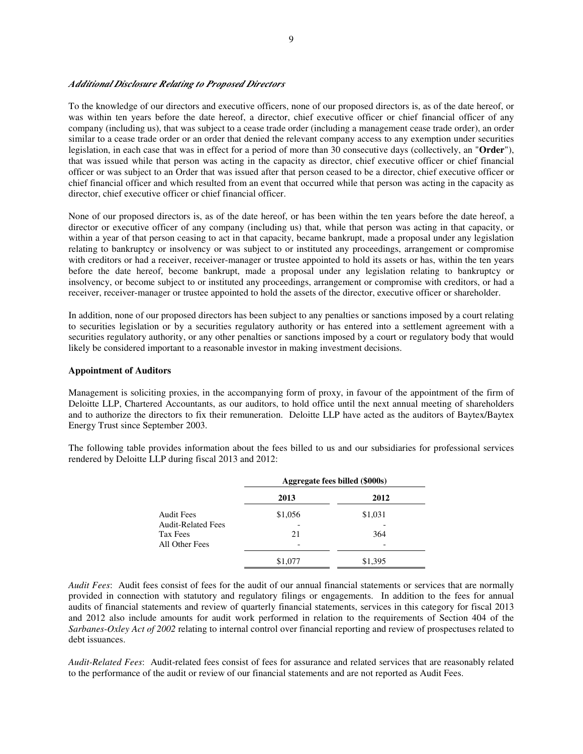#### *Additional Disclosure Relating to Proposed Directors*

To the knowledge of our directors and executive officers, none of our proposed directors is, as of the date hereof, or was within ten years before the date hereof, a director, chief executive officer or chief financial officer of any company (including us), that was subject to a cease trade order (including a management cease trade order), an order similar to a cease trade order or an order that denied the relevant company access to any exemption under securities legislation, in each case that was in effect for a period of more than 30 consecutive days (collectively, an "**Order**"), that was issued while that person was acting in the capacity as director, chief executive officer or chief financial officer or was subject to an Order that was issued after that person ceased to be a director, chief executive officer or chief financial officer and which resulted from an event that occurred while that person was acting in the capacity as director, chief executive officer or chief financial officer.

None of our proposed directors is, as of the date hereof, or has been within the ten years before the date hereof, a director or executive officer of any company (including us) that, while that person was acting in that capacity, or within a year of that person ceasing to act in that capacity, became bankrupt, made a proposal under any legislation relating to bankruptcy or insolvency or was subject to or instituted any proceedings, arrangement or compromise with creditors or had a receiver, receiver-manager or trustee appointed to hold its assets or has, within the ten years before the date hereof, become bankrupt, made a proposal under any legislation relating to bankruptcy or insolvency, or become subject to or instituted any proceedings, arrangement or compromise with creditors, or had a receiver, receiver-manager or trustee appointed to hold the assets of the director, executive officer or shareholder.

In addition, none of our proposed directors has been subject to any penalties or sanctions imposed by a court relating to securities legislation or by a securities regulatory authority or has entered into a settlement agreement with a securities regulatory authority, or any other penalties or sanctions imposed by a court or regulatory body that would likely be considered important to a reasonable investor in making investment decisions.

#### **Appointment of Auditors**

Management is soliciting proxies, in the accompanying form of proxy, in favour of the appointment of the firm of Deloitte LLP, Chartered Accountants, as our auditors, to hold office until the next annual meeting of shareholders and to authorize the directors to fix their remuneration. Deloitte LLP have acted as the auditors of Baytex/Baytex Energy Trust since September 2003.

The following table provides information about the fees billed to us and our subsidiaries for professional services rendered by Deloitte LLP during fiscal 2013 and 2012:

|                           |         | Aggregate fees billed (\$000s) |
|---------------------------|---------|--------------------------------|
|                           | 2013    | 2012                           |
| Audit Fees                | \$1,056 | \$1,031                        |
| <b>Audit-Related Fees</b> |         |                                |
| Tax Fees                  | 21      | 364                            |
| All Other Fees            |         |                                |
|                           | \$1,077 | \$1,395                        |

*Audit Fees*: Audit fees consist of fees for the audit of our annual financial statements or services that are normally provided in connection with statutory and regulatory filings or engagements. In addition to the fees for annual audits of financial statements and review of quarterly financial statements, services in this category for fiscal 2013 and 2012 also include amounts for audit work performed in relation to the requirements of Section 404 of the *Sarbanes-Oxley Act of 2002* relating to internal control over financial reporting and review of prospectuses related to debt issuances.

*Audit-Related Fees*: Audit-related fees consist of fees for assurance and related services that are reasonably related to the performance of the audit or review of our financial statements and are not reported as Audit Fees.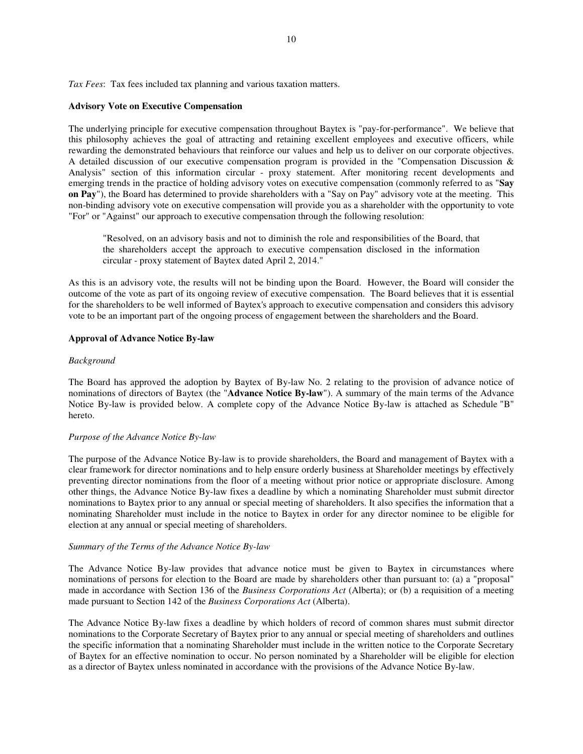*Tax Fees*: Tax fees included tax planning and various taxation matters.

# **Advisory Vote on Executive Compensation**

The underlying principle for executive compensation throughout Baytex is "pay-for-performance". We believe that this philosophy achieves the goal of attracting and retaining excellent employees and executive officers, while rewarding the demonstrated behaviours that reinforce our values and help us to deliver on our corporate objectives. A detailed discussion of our executive compensation program is provided in the "Compensation Discussion & Analysis" section of this information circular - proxy statement. After monitoring recent developments and emerging trends in the practice of holding advisory votes on executive compensation (commonly referred to as "**Say on Pay**"), the Board has determined to provide shareholders with a "Say on Pay" advisory vote at the meeting. This non-binding advisory vote on executive compensation will provide you as a shareholder with the opportunity to vote "For" or "Against" our approach to executive compensation through the following resolution:

"Resolved, on an advisory basis and not to diminish the role and responsibilities of the Board, that the shareholders accept the approach to executive compensation disclosed in the information circular - proxy statement of Baytex dated April 2, 2014."

As this is an advisory vote, the results will not be binding upon the Board. However, the Board will consider the outcome of the vote as part of its ongoing review of executive compensation. The Board believes that it is essential for the shareholders to be well informed of Baytex's approach to executive compensation and considers this advisory vote to be an important part of the ongoing process of engagement between the shareholders and the Board.

# **Approval of Advance Notice By-law**

# *Background*

The Board has approved the adoption by Baytex of By-law No. 2 relating to the provision of advance notice of nominations of directors of Baytex (the "**Advance Notice By-law**"). A summary of the main terms of the Advance Notice By-law is provided below. A complete copy of the Advance Notice By-law is attached as Schedule "B" hereto.

# *Purpose of the Advance Notice By-law*

The purpose of the Advance Notice By-law is to provide shareholders, the Board and management of Baytex with a clear framework for director nominations and to help ensure orderly business at Shareholder meetings by effectively preventing director nominations from the floor of a meeting without prior notice or appropriate disclosure. Among other things, the Advance Notice By-law fixes a deadline by which a nominating Shareholder must submit director nominations to Baytex prior to any annual or special meeting of shareholders. It also specifies the information that a nominating Shareholder must include in the notice to Baytex in order for any director nominee to be eligible for election at any annual or special meeting of shareholders.

# *Summary of the Terms of the Advance Notice By-law*

The Advance Notice By-law provides that advance notice must be given to Baytex in circumstances where nominations of persons for election to the Board are made by shareholders other than pursuant to: (a) a "proposal" made in accordance with Section 136 of the *Business Corporations Act* (Alberta); or (b) a requisition of a meeting made pursuant to Section 142 of the *Business Corporations Act* (Alberta).

The Advance Notice By-law fixes a deadline by which holders of record of common shares must submit director nominations to the Corporate Secretary of Baytex prior to any annual or special meeting of shareholders and outlines the specific information that a nominating Shareholder must include in the written notice to the Corporate Secretary of Baytex for an effective nomination to occur. No person nominated by a Shareholder will be eligible for election as a director of Baytex unless nominated in accordance with the provisions of the Advance Notice By-law.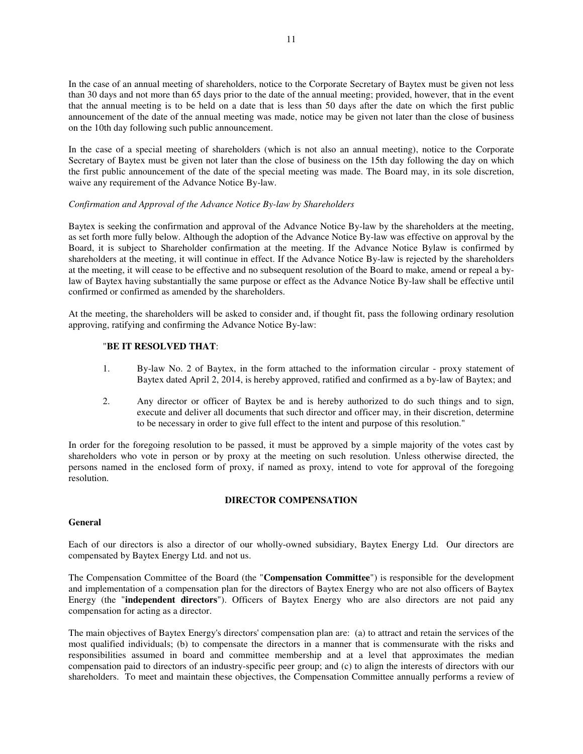In the case of an annual meeting of shareholders, notice to the Corporate Secretary of Baytex must be given not less than 30 days and not more than 65 days prior to the date of the annual meeting; provided, however, that in the event that the annual meeting is to be held on a date that is less than 50 days after the date on which the first public announcement of the date of the annual meeting was made, notice may be given not later than the close of business on the 10th day following such public announcement.

In the case of a special meeting of shareholders (which is not also an annual meeting), notice to the Corporate Secretary of Baytex must be given not later than the close of business on the 15th day following the day on which the first public announcement of the date of the special meeting was made. The Board may, in its sole discretion, waive any requirement of the Advance Notice By-law.

# *Confirmation and Approval of the Advance Notice By-law by Shareholders*

Baytex is seeking the confirmation and approval of the Advance Notice By-law by the shareholders at the meeting, as set forth more fully below. Although the adoption of the Advance Notice By-law was effective on approval by the Board, it is subject to Shareholder confirmation at the meeting. If the Advance Notice Bylaw is confirmed by shareholders at the meeting, it will continue in effect. If the Advance Notice By-law is rejected by the shareholders at the meeting, it will cease to be effective and no subsequent resolution of the Board to make, amend or repeal a bylaw of Baytex having substantially the same purpose or effect as the Advance Notice By-law shall be effective until confirmed or confirmed as amended by the shareholders.

At the meeting, the shareholders will be asked to consider and, if thought fit, pass the following ordinary resolution approving, ratifying and confirming the Advance Notice By-law:

# "**BE IT RESOLVED THAT**:

- 1. By-law No. 2 of Baytex, in the form attached to the information circular proxy statement of Baytex dated April 2, 2014, is hereby approved, ratified and confirmed as a by-law of Baytex; and
- 2. Any director or officer of Baytex be and is hereby authorized to do such things and to sign, execute and deliver all documents that such director and officer may, in their discretion, determine to be necessary in order to give full effect to the intent and purpose of this resolution."

In order for the foregoing resolution to be passed, it must be approved by a simple majority of the votes cast by shareholders who vote in person or by proxy at the meeting on such resolution. Unless otherwise directed, the persons named in the enclosed form of proxy, if named as proxy, intend to vote for approval of the foregoing resolution.

# **DIRECTOR COMPENSATION**

# **General**

Each of our directors is also a director of our wholly-owned subsidiary, Baytex Energy Ltd. Our directors are compensated by Baytex Energy Ltd. and not us.

The Compensation Committee of the Board (the "**Compensation Committee**") is responsible for the development and implementation of a compensation plan for the directors of Baytex Energy who are not also officers of Baytex Energy (the "**independent directors**"). Officers of Baytex Energy who are also directors are not paid any compensation for acting as a director.

The main objectives of Baytex Energy's directors' compensation plan are: (a) to attract and retain the services of the most qualified individuals; (b) to compensate the directors in a manner that is commensurate with the risks and responsibilities assumed in board and committee membership and at a level that approximates the median compensation paid to directors of an industry-specific peer group; and (c) to align the interests of directors with our shareholders. To meet and maintain these objectives, the Compensation Committee annually performs a review of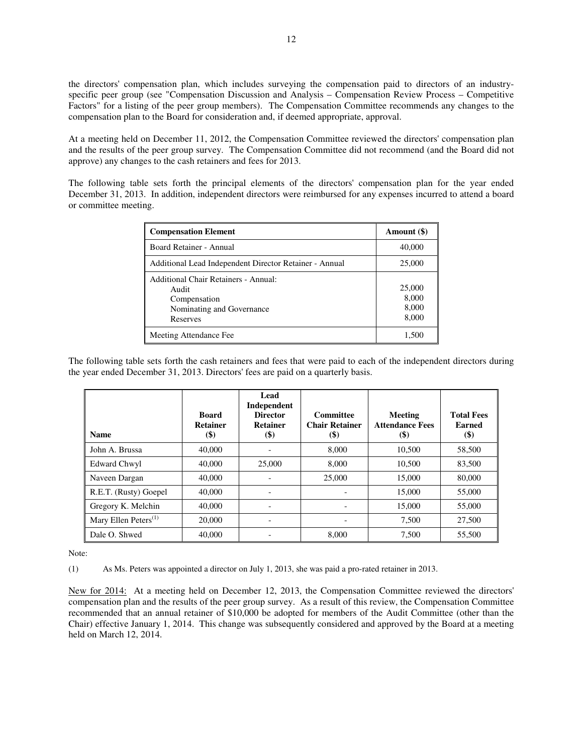the directors' compensation plan, which includes surveying the compensation paid to directors of an industryspecific peer group (see "Compensation Discussion and Analysis – Compensation Review Process – Competitive Factors" for a listing of the peer group members). The Compensation Committee recommends any changes to the compensation plan to the Board for consideration and, if deemed appropriate, approval.

At a meeting held on December 11, 2012, the Compensation Committee reviewed the directors' compensation plan and the results of the peer group survey. The Compensation Committee did not recommend (and the Board did not approve) any changes to the cash retainers and fees for 2013.

The following table sets forth the principal elements of the directors' compensation plan for the year ended December 31, 2013. In addition, independent directors were reimbursed for any expenses incurred to attend a board or committee meeting.

| <b>Compensation Element</b>                                                                            | Amount (\$)                       |
|--------------------------------------------------------------------------------------------------------|-----------------------------------|
| Board Retainer - Annual                                                                                | 40,000                            |
| Additional Lead Independent Director Retainer - Annual                                                 | 25,000                            |
| Additional Chair Retainers - Annual:<br>Audit<br>Compensation<br>Nominating and Governance<br>Reserves | 25,000<br>8,000<br>8,000<br>8,000 |
| Meeting Attendance Fee                                                                                 | 1.500                             |

The following table sets forth the cash retainers and fees that were paid to each of the independent directors during the year ended December 31, 2013. Directors' fees are paid on a quarterly basis.

| <b>Name</b>                | <b>Board</b><br><b>Retainer</b><br>$\left( \text{\$}\right)$ | Lead<br>Independent<br><b>Director</b><br><b>Retainer</b><br>$(\$)$ | Committee<br><b>Chair Retainer</b><br>$\left( \text{\$}\right)$ | Meeting<br><b>Attendance Fees</b><br>$(\$)$ | <b>Total Fees</b><br>Earned<br>\$) |
|----------------------------|--------------------------------------------------------------|---------------------------------------------------------------------|-----------------------------------------------------------------|---------------------------------------------|------------------------------------|
| John A. Brussa             | 40,000                                                       |                                                                     | 8,000                                                           | 10,500                                      | 58,500                             |
| <b>Edward Chwyl</b>        | 40,000                                                       | 25,000                                                              | 8,000                                                           | 10,500                                      | 83,500                             |
| Naveen Dargan              | 40,000                                                       |                                                                     | 25,000                                                          | 15,000                                      | 80,000                             |
| R.E.T. (Rusty) Goepel      | 40,000                                                       |                                                                     |                                                                 | 15,000                                      | 55,000                             |
| Gregory K. Melchin         | 40,000                                                       |                                                                     |                                                                 | 15,000                                      | 55,000                             |
| Mary Ellen Peters $^{(1)}$ | 20,000                                                       |                                                                     |                                                                 | 7.500                                       | 27,500                             |
| Dale O. Shwed              | 40,000                                                       |                                                                     | 8,000                                                           | 7.500                                       | 55,500                             |

Note:

(1) As Ms. Peters was appointed a director on July 1, 2013, she was paid a pro-rated retainer in 2013.

New for 2014: At a meeting held on December 12, 2013, the Compensation Committee reviewed the directors' compensation plan and the results of the peer group survey. As a result of this review, the Compensation Committee recommended that an annual retainer of \$10,000 be adopted for members of the Audit Committee (other than the Chair) effective January 1, 2014. This change was subsequently considered and approved by the Board at a meeting held on March 12, 2014.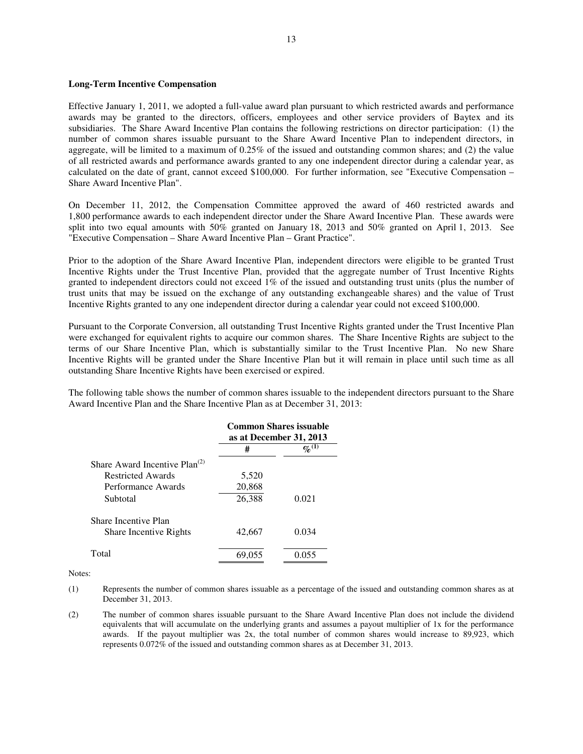#### **Long-Term Incentive Compensation**

Effective January 1, 2011, we adopted a full-value award plan pursuant to which restricted awards and performance awards may be granted to the directors, officers, employees and other service providers of Baytex and its subsidiaries. The Share Award Incentive Plan contains the following restrictions on director participation: (1) the number of common shares issuable pursuant to the Share Award Incentive Plan to independent directors, in aggregate, will be limited to a maximum of 0.25% of the issued and outstanding common shares; and (2) the value of all restricted awards and performance awards granted to any one independent director during a calendar year, as calculated on the date of grant, cannot exceed \$100,000. For further information, see "Executive Compensation – Share Award Incentive Plan".

On December 11, 2012, the Compensation Committee approved the award of 460 restricted awards and 1,800 performance awards to each independent director under the Share Award Incentive Plan. These awards were split into two equal amounts with 50% granted on January 18, 2013 and 50% granted on April 1, 2013. See "Executive Compensation – Share Award Incentive Plan – Grant Practice".

Prior to the adoption of the Share Award Incentive Plan, independent directors were eligible to be granted Trust Incentive Rights under the Trust Incentive Plan, provided that the aggregate number of Trust Incentive Rights granted to independent directors could not exceed 1% of the issued and outstanding trust units (plus the number of trust units that may be issued on the exchange of any outstanding exchangeable shares) and the value of Trust Incentive Rights granted to any one independent director during a calendar year could not exceed \$100,000.

Pursuant to the Corporate Conversion, all outstanding Trust Incentive Rights granted under the Trust Incentive Plan were exchanged for equivalent rights to acquire our common shares. The Share Incentive Rights are subject to the terms of our Share Incentive Plan, which is substantially similar to the Trust Incentive Plan. No new Share Incentive Rights will be granted under the Share Incentive Plan but it will remain in place until such time as all outstanding Share Incentive Rights have been exercised or expired.

The following table shows the number of common shares issuable to the independent directors pursuant to the Share Award Incentive Plan and the Share Incentive Plan as at December 31, 2013:

|                                                       | <b>Common Shares issuable</b><br>as at December 31, 2013 |                    |  |  |
|-------------------------------------------------------|----------------------------------------------------------|--------------------|--|--|
|                                                       | #                                                        | $\mathbb{Z}^{(1)}$ |  |  |
| Share Award Incentive Plan <sup>(2)</sup>             |                                                          |                    |  |  |
| Restricted Awards                                     | 5,520                                                    |                    |  |  |
| Performance Awards                                    | 20,868                                                   |                    |  |  |
| Subtotal                                              | 26,388                                                   | 0.021              |  |  |
| Share Incentive Plan<br><b>Share Incentive Rights</b> | 42,667                                                   | 0.034              |  |  |
| Total                                                 | 69.055                                                   |                    |  |  |

Notes:

(1) Represents the number of common shares issuable as a percentage of the issued and outstanding common shares as at December 31, 2013.

(2) The number of common shares issuable pursuant to the Share Award Incentive Plan does not include the dividend equivalents that will accumulate on the underlying grants and assumes a payout multiplier of 1x for the performance awards. If the payout multiplier was 2x, the total number of common shares would increase to 89,923, which represents 0.072% of the issued and outstanding common shares as at December 31, 2013.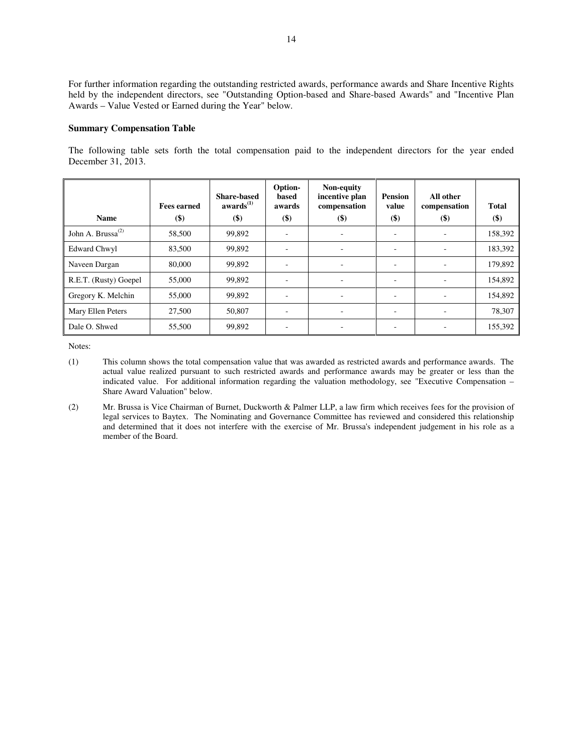For further information regarding the outstanding restricted awards, performance awards and Share Incentive Rights held by the independent directors, see "Outstanding Option-based and Share-based Awards" and "Incentive Plan Awards – Value Vested or Earned during the Year" below.

#### **Summary Compensation Table**

The following table sets forth the total compensation paid to the independent directors for the year ended December 31, 2013.

|                               | <b>Fees earned</b> | <b>Share-based</b><br>awards <sup>(1)</sup> | Option-<br>based<br>awards | Non-equity<br>incentive plan<br>compensation | <b>Pension</b><br>value  | All other<br>compensation | <b>Total</b> |
|-------------------------------|--------------------|---------------------------------------------|----------------------------|----------------------------------------------|--------------------------|---------------------------|--------------|
| <b>Name</b>                   | $($)$              | $($)$                                       | $($ \$                     | $($)$                                        | $($)$                    | $($)$                     | $($)$        |
| John A. Brussa <sup>(2)</sup> | 58,500             | 99,892                                      | $\overline{\phantom{a}}$   |                                              | ٠                        |                           | 158,392      |
| <b>Edward Chwyl</b>           | 83,500             | 99,892                                      | $\overline{\phantom{a}}$   | $\overline{\phantom{0}}$                     | $\overline{\phantom{a}}$ | ٠                         | 183,392      |
| Naveen Dargan                 | 80,000             | 99,892                                      | $\overline{\phantom{a}}$   | ٠                                            | $\overline{\phantom{a}}$ |                           | 179.892      |
| R.E.T. (Rusty) Goepel         | 55,000             | 99,892                                      | -                          | -                                            | ۰                        | $\overline{\phantom{a}}$  | 154,892      |
| Gregory K. Melchin            | 55,000             | 99,892                                      | $\overline{\phantom{a}}$   |                                              | $\overline{\phantom{a}}$ |                           | 154,892      |
| Mary Ellen Peters             | 27,500             | 50,807                                      | $\overline{\phantom{a}}$   |                                              | $\overline{\phantom{a}}$ |                           | 78,307       |
| Dale O. Shwed                 | 55,500             | 99,892                                      |                            |                                              | ٠                        |                           | 155,392      |

- (1) This column shows the total compensation value that was awarded as restricted awards and performance awards. The actual value realized pursuant to such restricted awards and performance awards may be greater or less than the indicated value. For additional information regarding the valuation methodology, see "Executive Compensation – Share Award Valuation" below.
- (2) Mr. Brussa is Vice Chairman of Burnet, Duckworth & Palmer LLP, a law firm which receives fees for the provision of legal services to Baytex. The Nominating and Governance Committee has reviewed and considered this relationship and determined that it does not interfere with the exercise of Mr. Brussa's independent judgement in his role as a member of the Board.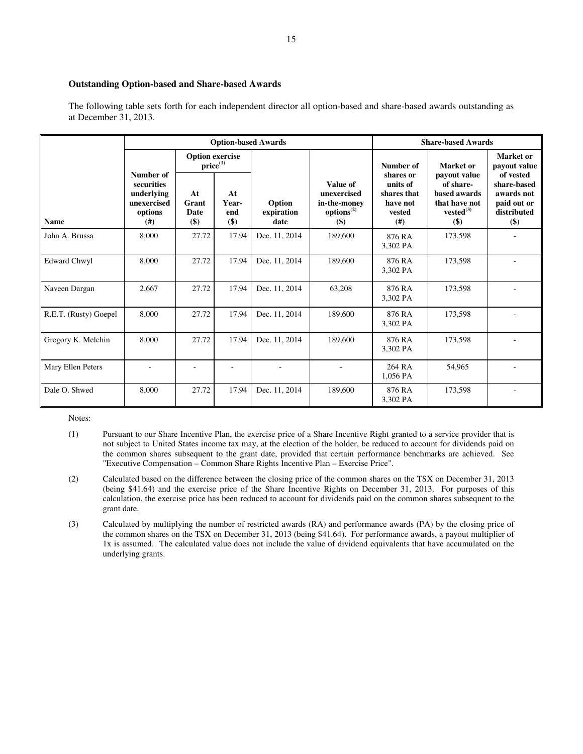# **Outstanding Option-based and Share-based Awards**

The following table sets forth for each independent director all option-based and share-based awards outstanding as at December 31, 2013.

|                       |                                                                        |                                         |                           | <b>Option-based Awards</b>   |                                                                          | <b>Share-based Awards</b>                                          |                                                                                     |                                                                               |  |
|-----------------------|------------------------------------------------------------------------|-----------------------------------------|---------------------------|------------------------------|--------------------------------------------------------------------------|--------------------------------------------------------------------|-------------------------------------------------------------------------------------|-------------------------------------------------------------------------------|--|
|                       |                                                                        | <b>Option exercise</b><br>$price^{(1)}$ |                           |                              |                                                                          | Number of                                                          | Market or                                                                           | Market or<br>payout value                                                     |  |
| <b>Name</b>           | Number of<br>securities<br>underlying<br>unexercised<br>options<br>(#) | At<br>Grant<br>Date<br>$($)$            | At<br>Year-<br>end<br>\$) | Option<br>expiration<br>date | Value of<br>unexercised<br>in-the-money<br>options <sup>(2)</sup><br>\$) | shares or<br>units of<br>shares that<br>have not<br>vested<br>(# ) | payout value<br>of share-<br>based awards<br>that have not<br>$vested^{(3)}$<br>\$) | of vested<br>share-based<br>awards not<br>paid out or<br>distributed<br>$($)$ |  |
| John A. Brussa        | 8.000                                                                  | 27.72                                   | 17.94                     | Dec. 11, 2014                | 189,600                                                                  | 876 RA<br>3,302 PA                                                 | 173,598                                                                             |                                                                               |  |
| <b>Edward Chwyl</b>   | 8,000                                                                  | 27.72                                   | 17.94                     | Dec. 11, 2014                | 189,600                                                                  | 876 RA<br>3,302 PA                                                 | 173,598                                                                             |                                                                               |  |
| Naveen Dargan         | 2,667                                                                  | 27.72                                   | 17.94                     | Dec. 11, 2014                | 63,208                                                                   | 876 RA<br>3,302 PA                                                 | 173,598                                                                             |                                                                               |  |
| R.E.T. (Rusty) Goepel | 8,000                                                                  | 27.72                                   | 17.94                     | Dec. 11, 2014                | 189,600                                                                  | 876 RA<br>3,302 PA                                                 | 173,598                                                                             |                                                                               |  |
| Gregory K. Melchin    | 8,000                                                                  | 27.72                                   | 17.94                     | Dec. 11, 2014                | 189,600                                                                  | 876 RA<br>3,302 PA                                                 | 173,598                                                                             |                                                                               |  |
| Mary Ellen Peters     |                                                                        |                                         |                           |                              |                                                                          | 264 RA<br>1,056 PA                                                 | 54.965                                                                              |                                                                               |  |
| Dale O. Shwed         | 8,000                                                                  | 27.72                                   | 17.94                     | Dec. 11, 2014                | 189,600                                                                  | 876 RA<br>3,302 PA                                                 | 173,598                                                                             |                                                                               |  |

- (1) Pursuant to our Share Incentive Plan, the exercise price of a Share Incentive Right granted to a service provider that is not subject to United States income tax may, at the election of the holder, be reduced to account for dividends paid on the common shares subsequent to the grant date, provided that certain performance benchmarks are achieved. See "Executive Compensation – Common Share Rights Incentive Plan – Exercise Price".
- (2) Calculated based on the difference between the closing price of the common shares on the TSX on December 31, 2013 (being \$41.64) and the exercise price of the Share Incentive Rights on December 31, 2013. For purposes of this calculation, the exercise price has been reduced to account for dividends paid on the common shares subsequent to the grant date.
- (3) Calculated by multiplying the number of restricted awards (RA) and performance awards (PA) by the closing price of the common shares on the TSX on December 31, 2013 (being \$41.64). For performance awards, a payout multiplier of 1x is assumed. The calculated value does not include the value of dividend equivalents that have accumulated on the underlying grants.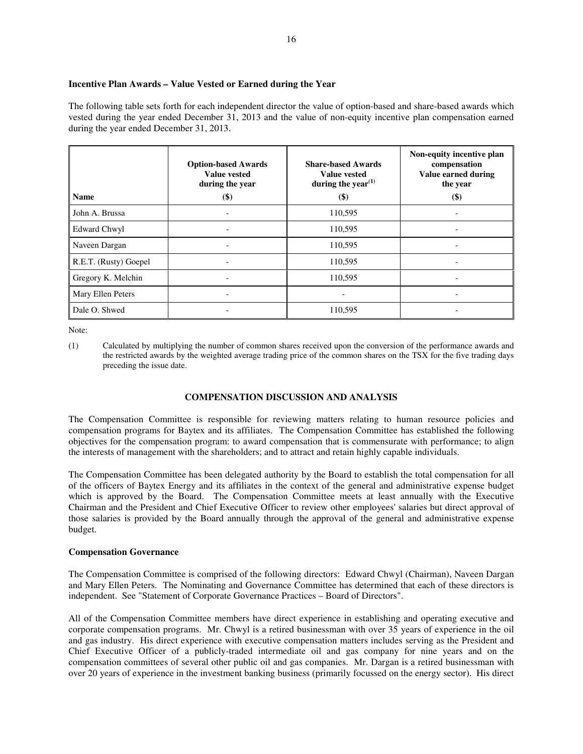# **Incentive Plan Awards – Value Vested or Earned during the Year**

The following table sets forth for each independent director the value of option-based and share-based awards which vested during the year ended December 31, 2013 and the value of non-equity incentive plan compensation earned during the year ended December 31, 2013.

| <b>Name</b>              | <b>Option-based Awards</b><br><b>Value vested</b><br>during the year<br>\$) | <b>Share-based Awards</b><br><b>Value vested</b><br>during the year <sup><math>(1)</math></sup><br>$(\$)$ | Non-equity incentive plan<br>compensation<br>Value earned during<br>the year<br>$(\$)$ |
|--------------------------|-----------------------------------------------------------------------------|-----------------------------------------------------------------------------------------------------------|----------------------------------------------------------------------------------------|
| John A. Brussa           |                                                                             | 110,595                                                                                                   |                                                                                        |
| <b>Edward Chwyl</b>      |                                                                             | 110,595                                                                                                   |                                                                                        |
| Naveen Dargan            |                                                                             | 110,595                                                                                                   |                                                                                        |
| R.E.T. (Rusty) Goepel    |                                                                             | 110,595                                                                                                   |                                                                                        |
| Gregory K. Melchin       |                                                                             | 110,595                                                                                                   |                                                                                        |
| <b>Mary Ellen Peters</b> |                                                                             |                                                                                                           |                                                                                        |
| Dale O. Shwed            |                                                                             | 110,595                                                                                                   |                                                                                        |

Note:

# **COMPENSATION DISCUSSION AND ANALYSIS**

The Compensation Committee is responsible for reviewing matters relating to human resource policies and compensation programs for Baytex and its affiliates. The Compensation Committee has established the following objectives for the compensation program: to award compensation that is commensurate with performance; to align the interests of management with the shareholders; and to attract and retain highly capable individuals.

The Compensation Committee has been delegated authority by the Board to establish the total compensation for all of the officers of Baytex Energy and its affiliates in the context of the general and administrative expense budget which is approved by the Board. The Compensation Committee meets at least annually with the Executive Chairman and the President and Chief Executive Officer to review other employees' salaries but direct approval of those salaries is provided by the Board annually through the approval of the general and administrative expense budget.

# **Compensation Governance**

The Compensation Committee is comprised of the following directors: Edward Chwyl (Chairman), Naveen Dargan and Mary Ellen Peters. The Nominating and Governance Committee has determined that each of these directors is independent. See "Statement of Corporate Governance Practices – Board of Directors".

All of the Compensation Committee members have direct experience in establishing and operating executive and corporate compensation programs. Mr. Chwyl is a retired businessman with over 35 years of experience in the oil and gas industry. His direct experience with executive compensation matters includes serving as the President and Chief Executive Officer of a publicly-traded intermediate oil and gas company for nine years and on the compensation committees of several other public oil and gas companies. Mr. Dargan is a retired businessman with over 20 years of experience in the investment banking business (primarily focussed on the energy sector). His direct

<sup>(1)</sup> Calculated by multiplying the number of common shares received upon the conversion of the performance awards and the restricted awards by the weighted average trading price of the common shares on the TSX for the five trading days preceding the issue date.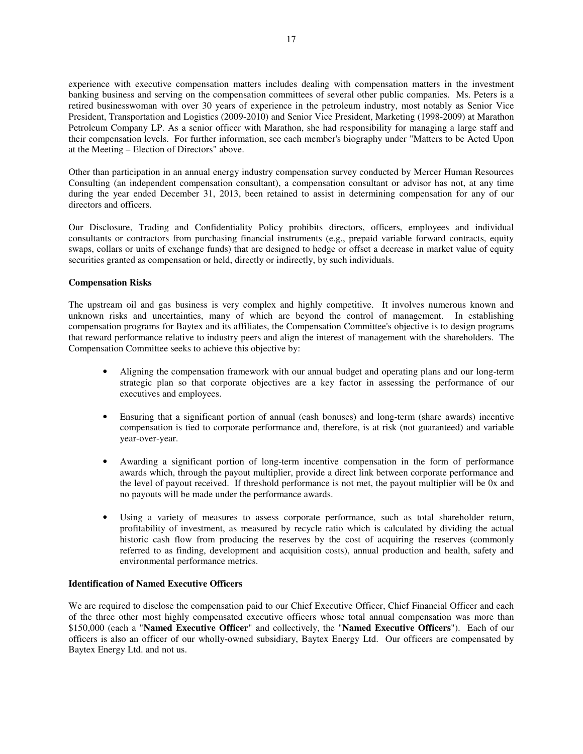experience with executive compensation matters includes dealing with compensation matters in the investment banking business and serving on the compensation committees of several other public companies. Ms. Peters is a retired businesswoman with over 30 years of experience in the petroleum industry, most notably as Senior Vice President, Transportation and Logistics (2009-2010) and Senior Vice President, Marketing (1998-2009) at Marathon Petroleum Company LP. As a senior officer with Marathon, she had responsibility for managing a large staff and their compensation levels. For further information, see each member's biography under "Matters to be Acted Upon at the Meeting – Election of Directors" above.

Other than participation in an annual energy industry compensation survey conducted by Mercer Human Resources Consulting (an independent compensation consultant), a compensation consultant or advisor has not, at any time during the year ended December 31, 2013, been retained to assist in determining compensation for any of our directors and officers.

Our Disclosure, Trading and Confidentiality Policy prohibits directors, officers, employees and individual consultants or contractors from purchasing financial instruments (e.g., prepaid variable forward contracts, equity swaps, collars or units of exchange funds) that are designed to hedge or offset a decrease in market value of equity securities granted as compensation or held, directly or indirectly, by such individuals.

# **Compensation Risks**

The upstream oil and gas business is very complex and highly competitive. It involves numerous known and unknown risks and uncertainties, many of which are beyond the control of management. In establishing compensation programs for Baytex and its affiliates, the Compensation Committee's objective is to design programs that reward performance relative to industry peers and align the interest of management with the shareholders. The Compensation Committee seeks to achieve this objective by:

- Aligning the compensation framework with our annual budget and operating plans and our long-term strategic plan so that corporate objectives are a key factor in assessing the performance of our executives and employees.
- Ensuring that a significant portion of annual (cash bonuses) and long-term (share awards) incentive compensation is tied to corporate performance and, therefore, is at risk (not guaranteed) and variable year-over-year.
- Awarding a significant portion of long-term incentive compensation in the form of performance awards which, through the payout multiplier, provide a direct link between corporate performance and the level of payout received. If threshold performance is not met, the payout multiplier will be 0x and no payouts will be made under the performance awards.
- Using a variety of measures to assess corporate performance, such as total shareholder return, profitability of investment, as measured by recycle ratio which is calculated by dividing the actual historic cash flow from producing the reserves by the cost of acquiring the reserves (commonly referred to as finding, development and acquisition costs), annual production and health, safety and environmental performance metrics.

# **Identification of Named Executive Officers**

We are required to disclose the compensation paid to our Chief Executive Officer, Chief Financial Officer and each of the three other most highly compensated executive officers whose total annual compensation was more than \$150,000 (each a "**Named Executive Officer**" and collectively, the "**Named Executive Officers**"). Each of our officers is also an officer of our wholly-owned subsidiary, Baytex Energy Ltd. Our officers are compensated by Baytex Energy Ltd. and not us.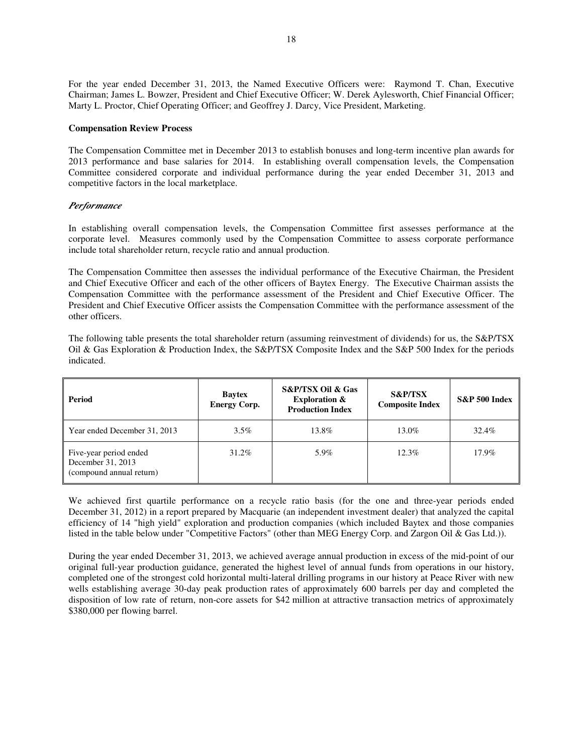For the year ended December 31, 2013, the Named Executive Officers were: Raymond T. Chan, Executive Chairman; James L. Bowzer, President and Chief Executive Officer; W. Derek Aylesworth, Chief Financial Officer; Marty L. Proctor, Chief Operating Officer; and Geoffrey J. Darcy, Vice President, Marketing.

#### **Compensation Review Process**

The Compensation Committee met in December 2013 to establish bonuses and long-term incentive plan awards for 2013 performance and base salaries for 2014. In establishing overall compensation levels, the Compensation Committee considered corporate and individual performance during the year ended December 31, 2013 and competitive factors in the local marketplace.

# *Performance*

In establishing overall compensation levels, the Compensation Committee first assesses performance at the corporate level. Measures commonly used by the Compensation Committee to assess corporate performance include total shareholder return, recycle ratio and annual production.

The Compensation Committee then assesses the individual performance of the Executive Chairman, the President and Chief Executive Officer and each of the other officers of Baytex Energy. The Executive Chairman assists the Compensation Committee with the performance assessment of the President and Chief Executive Officer. The President and Chief Executive Officer assists the Compensation Committee with the performance assessment of the other officers.

The following table presents the total shareholder return (assuming reinvestment of dividends) for us, the S&P/TSX Oil & Gas Exploration & Production Index, the S&P/TSX Composite Index and the S&P 500 Index for the periods indicated.

| Period                                                                  | <b>Baytex</b><br><b>Energy Corp.</b> | <b>S&amp;P/TSX Oil &amp; Gas</b><br><b>Exploration &amp;</b><br><b>Production Index</b> | <b>S&amp;P/TSX</b><br><b>Composite Index</b> | $S\&P 500$ Index |
|-------------------------------------------------------------------------|--------------------------------------|-----------------------------------------------------------------------------------------|----------------------------------------------|------------------|
| Year ended December 31, 2013                                            | $3.5\%$                              | 13.8%                                                                                   | 13.0%                                        | 32.4%            |
| Five-year period ended<br>December 31, 2013<br>(compound annual return) | 31.2%                                | 5.9%                                                                                    | $12.3\%$                                     | 17.9%            |

We achieved first quartile performance on a recycle ratio basis (for the one and three-year periods ended December 31, 2012) in a report prepared by Macquarie (an independent investment dealer) that analyzed the capital efficiency of 14 "high yield" exploration and production companies (which included Baytex and those companies listed in the table below under "Competitive Factors" (other than MEG Energy Corp. and Zargon Oil & Gas Ltd.)).

During the year ended December 31, 2013, we achieved average annual production in excess of the mid-point of our original full-year production guidance, generated the highest level of annual funds from operations in our history, completed one of the strongest cold horizontal multi-lateral drilling programs in our history at Peace River with new wells establishing average 30-day peak production rates of approximately 600 barrels per day and completed the disposition of low rate of return, non-core assets for \$42 million at attractive transaction metrics of approximately \$380,000 per flowing barrel.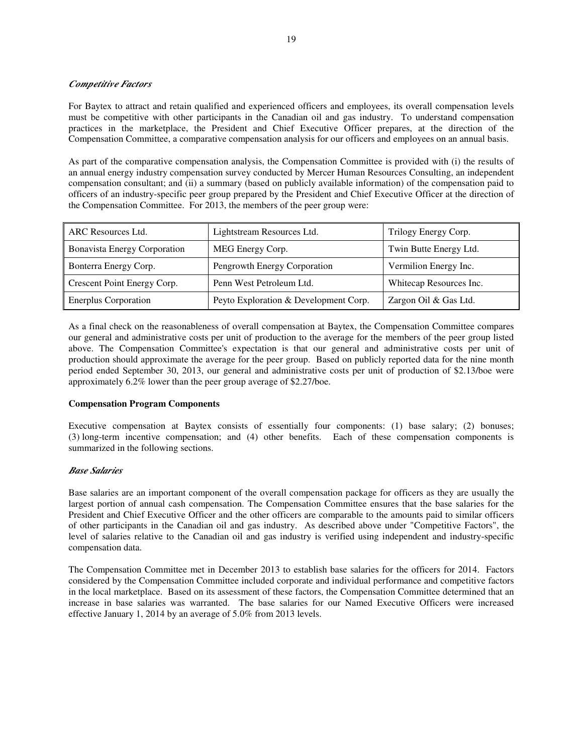# *Competitive Factors*

For Baytex to attract and retain qualified and experienced officers and employees, its overall compensation levels must be competitive with other participants in the Canadian oil and gas industry. To understand compensation practices in the marketplace, the President and Chief Executive Officer prepares, at the direction of the Compensation Committee, a comparative compensation analysis for our officers and employees on an annual basis.

As part of the comparative compensation analysis, the Compensation Committee is provided with (i) the results of an annual energy industry compensation survey conducted by Mercer Human Resources Consulting, an independent compensation consultant; and (ii) a summary (based on publicly available information) of the compensation paid to officers of an industry-specific peer group prepared by the President and Chief Executive Officer at the direction of the Compensation Committee. For 2013, the members of the peer group were:

| ARC Resources Ltd.                  | Lightstream Resources Ltd.            | Trilogy Energy Corp.    |
|-------------------------------------|---------------------------------------|-------------------------|
| <b>Bonavista Energy Corporation</b> | MEG Energy Corp.                      | Twin Butte Energy Ltd.  |
| Bonterra Energy Corp.               | Pengrowth Energy Corporation          | Vermilion Energy Inc.   |
| Crescent Point Energy Corp.         | Penn West Petroleum Ltd.              | Whitecap Resources Inc. |
| Enerplus Corporation                | Peyto Exploration & Development Corp. | Zargon Oil & Gas Ltd.   |

As a final check on the reasonableness of overall compensation at Baytex, the Compensation Committee compares our general and administrative costs per unit of production to the average for the members of the peer group listed above. The Compensation Committee's expectation is that our general and administrative costs per unit of production should approximate the average for the peer group. Based on publicly reported data for the nine month period ended September 30, 2013, our general and administrative costs per unit of production of \$2.13/boe were approximately 6.2% lower than the peer group average of \$2.27/boe.

# **Compensation Program Components**

Executive compensation at Baytex consists of essentially four components: (1) base salary; (2) bonuses; (3) long-term incentive compensation; and (4) other benefits. Each of these compensation components is summarized in the following sections.

# *Base Salaries*

Base salaries are an important component of the overall compensation package for officers as they are usually the largest portion of annual cash compensation. The Compensation Committee ensures that the base salaries for the President and Chief Executive Officer and the other officers are comparable to the amounts paid to similar officers of other participants in the Canadian oil and gas industry. As described above under "Competitive Factors", the level of salaries relative to the Canadian oil and gas industry is verified using independent and industry-specific compensation data.

The Compensation Committee met in December 2013 to establish base salaries for the officers for 2014. Factors considered by the Compensation Committee included corporate and individual performance and competitive factors in the local marketplace. Based on its assessment of these factors, the Compensation Committee determined that an increase in base salaries was warranted. The base salaries for our Named Executive Officers were increased effective January 1, 2014 by an average of 5.0% from 2013 levels.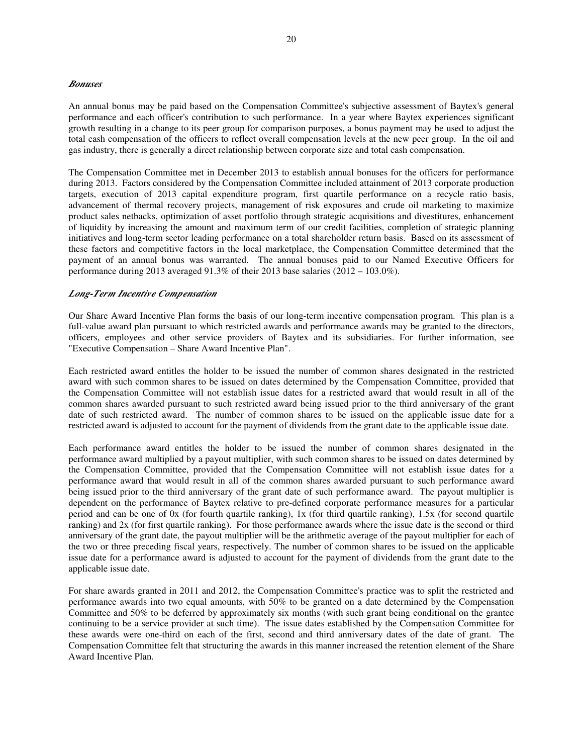#### *Bonuses*

An annual bonus may be paid based on the Compensation Committee's subjective assessment of Baytex's general performance and each officer's contribution to such performance. In a year where Baytex experiences significant growth resulting in a change to its peer group for comparison purposes, a bonus payment may be used to adjust the total cash compensation of the officers to reflect overall compensation levels at the new peer group. In the oil and gas industry, there is generally a direct relationship between corporate size and total cash compensation.

The Compensation Committee met in December 2013 to establish annual bonuses for the officers for performance during 2013. Factors considered by the Compensation Committee included attainment of 2013 corporate production targets, execution of 2013 capital expenditure program, first quartile performance on a recycle ratio basis, advancement of thermal recovery projects, management of risk exposures and crude oil marketing to maximize product sales netbacks, optimization of asset portfolio through strategic acquisitions and divestitures, enhancement of liquidity by increasing the amount and maximum term of our credit facilities, completion of strategic planning initiatives and long-term sector leading performance on a total shareholder return basis. Based on its assessment of these factors and competitive factors in the local marketplace, the Compensation Committee determined that the payment of an annual bonus was warranted. The annual bonuses paid to our Named Executive Officers for performance during 2013 averaged 91.3% of their 2013 base salaries (2012 – 103.0%).

#### *Long-Term Incentive Compensation*

Our Share Award Incentive Plan forms the basis of our long-term incentive compensation program. This plan is a full-value award plan pursuant to which restricted awards and performance awards may be granted to the directors, officers, employees and other service providers of Baytex and its subsidiaries. For further information, see "Executive Compensation – Share Award Incentive Plan".

Each restricted award entitles the holder to be issued the number of common shares designated in the restricted award with such common shares to be issued on dates determined by the Compensation Committee, provided that the Compensation Committee will not establish issue dates for a restricted award that would result in all of the common shares awarded pursuant to such restricted award being issued prior to the third anniversary of the grant date of such restricted award. The number of common shares to be issued on the applicable issue date for a restricted award is adjusted to account for the payment of dividends from the grant date to the applicable issue date.

Each performance award entitles the holder to be issued the number of common shares designated in the performance award multiplied by a payout multiplier, with such common shares to be issued on dates determined by the Compensation Committee, provided that the Compensation Committee will not establish issue dates for a performance award that would result in all of the common shares awarded pursuant to such performance award being issued prior to the third anniversary of the grant date of such performance award. The payout multiplier is dependent on the performance of Baytex relative to pre-defined corporate performance measures for a particular period and can be one of 0x (for fourth quartile ranking), 1x (for third quartile ranking), 1.5x (for second quartile ranking) and 2x (for first quartile ranking). For those performance awards where the issue date is the second or third anniversary of the grant date, the payout multiplier will be the arithmetic average of the payout multiplier for each of the two or three preceding fiscal years, respectively. The number of common shares to be issued on the applicable issue date for a performance award is adjusted to account for the payment of dividends from the grant date to the applicable issue date.

For share awards granted in 2011 and 2012, the Compensation Committee's practice was to split the restricted and performance awards into two equal amounts, with 50% to be granted on a date determined by the Compensation Committee and 50% to be deferred by approximately six months (with such grant being conditional on the grantee continuing to be a service provider at such time). The issue dates established by the Compensation Committee for these awards were one-third on each of the first, second and third anniversary dates of the date of grant. The Compensation Committee felt that structuring the awards in this manner increased the retention element of the Share Award Incentive Plan.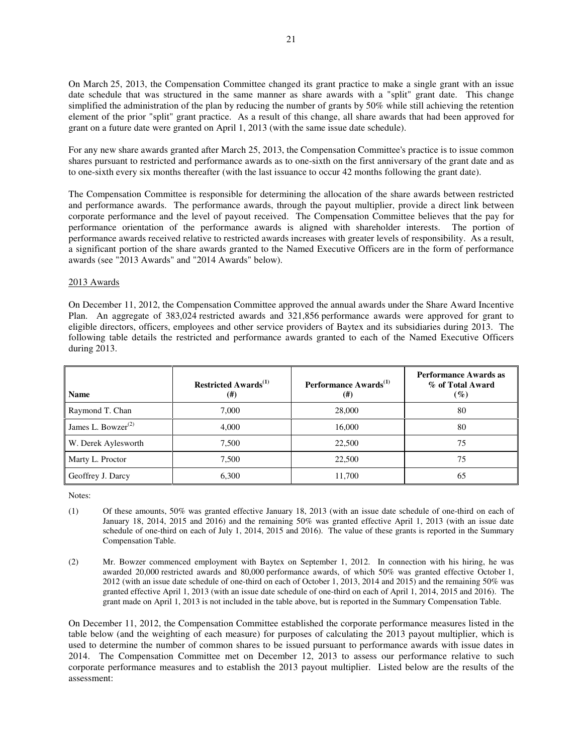On March 25, 2013, the Compensation Committee changed its grant practice to make a single grant with an issue date schedule that was structured in the same manner as share awards with a "split" grant date. This change simplified the administration of the plan by reducing the number of grants by 50% while still achieving the retention element of the prior "split" grant practice. As a result of this change, all share awards that had been approved for grant on a future date were granted on April 1, 2013 (with the same issue date schedule).

For any new share awards granted after March 25, 2013, the Compensation Committee's practice is to issue common shares pursuant to restricted and performance awards as to one-sixth on the first anniversary of the grant date and as to one-sixth every six months thereafter (with the last issuance to occur 42 months following the grant date).

The Compensation Committee is responsible for determining the allocation of the share awards between restricted and performance awards. The performance awards, through the payout multiplier, provide a direct link between corporate performance and the level of payout received. The Compensation Committee believes that the pay for performance orientation of the performance awards is aligned with shareholder interests. The portion of performance awards received relative to restricted awards increases with greater levels of responsibility. As a result, a significant portion of the share awards granted to the Named Executive Officers are in the form of performance awards (see "2013 Awards" and "2014 Awards" below).

# 2013 Awards

On December 11, 2012, the Compensation Committee approved the annual awards under the Share Award Incentive Plan. An aggregate of 383,024 restricted awards and 321,856 performance awards were approved for grant to eligible directors, officers, employees and other service providers of Baytex and its subsidiaries during 2013. The following table details the restricted and performance awards granted to each of the Named Executive Officers during 2013.

| <b>Name</b>                                 | Restricted Awards <sup>(1)</sup><br>$^{(\#)}$ | Performance Awards <sup>(1)</sup><br>(#) | <b>Performance Awards as</b><br>% of Total Award<br>$($ %) |
|---------------------------------------------|-----------------------------------------------|------------------------------------------|------------------------------------------------------------|
| Raymond T. Chan                             | 7.000                                         | 28,000                                   | 80                                                         |
| James L. Bowzer <sup><math>(2)</math></sup> | 4.000                                         | 16,000                                   | 80                                                         |
| W. Derek Aylesworth                         | 7.500                                         | 22,500                                   | 75                                                         |
| Marty L. Proctor                            | 7,500                                         | 22,500                                   | 75                                                         |
| Geoffrey J. Darcy                           | 6.300                                         | 11,700                                   | 65                                                         |

Notes:

- (1) Of these amounts, 50% was granted effective January 18, 2013 (with an issue date schedule of one-third on each of January 18, 2014, 2015 and 2016) and the remaining 50% was granted effective April 1, 2013 (with an issue date schedule of one-third on each of July 1, 2014, 2015 and 2016). The value of these grants is reported in the Summary Compensation Table.
- (2) Mr. Bowzer commenced employment with Baytex on September 1, 2012. In connection with his hiring, he was awarded 20,000 restricted awards and 80,000 performance awards, of which 50% was granted effective October 1, 2012 (with an issue date schedule of one-third on each of October 1, 2013, 2014 and 2015) and the remaining 50% was granted effective April 1, 2013 (with an issue date schedule of one-third on each of April 1, 2014, 2015 and 2016). The grant made on April 1, 2013 is not included in the table above, but is reported in the Summary Compensation Table.

On December 11, 2012, the Compensation Committee established the corporate performance measures listed in the table below (and the weighting of each measure) for purposes of calculating the 2013 payout multiplier, which is used to determine the number of common shares to be issued pursuant to performance awards with issue dates in 2014. The Compensation Committee met on December 12, 2013 to assess our performance relative to such corporate performance measures and to establish the 2013 payout multiplier. Listed below are the results of the assessment: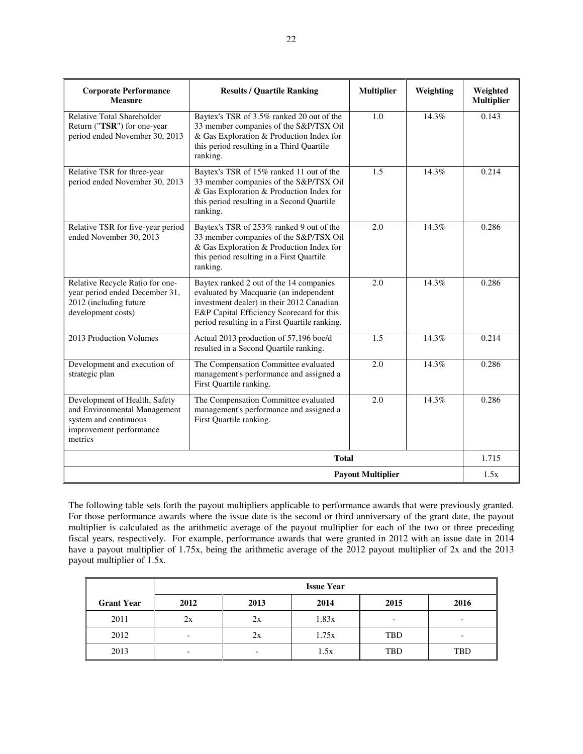| <b>Corporate Performance</b><br><b>Measure</b>                                                                               | <b>Results / Quartile Ranking</b>                                                                                                                                                                                            | <b>Multiplier</b>        | Weighting | Weighted<br><b>Multiplier</b> |
|------------------------------------------------------------------------------------------------------------------------------|------------------------------------------------------------------------------------------------------------------------------------------------------------------------------------------------------------------------------|--------------------------|-----------|-------------------------------|
| <b>Relative Total Shareholder</b><br>Return ("TSR") for one-year<br>period ended November 30, 2013                           | Baytex's TSR of 3.5% ranked 20 out of the<br>33 member companies of the S&P/TSX Oil<br>& Gas Exploration & Production Index for<br>this period resulting in a Third Quartile<br>ranking.                                     | 1.0                      | 14.3%     | 0.143                         |
| Relative TSR for three-year<br>period ended November 30, 2013                                                                | Baytex's TSR of 15% ranked 11 out of the<br>33 member companies of the S&P/TSX Oil<br>& Gas Exploration & Production Index for<br>this period resulting in a Second Quartile<br>ranking.                                     | 1.5                      | 14.3%     | 0.214                         |
| Relative TSR for five-year period<br>ended November 30, 2013                                                                 | Baytex's TSR of 253% ranked 9 out of the<br>33 member companies of the S&P/TSX Oil<br>& Gas Exploration & Production Index for<br>this period resulting in a First Quartile<br>ranking.                                      | 2.0                      | 14.3%     | 0.286                         |
| Relative Recycle Ratio for one-<br>year period ended December 31,<br>2012 (including future<br>development costs)            | Baytex ranked 2 out of the 14 companies<br>evaluated by Macquarie (an independent<br>investment dealer) in their 2012 Canadian<br>E&P Capital Efficiency Scorecard for this<br>period resulting in a First Quartile ranking. | 2.0                      | 14.3%     | 0.286                         |
| 2013 Production Volumes                                                                                                      | Actual 2013 production of 57,196 boe/d<br>resulted in a Second Quartile ranking.                                                                                                                                             | 1.5                      | 14.3%     | 0.214                         |
| Development and execution of<br>strategic plan                                                                               | The Compensation Committee evaluated<br>management's performance and assigned a<br>First Quartile ranking.                                                                                                                   | 2.0                      | 14.3%     | 0.286                         |
| Development of Health, Safety<br>and Environmental Management<br>system and continuous<br>improvement performance<br>metrics | The Compensation Committee evaluated<br>management's performance and assigned a<br>First Quartile ranking.                                                                                                                   | 2.0                      | 14.3%     | 0.286                         |
|                                                                                                                              | <b>Total</b>                                                                                                                                                                                                                 |                          |           | 1.715                         |
|                                                                                                                              |                                                                                                                                                                                                                              | <b>Payout Multiplier</b> |           | 1.5x                          |

The following table sets forth the payout multipliers applicable to performance awards that were previously granted. For those performance awards where the issue date is the second or third anniversary of the grant date, the payout multiplier is calculated as the arithmetic average of the payout multiplier for each of the two or three preceding fiscal years, respectively. For example, performance awards that were granted in 2012 with an issue date in 2014 have a payout multiplier of 1.75x, being the arithmetic average of the 2012 payout multiplier of 2x and the 2013 payout multiplier of 1.5x.

|                   | <b>Issue Year</b> |                          |       |                          |            |  |
|-------------------|-------------------|--------------------------|-------|--------------------------|------------|--|
| <b>Grant Year</b> | 2012              | 2013                     | 2014  | 2015                     | 2016       |  |
| 2011              | 2x                | 2x                       | 1.83x | $\overline{\phantom{0}}$ | -          |  |
| 2012              | -                 | 2x                       | 1.75x | <b>TBD</b>               | -          |  |
| 2013              | -                 | $\overline{\phantom{0}}$ | 1.5x  | <b>TBD</b>               | <b>TBD</b> |  |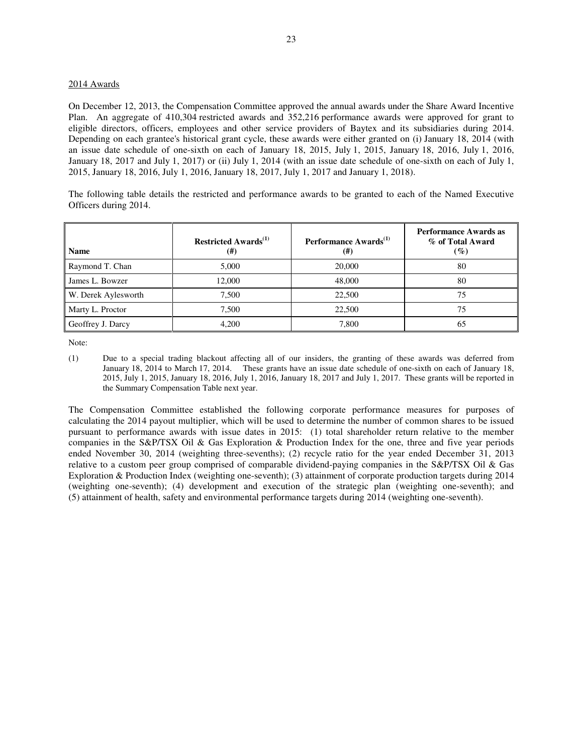# 2014 Awards

On December 12, 2013, the Compensation Committee approved the annual awards under the Share Award Incentive Plan. An aggregate of 410,304 restricted awards and 352,216 performance awards were approved for grant to eligible directors, officers, employees and other service providers of Baytex and its subsidiaries during 2014. Depending on each grantee's historical grant cycle, these awards were either granted on (i) January 18, 2014 (with an issue date schedule of one-sixth on each of January 18, 2015, July 1, 2015, January 18, 2016, July 1, 2016, January 18, 2017 and July 1, 2017) or (ii) July 1, 2014 (with an issue date schedule of one-sixth on each of July 1, 2015, January 18, 2016, July 1, 2016, January 18, 2017, July 1, 2017 and January 1, 2018).

The following table details the restricted and performance awards to be granted to each of the Named Executive Officers during 2014.

| <b>Name</b>         | <b>Restricted Awards</b> <sup>(1)</sup><br>$^{(#)}$ | Performance Awards <sup>(1)</sup><br>$(\#)$ | <b>Performance Awards as</b><br>% of Total Award<br>$(\%)$ |
|---------------------|-----------------------------------------------------|---------------------------------------------|------------------------------------------------------------|
| Raymond T. Chan     | 5.000                                               | 20,000                                      | 80                                                         |
| James L. Bowzer     | 12,000                                              | 48,000                                      | 80                                                         |
| W. Derek Aylesworth | 7.500                                               | 22,500                                      | 75                                                         |
| Marty L. Proctor    | 7.500                                               | 22,500                                      | 75                                                         |
| Geoffrey J. Darcy   | 4.200                                               | 7,800                                       | 65                                                         |

Note:

(1) Due to a special trading blackout affecting all of our insiders, the granting of these awards was deferred from January 18, 2014 to March 17, 2014. These grants have an issue date schedule of one-sixth on each of January 18, 2015, July 1, 2015, January 18, 2016, July 1, 2016, January 18, 2017 and July 1, 2017. These grants will be reported in the Summary Compensation Table next year.

The Compensation Committee established the following corporate performance measures for purposes of calculating the 2014 payout multiplier, which will be used to determine the number of common shares to be issued pursuant to performance awards with issue dates in 2015: (1) total shareholder return relative to the member companies in the S&P/TSX Oil & Gas Exploration & Production Index for the one, three and five year periods ended November 30, 2014 (weighting three-sevenths); (2) recycle ratio for the year ended December 31, 2013 relative to a custom peer group comprised of comparable dividend-paying companies in the S&P/TSX Oil & Gas Exploration & Production Index (weighting one-seventh); (3) attainment of corporate production targets during 2014 (weighting one-seventh); (4) development and execution of the strategic plan (weighting one-seventh); and (5) attainment of health, safety and environmental performance targets during 2014 (weighting one-seventh).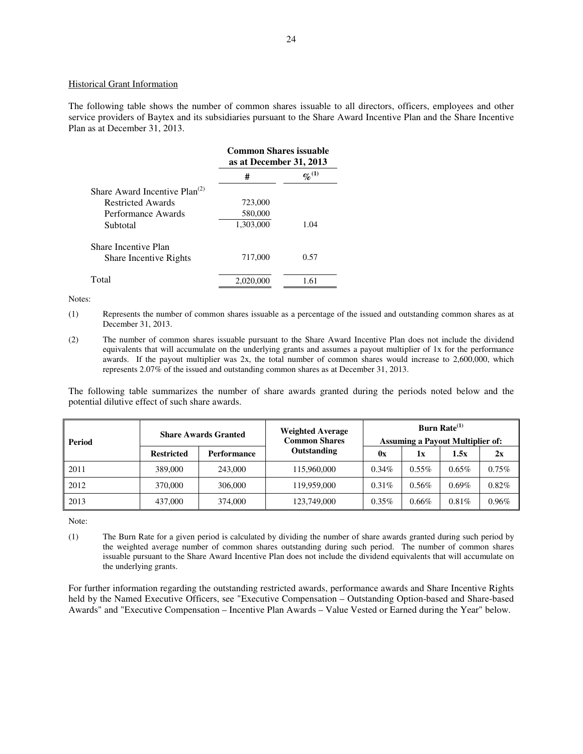#### Historical Grant Information

The following table shows the number of common shares issuable to all directors, officers, employees and other service providers of Baytex and its subsidiaries pursuant to the Share Award Incentive Plan and the Share Incentive Plan as at December 31, 2013.

|                                    | <b>Common Shares issuable</b><br>as at December 31, 2013 |                      |
|------------------------------------|----------------------------------------------------------|----------------------|
|                                    | #                                                        | $\mathbf{q_0}^{(1)}$ |
| Share Award Incentive $Plan^{(2)}$ |                                                          |                      |
| Restricted Awards                  | 723,000                                                  |                      |
| Performance Awards                 | 580,000                                                  |                      |
| Subtotal                           | 1,303,000                                                | 1.04                 |
| Share Incentive Plan               |                                                          |                      |
| <b>Share Incentive Rights</b>      | 717,000                                                  | 0.57                 |
| Total                              | 2.020.000                                                | 1.61                 |

Notes:

- (1) Represents the number of common shares issuable as a percentage of the issued and outstanding common shares as at December 31, 2013.
- (2) The number of common shares issuable pursuant to the Share Award Incentive Plan does not include the dividend equivalents that will accumulate on the underlying grants and assumes a payout multiplier of 1x for the performance awards. If the payout multiplier was 2x, the total number of common shares would increase to 2,600,000, which represents 2.07% of the issued and outstanding common shares as at December 31, 2013.

The following table summarizes the number of share awards granted during the periods noted below and the potential dilutive effect of such share awards.

| <b>Period</b> | <b>Share Awards Granted</b> |                    | <b>Weighted Average</b><br><b>Common Shares</b> | <b>Burn Rate</b> <sup>(1)</sup><br><b>Assuming a Payout Multiplier of:</b> |          |          |       |
|---------------|-----------------------------|--------------------|-------------------------------------------------|----------------------------------------------------------------------------|----------|----------|-------|
|               | <b>Restricted</b>           | <b>Performance</b> | Outstanding                                     | 0x                                                                         | 1x       | 1.5x     | 2x    |
| 2011          | 389,000                     | 243,000            | 115,960,000                                     | $0.34\%$                                                                   | $0.55\%$ | $0.65\%$ | 0.75% |
| 2012          | 370,000                     | 306,000            | 119,959,000                                     | 0.31%                                                                      | $0.56\%$ | $0.69\%$ | 0.82% |
| 2013          | 437,000                     | 374,000            | 123,749,000                                     | $0.35\%$                                                                   | $0.66\%$ | 0.81%    | 0.96% |

Note:

(1) The Burn Rate for a given period is calculated by dividing the number of share awards granted during such period by the weighted average number of common shares outstanding during such period. The number of common shares issuable pursuant to the Share Award Incentive Plan does not include the dividend equivalents that will accumulate on the underlying grants.

For further information regarding the outstanding restricted awards, performance awards and Share Incentive Rights held by the Named Executive Officers, see "Executive Compensation – Outstanding Option-based and Share-based Awards" and "Executive Compensation – Incentive Plan Awards – Value Vested or Earned during the Year" below.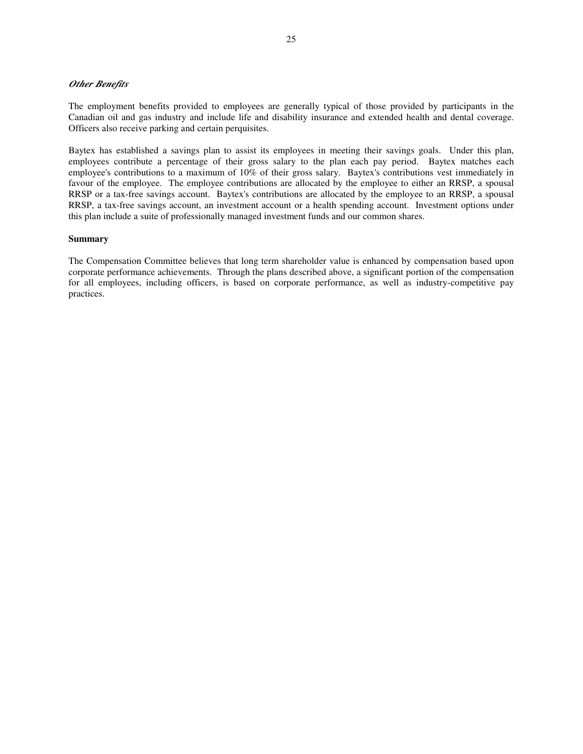# *Other Benefits*

The employment benefits provided to employees are generally typical of those provided by participants in the Canadian oil and gas industry and include life and disability insurance and extended health and dental coverage. Officers also receive parking and certain perquisites.

Baytex has established a savings plan to assist its employees in meeting their savings goals. Under this plan, employees contribute a percentage of their gross salary to the plan each pay period. Baytex matches each employee's contributions to a maximum of 10% of their gross salary. Baytex's contributions vest immediately in favour of the employee. The employee contributions are allocated by the employee to either an RRSP, a spousal RRSP or a tax-free savings account. Baytex's contributions are allocated by the employee to an RRSP, a spousal RRSP, a tax-free savings account, an investment account or a health spending account. Investment options under this plan include a suite of professionally managed investment funds and our common shares.

#### **Summary**

The Compensation Committee believes that long term shareholder value is enhanced by compensation based upon corporate performance achievements. Through the plans described above, a significant portion of the compensation for all employees, including officers, is based on corporate performance, as well as industry-competitive pay practices.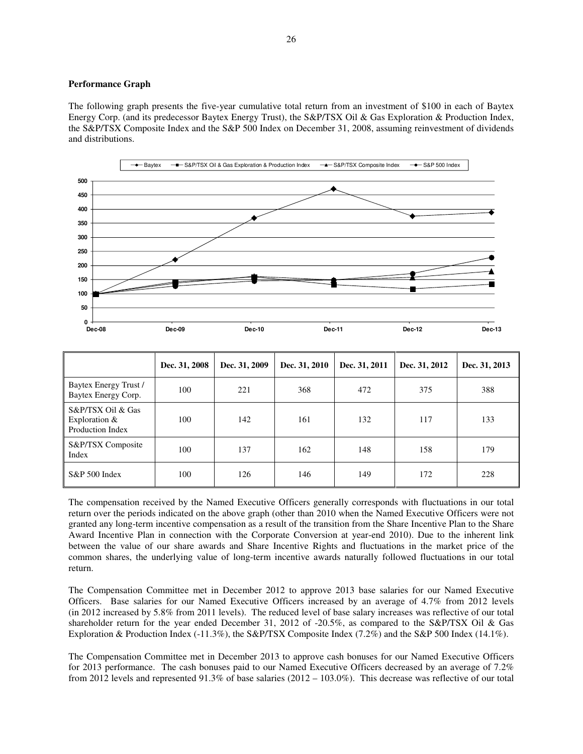#### **Performance Graph**

The following graph presents the five-year cumulative total return from an investment of \$100 in each of Baytex Energy Corp. (and its predecessor Baytex Energy Trust), the S&P/TSX Oil & Gas Exploration & Production Index, the S&P/TSX Composite Index and the S&P 500 Index on December 31, 2008, assuming reinvestment of dividends and distributions.



|                                                          | Dec. 31, 2008 | Dec. 31, 2009 | Dec. 31, 2010 | Dec. 31, 2011 | Dec. 31, 2012 | Dec. 31, 2013 |
|----------------------------------------------------------|---------------|---------------|---------------|---------------|---------------|---------------|
| Baytex Energy Trust /<br>Baytex Energy Corp.             | 100           | 221           | 368           | 472           | 375           | 388           |
| S&P/TSX Oil & Gas<br>Exploration $&$<br>Production Index | 100           | 142           | 161           | 132           | 117           | 133           |
| S&P/TSX Composite<br>Index                               | 100           | 137           | 162           | 148           | 158           | 179           |
| S&P 500 Index                                            | 100           | 126           | 146           | 149           | 172           | 228           |

The compensation received by the Named Executive Officers generally corresponds with fluctuations in our total return over the periods indicated on the above graph (other than 2010 when the Named Executive Officers were not granted any long-term incentive compensation as a result of the transition from the Share Incentive Plan to the Share Award Incentive Plan in connection with the Corporate Conversion at year-end 2010). Due to the inherent link between the value of our share awards and Share Incentive Rights and fluctuations in the market price of the common shares, the underlying value of long-term incentive awards naturally followed fluctuations in our total return.

The Compensation Committee met in December 2012 to approve 2013 base salaries for our Named Executive Officers. Base salaries for our Named Executive Officers increased by an average of 4.7% from 2012 levels (in 2012 increased by 5.8% from 2011 levels). The reduced level of base salary increases was reflective of our total shareholder return for the year ended December 31, 2012 of -20.5%, as compared to the S&P/TSX Oil & Gas Exploration & Production Index (-11.3%), the S&P/TSX Composite Index (7.2%) and the S&P 500 Index (14.1%).

The Compensation Committee met in December 2013 to approve cash bonuses for our Named Executive Officers for 2013 performance. The cash bonuses paid to our Named Executive Officers decreased by an average of 7.2% from 2012 levels and represented 91.3% of base salaries (2012 – 103.0%). This decrease was reflective of our total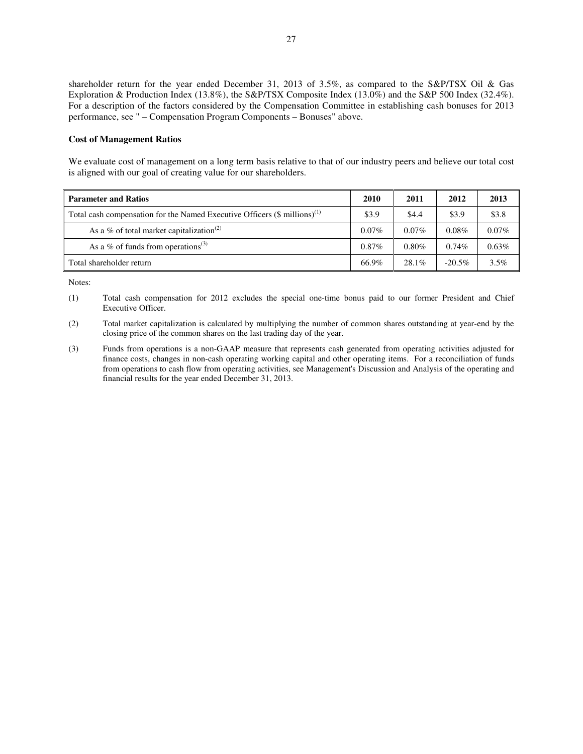shareholder return for the year ended December 31, 2013 of 3.5%, as compared to the S&P/TSX Oil & Gas Exploration & Production Index (13.8%), the S&P/TSX Composite Index (13.0%) and the S&P 500 Index (32.4%). For a description of the factors considered by the Compensation Committee in establishing cash bonuses for 2013 performance, see " – Compensation Program Components – Bonuses" above.

#### **Cost of Management Ratios**

We evaluate cost of management on a long term basis relative to that of our industry peers and believe our total cost is aligned with our goal of creating value for our shareholders.

| <b>Parameter and Ratios</b>                                                             | 2010     | 2011     | 2012      | 2013     |
|-----------------------------------------------------------------------------------------|----------|----------|-----------|----------|
| Total cash compensation for the Named Executive Officers $(\$$ millions) <sup>(1)</sup> | \$3.9    | \$4.4    | \$3.9     | \$3.8    |
| As a % of total market capitalization <sup>(2)</sup>                                    | $0.07\%$ | $0.07\%$ | $0.08\%$  | $0.07\%$ |
| As a % of funds from operations <sup>(3)</sup>                                          | $0.87\%$ | $0.80\%$ | $0.74\%$  | $0.63\%$ |
| Total shareholder return                                                                | 66.9%    | $28.1\%$ | $-20.5\%$ | 3.5%     |

- (2) Total market capitalization is calculated by multiplying the number of common shares outstanding at year-end by the closing price of the common shares on the last trading day of the year.
- (3) Funds from operations is a non-GAAP measure that represents cash generated from operating activities adjusted for finance costs, changes in non-cash operating working capital and other operating items. For a reconciliation of funds from operations to cash flow from operating activities, see Management's Discussion and Analysis of the operating and financial results for the year ended December 31, 2013.

<sup>(1)</sup> Total cash compensation for 2012 excludes the special one-time bonus paid to our former President and Chief Executive Officer.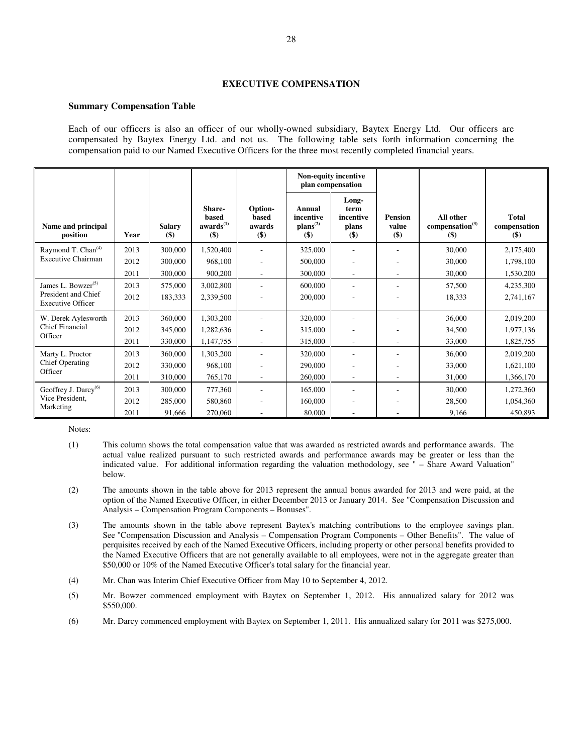# **EXECUTIVE COMPENSATION**

#### **Summary Compensation Table**

Each of our officers is also an officer of our wholly-owned subsidiary, Baytex Energy Ltd. Our officers are compensated by Baytex Energy Ltd. and not us. The following table sets forth information concerning the compensation paid to our Named Executive Officers for the three most recently completed financial years.

|                                                 |      |                         |                                                    |                                       | Non-equity incentive<br>plan compensation  |                                              |                                  |                                                   |                                         |
|-------------------------------------------------|------|-------------------------|----------------------------------------------------|---------------------------------------|--------------------------------------------|----------------------------------------------|----------------------------------|---------------------------------------------------|-----------------------------------------|
| Name and principal<br>position                  | Year | <b>Salary</b><br>$($ \$ | Share-<br>based<br>awards <sup>(1)</sup><br>$($ \$ | Option-<br>based<br>awards<br>$($ \$) | Annual<br>incentive<br>$plans(2)$<br>$($)$ | Long-<br>term<br>incentive<br>plans<br>$($)$ | <b>Pension</b><br>value<br>$($)$ | All other<br>compensation <sup>(3)</sup><br>$($)$ | <b>Total</b><br>compensation<br>$($ \$) |
| Raymond T. Chan <sup>(4)</sup>                  | 2013 | 300,000                 | 1,520,400                                          | ٠                                     | 325,000                                    |                                              |                                  | 30,000                                            | 2,175,400                               |
| <b>Executive Chairman</b>                       | 2012 | 300,000                 | 968,100                                            |                                       | 500,000                                    |                                              |                                  | 30,000                                            | 1,798,100                               |
|                                                 | 2011 | 300,000                 | 900,200                                            |                                       | 300,000                                    | $\overline{\phantom{a}}$                     |                                  | 30,000                                            | 1,530,200                               |
| James L. Bowzer $(5)$                           | 2013 | 575,000                 | 3,002,800                                          | ÷.                                    | 600,000                                    | $\overline{\phantom{a}}$                     |                                  | 57,500                                            | 4,235,300                               |
| President and Chief<br><b>Executive Officer</b> | 2012 | 183,333                 | 2,339,500                                          |                                       | 200,000                                    |                                              |                                  | 18,333                                            | 2,741,167                               |
| W. Derek Aylesworth                             | 2013 | 360,000                 | 1,303,200                                          |                                       | 320,000                                    |                                              |                                  | 36,000                                            | 2,019,200                               |
| Chief Financial<br>Officer                      | 2012 | 345,000                 | 1,282,636                                          |                                       | 315,000                                    | $\overline{\phantom{a}}$                     |                                  | 34,500                                            | 1,977,136                               |
|                                                 | 2011 | 330,000                 | 1,147,755                                          | ÷.                                    | 315,000                                    | $\overline{\phantom{a}}$                     | $\overline{\phantom{a}}$         | 33,000                                            | 1,825,755                               |
| Marty L. Proctor                                | 2013 | 360,000                 | 1,303,200                                          | ٠                                     | 320,000                                    | $\overline{\phantom{a}}$                     |                                  | 36,000                                            | 2,019,200                               |
| <b>Chief Operating</b><br>Officer               | 2012 | 330,000                 | 968,100                                            |                                       | 290,000                                    |                                              |                                  | 33,000                                            | 1,621,100                               |
|                                                 | 2011 | 310,000                 | 765,170                                            | $\sim$                                | 260,000                                    | $\overline{\phantom{a}}$                     | ٠                                | 31,000                                            | 1,366,170                               |
| Geoffrey J. Darcy <sup>(6)</sup>                | 2013 | 300,000                 | 777,360                                            | ٠                                     | 165,000                                    | $\overline{\phantom{a}}$                     |                                  | 30,000                                            | 1,272,360                               |
| Vice President.                                 | 2012 | 285,000                 | 580,860                                            |                                       | 160,000                                    | $\overline{\phantom{a}}$                     |                                  | 28,500                                            | 1,054,360                               |
| Marketing                                       | 2011 | 91,666                  | 270,060                                            |                                       | 80,000                                     |                                              |                                  | 9,166                                             | 450.893                                 |

- (1) This column shows the total compensation value that was awarded as restricted awards and performance awards. The actual value realized pursuant to such restricted awards and performance awards may be greater or less than the indicated value. For additional information regarding the valuation methodology, see " – Share Award Valuation" below.
- (2) The amounts shown in the table above for 2013 represent the annual bonus awarded for 2013 and were paid, at the option of the Named Executive Officer, in either December 2013 or January 2014. See "Compensation Discussion and Analysis – Compensation Program Components – Bonuses".
- (3) The amounts shown in the table above represent Baytex's matching contributions to the employee savings plan. See "Compensation Discussion and Analysis – Compensation Program Components – Other Benefits". The value of perquisites received by each of the Named Executive Officers, including property or other personal benefits provided to the Named Executive Officers that are not generally available to all employees, were not in the aggregate greater than \$50,000 or 10% of the Named Executive Officer's total salary for the financial year.
- (4) Mr. Chan was Interim Chief Executive Officer from May 10 to September 4, 2012.
- (5) Mr. Bowzer commenced employment with Baytex on September 1, 2012. His annualized salary for 2012 was \$550,000.
- (6) Mr. Darcy commenced employment with Baytex on September 1, 2011. His annualized salary for 2011 was \$275,000.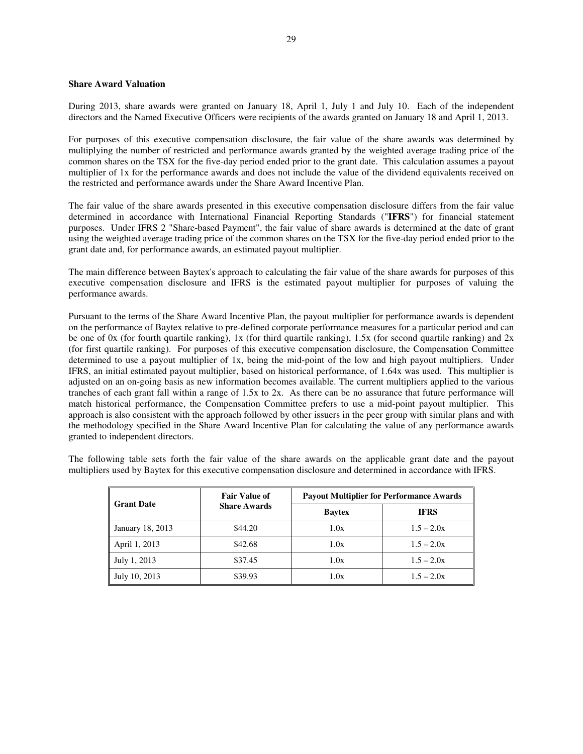# **Share Award Valuation**

During 2013, share awards were granted on January 18, April 1, July 1 and July 10. Each of the independent directors and the Named Executive Officers were recipients of the awards granted on January 18 and April 1, 2013.

For purposes of this executive compensation disclosure, the fair value of the share awards was determined by multiplying the number of restricted and performance awards granted by the weighted average trading price of the common shares on the TSX for the five-day period ended prior to the grant date. This calculation assumes a payout multiplier of 1x for the performance awards and does not include the value of the dividend equivalents received on the restricted and performance awards under the Share Award Incentive Plan.

The fair value of the share awards presented in this executive compensation disclosure differs from the fair value determined in accordance with International Financial Reporting Standards ("**IFRS**") for financial statement purposes. Under IFRS 2 "Share-based Payment", the fair value of share awards is determined at the date of grant using the weighted average trading price of the common shares on the TSX for the five-day period ended prior to the grant date and, for performance awards, an estimated payout multiplier.

The main difference between Baytex's approach to calculating the fair value of the share awards for purposes of this executive compensation disclosure and IFRS is the estimated payout multiplier for purposes of valuing the performance awards.

Pursuant to the terms of the Share Award Incentive Plan, the payout multiplier for performance awards is dependent on the performance of Baytex relative to pre-defined corporate performance measures for a particular period and can be one of 0x (for fourth quartile ranking), 1x (for third quartile ranking), 1.5x (for second quartile ranking) and  $2x$ (for first quartile ranking). For purposes of this executive compensation disclosure, the Compensation Committee determined to use a payout multiplier of 1x, being the mid-point of the low and high payout multipliers. Under IFRS, an initial estimated payout multiplier, based on historical performance, of 1.64x was used. This multiplier is adjusted on an on-going basis as new information becomes available. The current multipliers applied to the various tranches of each grant fall within a range of 1.5x to 2x. As there can be no assurance that future performance will match historical performance, the Compensation Committee prefers to use a mid-point payout multiplier. This approach is also consistent with the approach followed by other issuers in the peer group with similar plans and with the methodology specified in the Share Award Incentive Plan for calculating the value of any performance awards granted to independent directors.

The following table sets forth the fair value of the share awards on the applicable grant date and the payout multipliers used by Baytex for this executive compensation disclosure and determined in accordance with IFRS.

| <b>Grant Date</b> | <b>Fair Value of</b> | <b>Payout Multiplier for Performance Awards</b> |              |  |  |
|-------------------|----------------------|-------------------------------------------------|--------------|--|--|
|                   | <b>Share Awards</b>  | <b>Baytex</b>                                   | <b>IFRS</b>  |  |  |
| January 18, 2013  | \$44.20              | 1.0x                                            | $1.5 - 2.0x$ |  |  |
| April 1, 2013     | \$42.68              | 1.0x                                            | $1.5 - 2.0x$ |  |  |
| July 1, 2013      | \$37.45              | 1.0x                                            | $1.5 - 2.0x$ |  |  |
| July 10, 2013     | \$39.93              | 1.0x                                            | $1.5 - 2.0x$ |  |  |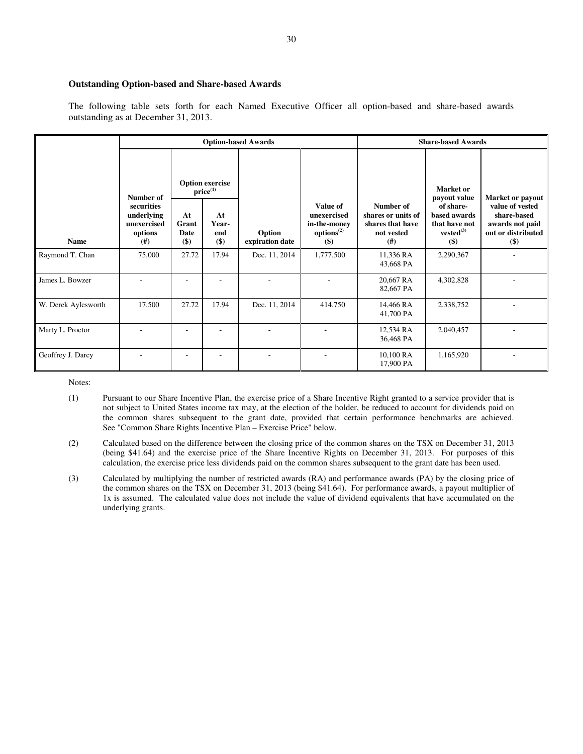# **Outstanding Option-based and Share-based Awards**

The following table sets forth for each Named Executive Officer all option-based and share-based awards outstanding as at December 31, 2013.

|                     |                                                            |                               |                                         | <b>Option-based Awards</b> | <b>Share-based Awards</b>                                                   |                                                                           |                                                                       |                                                                                  |
|---------------------|------------------------------------------------------------|-------------------------------|-----------------------------------------|----------------------------|-----------------------------------------------------------------------------|---------------------------------------------------------------------------|-----------------------------------------------------------------------|----------------------------------------------------------------------------------|
|                     | Number of                                                  |                               | <b>Option exercise</b><br>$price^{(1)}$ |                            |                                                                             |                                                                           | Market or<br>payout value                                             | Market or payout                                                                 |
| <b>Name</b>         | securities<br>underlying<br>unexercised<br>options<br>(# ) | At<br>Grant<br>Date<br>$($ \$ | At<br>Year-<br>end<br>$($)$             | Option<br>expiration date  | Value of<br>unexercised<br>in-the-money<br>options <sup>(2)</sup><br>$($ \$ | Number of<br>shares or units of<br>shares that have<br>not vested<br>(# ) | of share-<br>based awards<br>that have not<br>$vested^{(3)}$<br>$($)$ | value of vested<br>share-based<br>awards not paid<br>out or distributed<br>$($)$ |
| Raymond T. Chan     | 75,000                                                     | 27.72                         | 17.94                                   | Dec. 11, 2014              | 1,777,500                                                                   | 11,336 RA<br>43,668 PA                                                    | 2,290,367                                                             |                                                                                  |
| James L. Bowzer     |                                                            |                               |                                         |                            |                                                                             | 20,667 RA<br>82,667 PA                                                    | 4,302,828                                                             |                                                                                  |
| W. Derek Aylesworth | 17,500                                                     | 27.72                         | 17.94                                   | Dec. 11, 2014              | 414,750                                                                     | 14,466 RA<br>41,700 PA                                                    | 2,338,752                                                             |                                                                                  |
| Marty L. Proctor    |                                                            |                               |                                         |                            |                                                                             | 12,534 RA<br>36,468 PA                                                    | 2,040,457                                                             |                                                                                  |
| Geoffrey J. Darcy   |                                                            |                               |                                         |                            |                                                                             | 10,100 RA<br>17,900 PA                                                    | 1,165,920                                                             |                                                                                  |

- (1) Pursuant to our Share Incentive Plan, the exercise price of a Share Incentive Right granted to a service provider that is not subject to United States income tax may, at the election of the holder, be reduced to account for dividends paid on the common shares subsequent to the grant date, provided that certain performance benchmarks are achieved. See "Common Share Rights Incentive Plan – Exercise Price" below.
- (2) Calculated based on the difference between the closing price of the common shares on the TSX on December 31, 2013 (being \$41.64) and the exercise price of the Share Incentive Rights on December 31, 2013. For purposes of this calculation, the exercise price less dividends paid on the common shares subsequent to the grant date has been used.
- (3) Calculated by multiplying the number of restricted awards (RA) and performance awards (PA) by the closing price of the common shares on the TSX on December 31, 2013 (being \$41.64). For performance awards, a payout multiplier of 1x is assumed. The calculated value does not include the value of dividend equivalents that have accumulated on the underlying grants.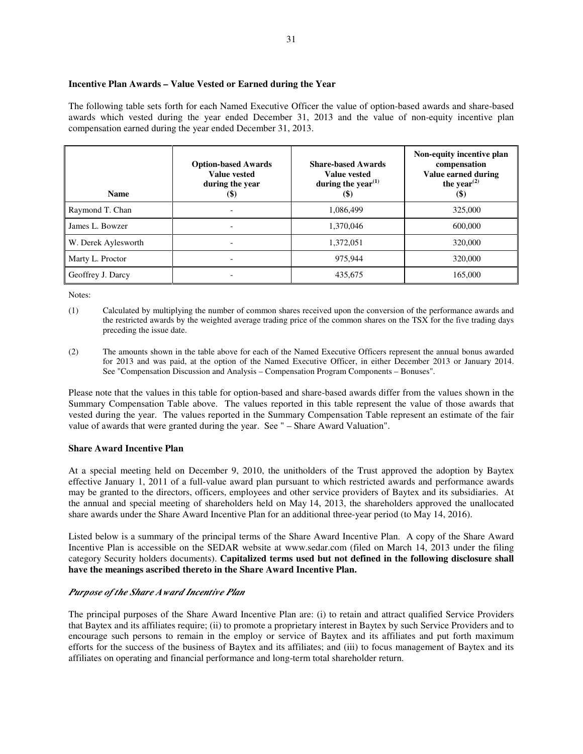# **Incentive Plan Awards – Value Vested or Earned during the Year**

The following table sets forth for each Named Executive Officer the value of option-based awards and share-based awards which vested during the year ended December 31, 2013 and the value of non-equity incentive plan compensation earned during the year ended December 31, 2013.

| <b>Name</b>         | <b>Option-based Awards</b><br>Value vested<br>during the year<br>$\left( \text{\$}\right)$ | <b>Share-based Awards</b><br>Value vested<br>during the year $(1)$<br>$($ \$) | Non-equity incentive plan<br>compensation<br>Value earned during<br>the year <sup><math>(2)</math></sup><br>$\left( \mathcal{S} \right)$ |  |
|---------------------|--------------------------------------------------------------------------------------------|-------------------------------------------------------------------------------|------------------------------------------------------------------------------------------------------------------------------------------|--|
| Raymond T. Chan     |                                                                                            | 1,086,499                                                                     | 325,000                                                                                                                                  |  |
| James L. Bowzer     | $\overline{\phantom{a}}$                                                                   | 1,370,046                                                                     | 600,000                                                                                                                                  |  |
| W. Derek Aylesworth | $\overline{\phantom{0}}$                                                                   | 1,372,051                                                                     | 320,000                                                                                                                                  |  |
| Marty L. Proctor    |                                                                                            | 975.944                                                                       | 320,000                                                                                                                                  |  |
| Geoffrey J. Darcy   | $\overline{\phantom{a}}$                                                                   | 435,675                                                                       | 165,000                                                                                                                                  |  |

Notes:

- (1) Calculated by multiplying the number of common shares received upon the conversion of the performance awards and the restricted awards by the weighted average trading price of the common shares on the TSX for the five trading days preceding the issue date.
- (2) The amounts shown in the table above for each of the Named Executive Officers represent the annual bonus awarded for 2013 and was paid, at the option of the Named Executive Officer, in either December 2013 or January 2014. See "Compensation Discussion and Analysis – Compensation Program Components – Bonuses".

Please note that the values in this table for option-based and share-based awards differ from the values shown in the Summary Compensation Table above. The values reported in this table represent the value of those awards that vested during the year. The values reported in the Summary Compensation Table represent an estimate of the fair value of awards that were granted during the year. See " – Share Award Valuation".

# **Share Award Incentive Plan**

At a special meeting held on December 9, 2010, the unitholders of the Trust approved the adoption by Baytex effective January 1, 2011 of a full-value award plan pursuant to which restricted awards and performance awards may be granted to the directors, officers, employees and other service providers of Baytex and its subsidiaries. At the annual and special meeting of shareholders held on May 14, 2013, the shareholders approved the unallocated share awards under the Share Award Incentive Plan for an additional three-year period (to May 14, 2016).

Listed below is a summary of the principal terms of the Share Award Incentive Plan. A copy of the Share Award Incentive Plan is accessible on the SEDAR website at www.sedar.com (filed on March 14, 2013 under the filing category Security holders documents). **Capitalized terms used but not defined in the following disclosure shall have the meanings ascribed thereto in the Share Award Incentive Plan.** 

# *Purpose of the Share Award Incentive Plan*

The principal purposes of the Share Award Incentive Plan are: (i) to retain and attract qualified Service Providers that Baytex and its affiliates require; (ii) to promote a proprietary interest in Baytex by such Service Providers and to encourage such persons to remain in the employ or service of Baytex and its affiliates and put forth maximum efforts for the success of the business of Baytex and its affiliates; and (iii) to focus management of Baytex and its affiliates on operating and financial performance and long-term total shareholder return.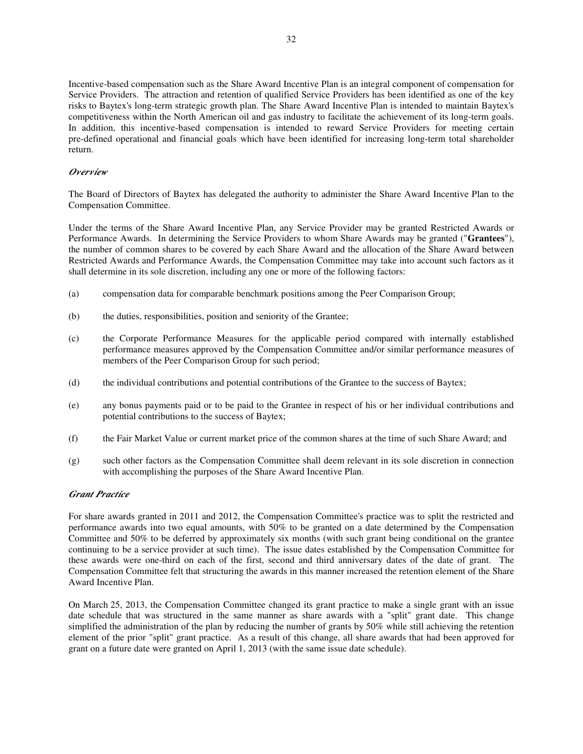Incentive-based compensation such as the Share Award Incentive Plan is an integral component of compensation for Service Providers. The attraction and retention of qualified Service Providers has been identified as one of the key risks to Baytex's long-term strategic growth plan. The Share Award Incentive Plan is intended to maintain Baytex's competitiveness within the North American oil and gas industry to facilitate the achievement of its long-term goals. In addition, this incentive-based compensation is intended to reward Service Providers for meeting certain pre-defined operational and financial goals which have been identified for increasing long-term total shareholder return.

# *Overview*

The Board of Directors of Baytex has delegated the authority to administer the Share Award Incentive Plan to the Compensation Committee.

Under the terms of the Share Award Incentive Plan, any Service Provider may be granted Restricted Awards or Performance Awards. In determining the Service Providers to whom Share Awards may be granted ("**Grantees**"), the number of common shares to be covered by each Share Award and the allocation of the Share Award between Restricted Awards and Performance Awards, the Compensation Committee may take into account such factors as it shall determine in its sole discretion, including any one or more of the following factors:

- (a) compensation data for comparable benchmark positions among the Peer Comparison Group;
- (b) the duties, responsibilities, position and seniority of the Grantee;
- (c) the Corporate Performance Measures for the applicable period compared with internally established performance measures approved by the Compensation Committee and/or similar performance measures of members of the Peer Comparison Group for such period;
- (d) the individual contributions and potential contributions of the Grantee to the success of Baytex;
- (e) any bonus payments paid or to be paid to the Grantee in respect of his or her individual contributions and potential contributions to the success of Baytex;
- (f) the Fair Market Value or current market price of the common shares at the time of such Share Award; and
- (g) such other factors as the Compensation Committee shall deem relevant in its sole discretion in connection with accomplishing the purposes of the Share Award Incentive Plan.

# *Grant Practice*

For share awards granted in 2011 and 2012, the Compensation Committee's practice was to split the restricted and performance awards into two equal amounts, with 50% to be granted on a date determined by the Compensation Committee and 50% to be deferred by approximately six months (with such grant being conditional on the grantee continuing to be a service provider at such time). The issue dates established by the Compensation Committee for these awards were one-third on each of the first, second and third anniversary dates of the date of grant. The Compensation Committee felt that structuring the awards in this manner increased the retention element of the Share Award Incentive Plan.

On March 25, 2013, the Compensation Committee changed its grant practice to make a single grant with an issue date schedule that was structured in the same manner as share awards with a "split" grant date. This change simplified the administration of the plan by reducing the number of grants by 50% while still achieving the retention element of the prior "split" grant practice. As a result of this change, all share awards that had been approved for grant on a future date were granted on April 1, 2013 (with the same issue date schedule).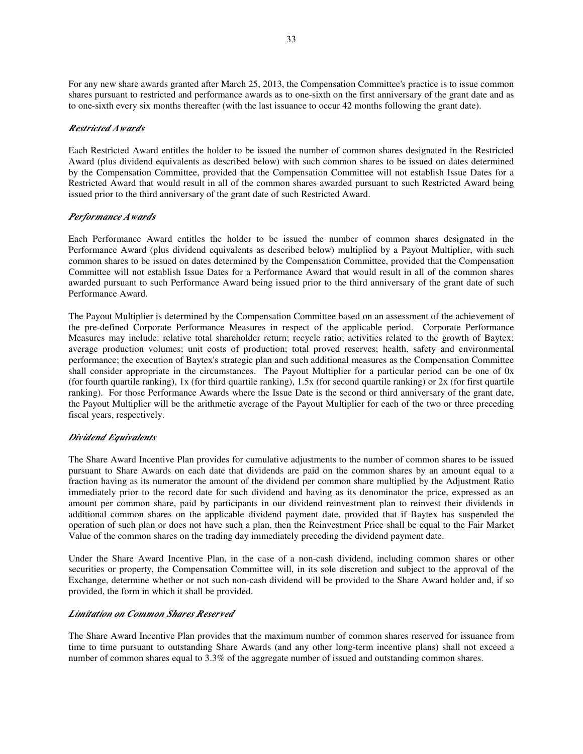For any new share awards granted after March 25, 2013, the Compensation Committee's practice is to issue common shares pursuant to restricted and performance awards as to one-sixth on the first anniversary of the grant date and as to one-sixth every six months thereafter (with the last issuance to occur 42 months following the grant date).

# *Restricted Awards*

Each Restricted Award entitles the holder to be issued the number of common shares designated in the Restricted Award (plus dividend equivalents as described below) with such common shares to be issued on dates determined by the Compensation Committee, provided that the Compensation Committee will not establish Issue Dates for a Restricted Award that would result in all of the common shares awarded pursuant to such Restricted Award being issued prior to the third anniversary of the grant date of such Restricted Award.

# *Performance Awards*

Each Performance Award entitles the holder to be issued the number of common shares designated in the Performance Award (plus dividend equivalents as described below) multiplied by a Payout Multiplier, with such common shares to be issued on dates determined by the Compensation Committee, provided that the Compensation Committee will not establish Issue Dates for a Performance Award that would result in all of the common shares awarded pursuant to such Performance Award being issued prior to the third anniversary of the grant date of such Performance Award.

The Payout Multiplier is determined by the Compensation Committee based on an assessment of the achievement of the pre-defined Corporate Performance Measures in respect of the applicable period. Corporate Performance Measures may include: relative total shareholder return; recycle ratio; activities related to the growth of Baytex; average production volumes; unit costs of production; total proved reserves; health, safety and environmental performance; the execution of Baytex's strategic plan and such additional measures as the Compensation Committee shall consider appropriate in the circumstances. The Payout Multiplier for a particular period can be one of 0x (for fourth quartile ranking), 1x (for third quartile ranking),  $1.5x$  (for second quartile ranking) or 2x (for first quartile ranking). For those Performance Awards where the Issue Date is the second or third anniversary of the grant date, the Payout Multiplier will be the arithmetic average of the Payout Multiplier for each of the two or three preceding fiscal years, respectively.

# *Dividend Equivalents*

The Share Award Incentive Plan provides for cumulative adjustments to the number of common shares to be issued pursuant to Share Awards on each date that dividends are paid on the common shares by an amount equal to a fraction having as its numerator the amount of the dividend per common share multiplied by the Adjustment Ratio immediately prior to the record date for such dividend and having as its denominator the price, expressed as an amount per common share, paid by participants in our dividend reinvestment plan to reinvest their dividends in additional common shares on the applicable dividend payment date, provided that if Baytex has suspended the operation of such plan or does not have such a plan, then the Reinvestment Price shall be equal to the Fair Market Value of the common shares on the trading day immediately preceding the dividend payment date.

Under the Share Award Incentive Plan, in the case of a non-cash dividend, including common shares or other securities or property, the Compensation Committee will, in its sole discretion and subject to the approval of the Exchange, determine whether or not such non-cash dividend will be provided to the Share Award holder and, if so provided, the form in which it shall be provided.

# *Limitation on Common Shares Reserved*

The Share Award Incentive Plan provides that the maximum number of common shares reserved for issuance from time to time pursuant to outstanding Share Awards (and any other long-term incentive plans) shall not exceed a number of common shares equal to 3.3% of the aggregate number of issued and outstanding common shares.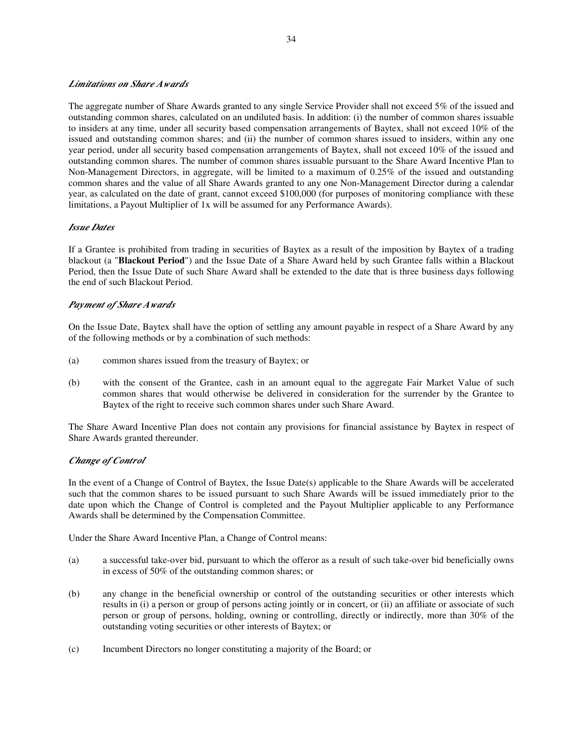# *Limitations on Share Awards*

The aggregate number of Share Awards granted to any single Service Provider shall not exceed 5% of the issued and outstanding common shares, calculated on an undiluted basis. In addition: (i) the number of common shares issuable to insiders at any time, under all security based compensation arrangements of Baytex, shall not exceed 10% of the issued and outstanding common shares; and (ii) the number of common shares issued to insiders, within any one year period, under all security based compensation arrangements of Baytex, shall not exceed 10% of the issued and outstanding common shares. The number of common shares issuable pursuant to the Share Award Incentive Plan to Non-Management Directors, in aggregate, will be limited to a maximum of 0.25% of the issued and outstanding common shares and the value of all Share Awards granted to any one Non-Management Director during a calendar year, as calculated on the date of grant, cannot exceed \$100,000 (for purposes of monitoring compliance with these limitations, a Payout Multiplier of 1x will be assumed for any Performance Awards).

# *Issue Dates*

If a Grantee is prohibited from trading in securities of Baytex as a result of the imposition by Baytex of a trading blackout (a "**Blackout Period**") and the Issue Date of a Share Award held by such Grantee falls within a Blackout Period, then the Issue Date of such Share Award shall be extended to the date that is three business days following the end of such Blackout Period.

# *Payment of Share Awards*

On the Issue Date, Baytex shall have the option of settling any amount payable in respect of a Share Award by any of the following methods or by a combination of such methods:

- (a) common shares issued from the treasury of Baytex; or
- (b) with the consent of the Grantee, cash in an amount equal to the aggregate Fair Market Value of such common shares that would otherwise be delivered in consideration for the surrender by the Grantee to Baytex of the right to receive such common shares under such Share Award.

The Share Award Incentive Plan does not contain any provisions for financial assistance by Baytex in respect of Share Awards granted thereunder.

# *Change of Control*

In the event of a Change of Control of Baytex, the Issue Date(s) applicable to the Share Awards will be accelerated such that the common shares to be issued pursuant to such Share Awards will be issued immediately prior to the date upon which the Change of Control is completed and the Payout Multiplier applicable to any Performance Awards shall be determined by the Compensation Committee.

Under the Share Award Incentive Plan, a Change of Control means:

- (a) a successful take-over bid, pursuant to which the offeror as a result of such take-over bid beneficially owns in excess of 50% of the outstanding common shares; or
- (b) any change in the beneficial ownership or control of the outstanding securities or other interests which results in (i) a person or group of persons acting jointly or in concert, or (ii) an affiliate or associate of such person or group of persons, holding, owning or controlling, directly or indirectly, more than 30% of the outstanding voting securities or other interests of Baytex; or
- (c) Incumbent Directors no longer constituting a majority of the Board; or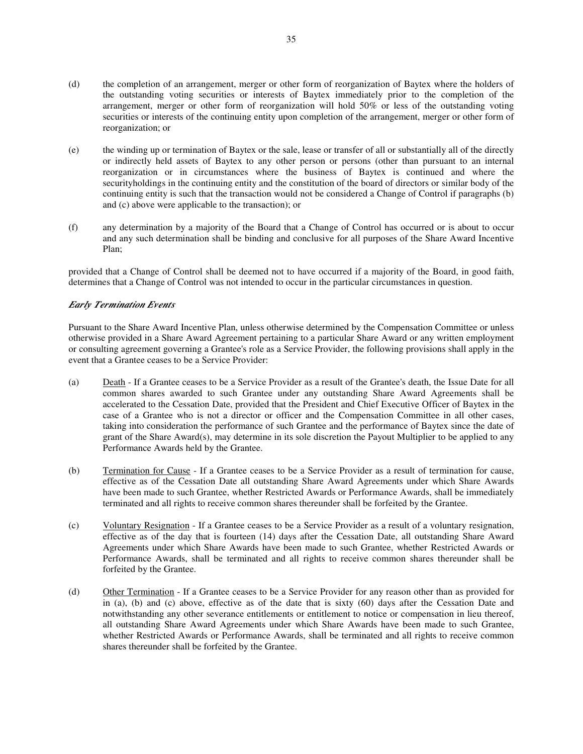- (d) the completion of an arrangement, merger or other form of reorganization of Baytex where the holders of the outstanding voting securities or interests of Baytex immediately prior to the completion of the arrangement, merger or other form of reorganization will hold 50% or less of the outstanding voting securities or interests of the continuing entity upon completion of the arrangement, merger or other form of reorganization; or
- (e) the winding up or termination of Baytex or the sale, lease or transfer of all or substantially all of the directly or indirectly held assets of Baytex to any other person or persons (other than pursuant to an internal reorganization or in circumstances where the business of Baytex is continued and where the securityholdings in the continuing entity and the constitution of the board of directors or similar body of the continuing entity is such that the transaction would not be considered a Change of Control if paragraphs (b) and (c) above were applicable to the transaction); or
- (f) any determination by a majority of the Board that a Change of Control has occurred or is about to occur and any such determination shall be binding and conclusive for all purposes of the Share Award Incentive Plan;

provided that a Change of Control shall be deemed not to have occurred if a majority of the Board, in good faith, determines that a Change of Control was not intended to occur in the particular circumstances in question.

# *Early Termination Events*

Pursuant to the Share Award Incentive Plan, unless otherwise determined by the Compensation Committee or unless otherwise provided in a Share Award Agreement pertaining to a particular Share Award or any written employment or consulting agreement governing a Grantee's role as a Service Provider, the following provisions shall apply in the event that a Grantee ceases to be a Service Provider:

- (a) Death If a Grantee ceases to be a Service Provider as a result of the Grantee's death, the Issue Date for all common shares awarded to such Grantee under any outstanding Share Award Agreements shall be accelerated to the Cessation Date, provided that the President and Chief Executive Officer of Baytex in the case of a Grantee who is not a director or officer and the Compensation Committee in all other cases, taking into consideration the performance of such Grantee and the performance of Baytex since the date of grant of the Share Award(s), may determine in its sole discretion the Payout Multiplier to be applied to any Performance Awards held by the Grantee.
- (b) Termination for Cause If a Grantee ceases to be a Service Provider as a result of termination for cause, effective as of the Cessation Date all outstanding Share Award Agreements under which Share Awards have been made to such Grantee, whether Restricted Awards or Performance Awards, shall be immediately terminated and all rights to receive common shares thereunder shall be forfeited by the Grantee.
- (c) Voluntary Resignation If a Grantee ceases to be a Service Provider as a result of a voluntary resignation, effective as of the day that is fourteen (14) days after the Cessation Date, all outstanding Share Award Agreements under which Share Awards have been made to such Grantee, whether Restricted Awards or Performance Awards, shall be terminated and all rights to receive common shares thereunder shall be forfeited by the Grantee.
- (d) Other Termination If a Grantee ceases to be a Service Provider for any reason other than as provided for in (a), (b) and (c) above, effective as of the date that is sixty (60) days after the Cessation Date and notwithstanding any other severance entitlements or entitlement to notice or compensation in lieu thereof, all outstanding Share Award Agreements under which Share Awards have been made to such Grantee, whether Restricted Awards or Performance Awards, shall be terminated and all rights to receive common shares thereunder shall be forfeited by the Grantee.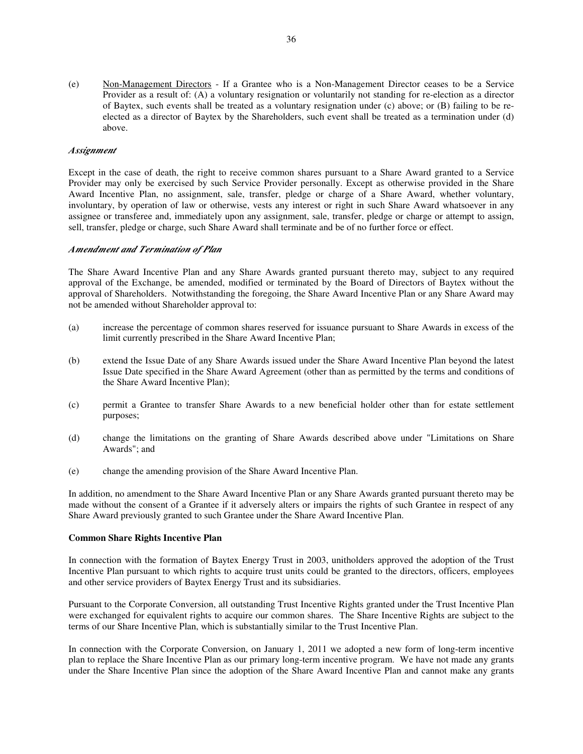(e) Non-Management Directors - If a Grantee who is a Non-Management Director ceases to be a Service Provider as a result of: (A) a voluntary resignation or voluntarily not standing for re-election as a director of Baytex, such events shall be treated as a voluntary resignation under (c) above; or (B) failing to be reelected as a director of Baytex by the Shareholders, such event shall be treated as a termination under (d) above.

# *Assignment*

Except in the case of death, the right to receive common shares pursuant to a Share Award granted to a Service Provider may only be exercised by such Service Provider personally. Except as otherwise provided in the Share Award Incentive Plan, no assignment, sale, transfer, pledge or charge of a Share Award, whether voluntary, involuntary, by operation of law or otherwise, vests any interest or right in such Share Award whatsoever in any assignee or transferee and, immediately upon any assignment, sale, transfer, pledge or charge or attempt to assign, sell, transfer, pledge or charge, such Share Award shall terminate and be of no further force or effect.

# *Amendment and Termination of Plan*

The Share Award Incentive Plan and any Share Awards granted pursuant thereto may, subject to any required approval of the Exchange, be amended, modified or terminated by the Board of Directors of Baytex without the approval of Shareholders. Notwithstanding the foregoing, the Share Award Incentive Plan or any Share Award may not be amended without Shareholder approval to:

- (a) increase the percentage of common shares reserved for issuance pursuant to Share Awards in excess of the limit currently prescribed in the Share Award Incentive Plan;
- (b) extend the Issue Date of any Share Awards issued under the Share Award Incentive Plan beyond the latest Issue Date specified in the Share Award Agreement (other than as permitted by the terms and conditions of the Share Award Incentive Plan);
- (c) permit a Grantee to transfer Share Awards to a new beneficial holder other than for estate settlement purposes;
- (d) change the limitations on the granting of Share Awards described above under "Limitations on Share Awards"; and
- (e) change the amending provision of the Share Award Incentive Plan.

In addition, no amendment to the Share Award Incentive Plan or any Share Awards granted pursuant thereto may be made without the consent of a Grantee if it adversely alters or impairs the rights of such Grantee in respect of any Share Award previously granted to such Grantee under the Share Award Incentive Plan.

#### **Common Share Rights Incentive Plan**

In connection with the formation of Baytex Energy Trust in 2003, unitholders approved the adoption of the Trust Incentive Plan pursuant to which rights to acquire trust units could be granted to the directors, officers, employees and other service providers of Baytex Energy Trust and its subsidiaries.

Pursuant to the Corporate Conversion, all outstanding Trust Incentive Rights granted under the Trust Incentive Plan were exchanged for equivalent rights to acquire our common shares. The Share Incentive Rights are subject to the terms of our Share Incentive Plan, which is substantially similar to the Trust Incentive Plan.

In connection with the Corporate Conversion, on January 1, 2011 we adopted a new form of long-term incentive plan to replace the Share Incentive Plan as our primary long-term incentive program. We have not made any grants under the Share Incentive Plan since the adoption of the Share Award Incentive Plan and cannot make any grants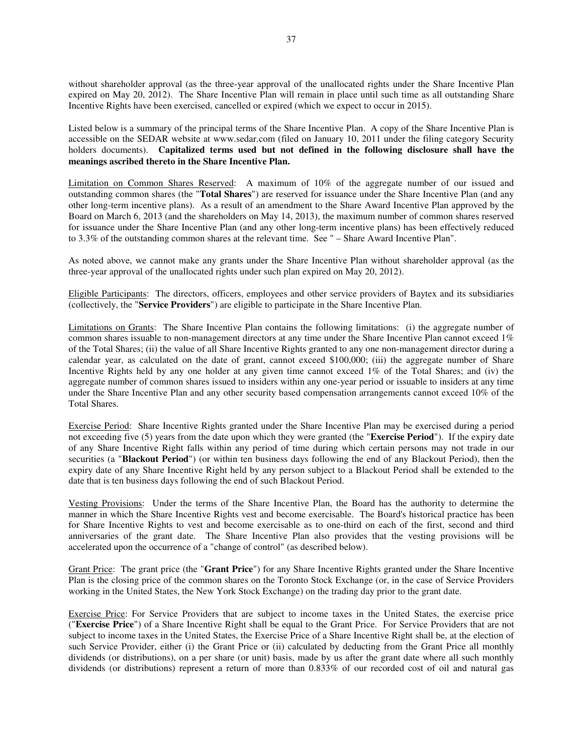without shareholder approval (as the three-year approval of the unallocated rights under the Share Incentive Plan expired on May 20, 2012). The Share Incentive Plan will remain in place until such time as all outstanding Share Incentive Rights have been exercised, cancelled or expired (which we expect to occur in 2015).

Listed below is a summary of the principal terms of the Share Incentive Plan. A copy of the Share Incentive Plan is accessible on the SEDAR website at www.sedar.com (filed on January 10, 2011 under the filing category Security holders documents). **Capitalized terms used but not defined in the following disclosure shall have the meanings ascribed thereto in the Share Incentive Plan.**

Limitation on Common Shares Reserved: A maximum of 10% of the aggregate number of our issued and outstanding common shares (the "**Total Shares**") are reserved for issuance under the Share Incentive Plan (and any other long-term incentive plans). As a result of an amendment to the Share Award Incentive Plan approved by the Board on March 6, 2013 (and the shareholders on May 14, 2013), the maximum number of common shares reserved for issuance under the Share Incentive Plan (and any other long-term incentive plans) has been effectively reduced to 3.3% of the outstanding common shares at the relevant time. See " – Share Award Incentive Plan".

As noted above, we cannot make any grants under the Share Incentive Plan without shareholder approval (as the three-year approval of the unallocated rights under such plan expired on May 20, 2012).

Eligible Participants: The directors, officers, employees and other service providers of Baytex and its subsidiaries (collectively, the "**Service Providers**") are eligible to participate in the Share Incentive Plan.

Limitations on Grants: The Share Incentive Plan contains the following limitations: (i) the aggregate number of common shares issuable to non-management directors at any time under the Share Incentive Plan cannot exceed 1% of the Total Shares; (ii) the value of all Share Incentive Rights granted to any one non-management director during a calendar year, as calculated on the date of grant, cannot exceed \$100,000; (iii) the aggregate number of Share Incentive Rights held by any one holder at any given time cannot exceed 1% of the Total Shares; and (iv) the aggregate number of common shares issued to insiders within any one-year period or issuable to insiders at any time under the Share Incentive Plan and any other security based compensation arrangements cannot exceed 10% of the Total Shares.

Exercise Period: Share Incentive Rights granted under the Share Incentive Plan may be exercised during a period not exceeding five (5) years from the date upon which they were granted (the "**Exercise Period**"). If the expiry date of any Share Incentive Right falls within any period of time during which certain persons may not trade in our securities (a "**Blackout Period**") (or within ten business days following the end of any Blackout Period), then the expiry date of any Share Incentive Right held by any person subject to a Blackout Period shall be extended to the date that is ten business days following the end of such Blackout Period.

Vesting Provisions: Under the terms of the Share Incentive Plan, the Board has the authority to determine the manner in which the Share Incentive Rights vest and become exercisable. The Board's historical practice has been for Share Incentive Rights to vest and become exercisable as to one-third on each of the first, second and third anniversaries of the grant date. The Share Incentive Plan also provides that the vesting provisions will be accelerated upon the occurrence of a "change of control" (as described below).

Grant Price: The grant price (the "**Grant Price**") for any Share Incentive Rights granted under the Share Incentive Plan is the closing price of the common shares on the Toronto Stock Exchange (or, in the case of Service Providers working in the United States, the New York Stock Exchange) on the trading day prior to the grant date.

Exercise Price: For Service Providers that are subject to income taxes in the United States, the exercise price ("**Exercise Price**") of a Share Incentive Right shall be equal to the Grant Price. For Service Providers that are not subject to income taxes in the United States, the Exercise Price of a Share Incentive Right shall be, at the election of such Service Provider, either (i) the Grant Price or (ii) calculated by deducting from the Grant Price all monthly dividends (or distributions), on a per share (or unit) basis, made by us after the grant date where all such monthly dividends (or distributions) represent a return of more than 0.833% of our recorded cost of oil and natural gas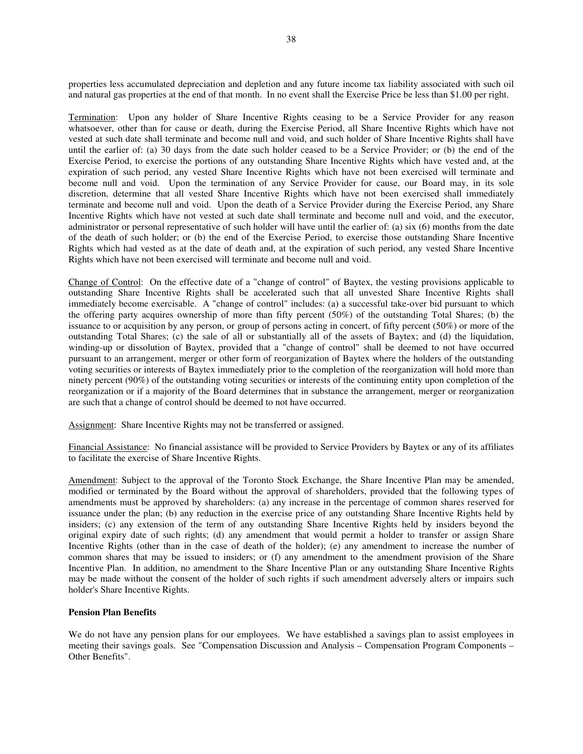properties less accumulated depreciation and depletion and any future income tax liability associated with such oil and natural gas properties at the end of that month. In no event shall the Exercise Price be less than \$1.00 per right.

Termination: Upon any holder of Share Incentive Rights ceasing to be a Service Provider for any reason whatsoever, other than for cause or death, during the Exercise Period, all Share Incentive Rights which have not vested at such date shall terminate and become null and void, and such holder of Share Incentive Rights shall have until the earlier of: (a) 30 days from the date such holder ceased to be a Service Provider; or (b) the end of the Exercise Period, to exercise the portions of any outstanding Share Incentive Rights which have vested and, at the expiration of such period, any vested Share Incentive Rights which have not been exercised will terminate and become null and void. Upon the termination of any Service Provider for cause, our Board may, in its sole discretion, determine that all vested Share Incentive Rights which have not been exercised shall immediately terminate and become null and void. Upon the death of a Service Provider during the Exercise Period, any Share Incentive Rights which have not vested at such date shall terminate and become null and void, and the executor, administrator or personal representative of such holder will have until the earlier of: (a) six (6) months from the date of the death of such holder; or (b) the end of the Exercise Period, to exercise those outstanding Share Incentive Rights which had vested as at the date of death and, at the expiration of such period, any vested Share Incentive Rights which have not been exercised will terminate and become null and void.

Change of Control: On the effective date of a "change of control" of Baytex, the vesting provisions applicable to outstanding Share Incentive Rights shall be accelerated such that all unvested Share Incentive Rights shall immediately become exercisable. A "change of control" includes: (a) a successful take-over bid pursuant to which the offering party acquires ownership of more than fifty percent (50%) of the outstanding Total Shares; (b) the issuance to or acquisition by any person, or group of persons acting in concert, of fifty percent (50%) or more of the outstanding Total Shares; (c) the sale of all or substantially all of the assets of Baytex; and (d) the liquidation, winding-up or dissolution of Baytex, provided that a "change of control" shall be deemed to not have occurred pursuant to an arrangement, merger or other form of reorganization of Baytex where the holders of the outstanding voting securities or interests of Baytex immediately prior to the completion of the reorganization will hold more than ninety percent (90%) of the outstanding voting securities or interests of the continuing entity upon completion of the reorganization or if a majority of the Board determines that in substance the arrangement, merger or reorganization are such that a change of control should be deemed to not have occurred.

Assignment: Share Incentive Rights may not be transferred or assigned.

Financial Assistance: No financial assistance will be provided to Service Providers by Baytex or any of its affiliates to facilitate the exercise of Share Incentive Rights.

Amendment: Subject to the approval of the Toronto Stock Exchange, the Share Incentive Plan may be amended, modified or terminated by the Board without the approval of shareholders, provided that the following types of amendments must be approved by shareholders: (a) any increase in the percentage of common shares reserved for issuance under the plan; (b) any reduction in the exercise price of any outstanding Share Incentive Rights held by insiders; (c) any extension of the term of any outstanding Share Incentive Rights held by insiders beyond the original expiry date of such rights; (d) any amendment that would permit a holder to transfer or assign Share Incentive Rights (other than in the case of death of the holder); (e) any amendment to increase the number of common shares that may be issued to insiders; or (f) any amendment to the amendment provision of the Share Incentive Plan. In addition, no amendment to the Share Incentive Plan or any outstanding Share Incentive Rights may be made without the consent of the holder of such rights if such amendment adversely alters or impairs such holder's Share Incentive Rights.

# **Pension Plan Benefits**

We do not have any pension plans for our employees. We have established a savings plan to assist employees in meeting their savings goals. See "Compensation Discussion and Analysis – Compensation Program Components – Other Benefits".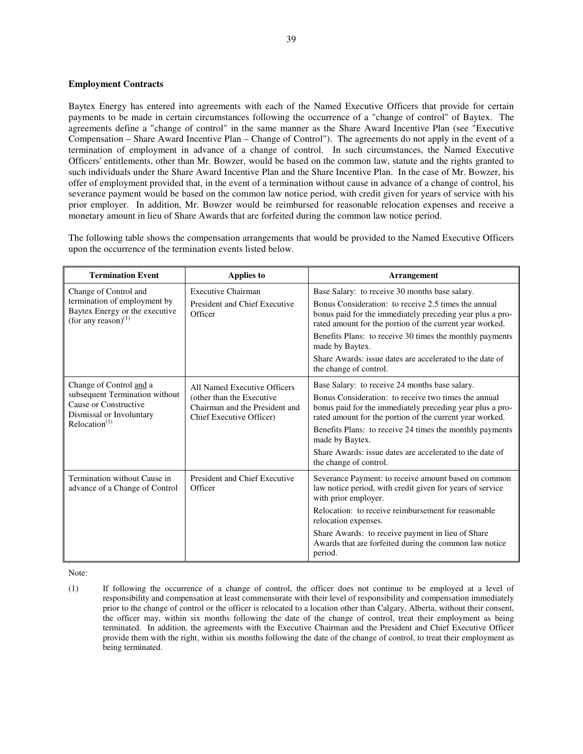# **Employment Contracts**

Baytex Energy has entered into agreements with each of the Named Executive Officers that provide for certain payments to be made in certain circumstances following the occurrence of a "change of control" of Baytex. The agreements define a "change of control" in the same manner as the Share Award Incentive Plan (see "Executive Compensation – Share Award Incentive Plan – Change of Control"). The agreements do not apply in the event of a termination of employment in advance of a change of control. In such circumstances, the Named Executive Officers' entitlements, other than Mr. Bowzer, would be based on the common law, statute and the rights granted to such individuals under the Share Award Incentive Plan and the Share Incentive Plan. In the case of Mr. Bowzer, his offer of employment provided that, in the event of a termination without cause in advance of a change of control, his severance payment would be based on the common law notice period, with credit given for years of service with his prior employer. In addition, Mr. Bowzer would be reimbursed for reasonable relocation expenses and receive a monetary amount in lieu of Share Awards that are forfeited during the common law notice period.

The following table shows the compensation arrangements that would be provided to the Named Executive Officers upon the occurrence of the termination events listed below.

| <b>Termination Event</b>                                                                    | <b>Applies to</b>                                                                       | <b>Arrangement</b>                                                                                                                                                            |
|---------------------------------------------------------------------------------------------|-----------------------------------------------------------------------------------------|-------------------------------------------------------------------------------------------------------------------------------------------------------------------------------|
| Change of Control and                                                                       | Executive Chairman                                                                      | Base Salary: to receive 30 months base salary.                                                                                                                                |
| termination of employment by<br>Baytex Energy or the executive<br>(for any reason) $^{(1)}$ | President and Chief Executive<br>Officer                                                | Bonus Consideration: to receive 2.5 times the annual<br>bonus paid for the immediately preceding year plus a pro-<br>rated amount for the portion of the current year worked. |
|                                                                                             |                                                                                         | Benefits Plans: to receive 30 times the monthly payments<br>made by Baytex.                                                                                                   |
|                                                                                             |                                                                                         | Share Awards: issue dates are accelerated to the date of<br>the change of control.                                                                                            |
| Change of Control and a                                                                     | All Named Executive Officers                                                            | Base Salary: to receive 24 months base salary.                                                                                                                                |
| subsequent Termination without<br>Cause or Constructive<br>Dismissal or Involuntary         | (other than the Executive<br>Chairman and the President and<br>Chief Executive Officer) | Bonus Consideration: to receive two times the annual<br>bonus paid for the immediately preceding year plus a pro-<br>rated amount for the portion of the current year worked. |
| Relocation <sup>(1)</sup>                                                                   |                                                                                         | Benefits Plans: to receive 24 times the monthly payments<br>made by Baytex.                                                                                                   |
|                                                                                             |                                                                                         | Share Awards: issue dates are accelerated to the date of<br>the change of control.                                                                                            |
| Termination without Cause in<br>advance of a Change of Control                              | President and Chief Executive<br>Officer                                                | Severance Payment: to receive amount based on common<br>law notice period, with credit given for years of service<br>with prior employer.                                     |
|                                                                                             |                                                                                         | Relocation: to receive reimbursement for reasonable<br>relocation expenses.                                                                                                   |
|                                                                                             |                                                                                         | Share Awards: to receive payment in lieu of Share<br>Awards that are forfeited during the common law notice<br>period.                                                        |

Note:

(1) If following the occurrence of a change of control, the officer does not continue to be employed at a level of responsibility and compensation at least commensurate with their level of responsibility and compensation immediately prior to the change of control or the officer is relocated to a location other than Calgary, Alberta, without their consent, the officer may, within six months following the date of the change of control, treat their employment as being terminated. In addition, the agreements with the Executive Chairman and the President and Chief Executive Officer provide them with the right, within six months following the date of the change of control, to treat their employment as being terminated.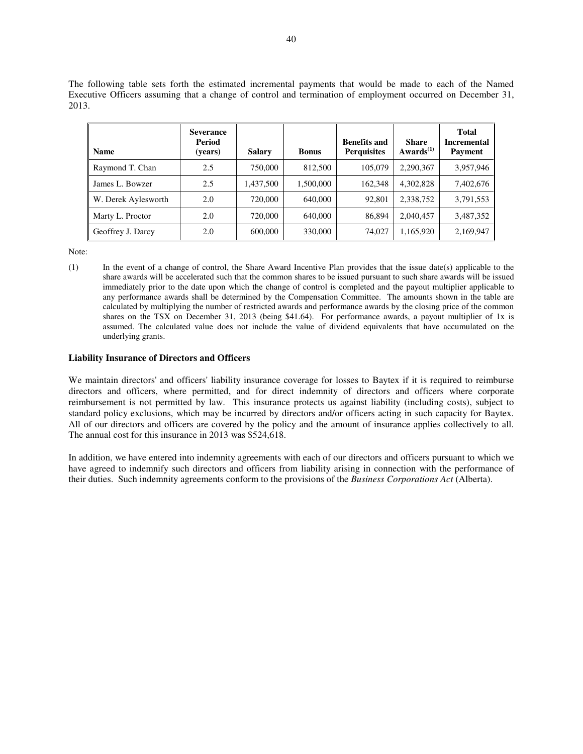The following table sets forth the estimated incremental payments that would be made to each of the Named Executive Officers assuming that a change of control and termination of employment occurred on December 31, 2013.

| <b>Name</b>         | <b>Severance</b><br>Period<br>(years) | <b>Salary</b> | <b>Bonus</b> | <b>Benefits and</b><br><b>Perquisites</b> | <b>Share</b><br>Awards <sup>(1)</sup> | <b>Total</b><br><b>Incremental</b><br>Payment |
|---------------------|---------------------------------------|---------------|--------------|-------------------------------------------|---------------------------------------|-----------------------------------------------|
| Raymond T. Chan     | 2.5                                   | 750,000       | 812,500      | 105,079                                   | 2,290,367                             | 3,957,946                                     |
| James L. Bowzer     | 2.5                                   | 1,437,500     | 1,500,000    | 162,348                                   | 4,302,828                             | 7,402,676                                     |
| W. Derek Aylesworth | 2.0                                   | 720,000       | 640,000      | 92,801                                    | 2.338.752                             | 3,791,553                                     |
| Marty L. Proctor    | 2.0                                   | 720,000       | 640,000      | 86,894                                    | 2,040,457                             | 3,487,352                                     |
| Geoffrey J. Darcy   | 2.0                                   | 600,000       | 330,000      | 74,027                                    | 1,165,920                             | 2,169,947                                     |

Note:

(1) In the event of a change of control, the Share Award Incentive Plan provides that the issue date(s) applicable to the share awards will be accelerated such that the common shares to be issued pursuant to such share awards will be issued immediately prior to the date upon which the change of control is completed and the payout multiplier applicable to any performance awards shall be determined by the Compensation Committee. The amounts shown in the table are calculated by multiplying the number of restricted awards and performance awards by the closing price of the common shares on the TSX on December 31, 2013 (being \$41.64). For performance awards, a payout multiplier of 1x is assumed. The calculated value does not include the value of dividend equivalents that have accumulated on the underlying grants.

# **Liability Insurance of Directors and Officers**

We maintain directors' and officers' liability insurance coverage for losses to Baytex if it is required to reimburse directors and officers, where permitted, and for direct indemnity of directors and officers where corporate reimbursement is not permitted by law. This insurance protects us against liability (including costs), subject to standard policy exclusions, which may be incurred by directors and/or officers acting in such capacity for Baytex. All of our directors and officers are covered by the policy and the amount of insurance applies collectively to all. The annual cost for this insurance in 2013 was \$524,618.

In addition, we have entered into indemnity agreements with each of our directors and officers pursuant to which we have agreed to indemnify such directors and officers from liability arising in connection with the performance of their duties. Such indemnity agreements conform to the provisions of the *Business Corporations Act* (Alberta).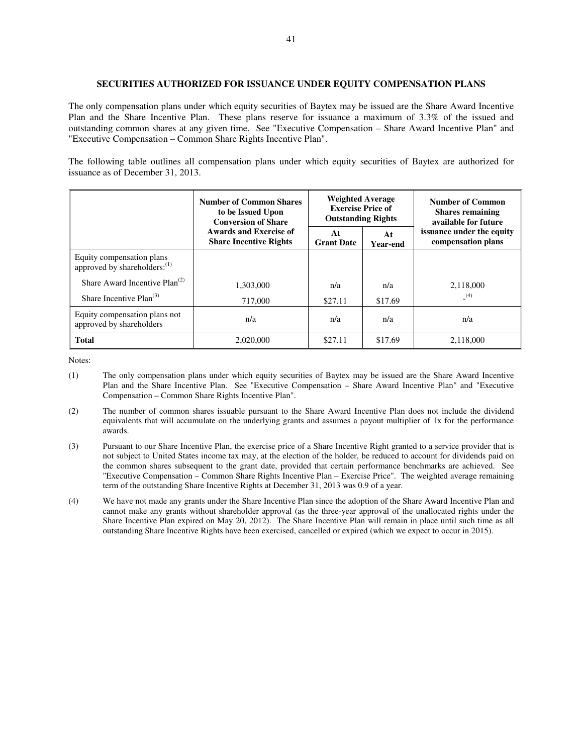# **SECURITIES AUTHORIZED FOR ISSUANCE UNDER EQUITY COMPENSATION PLANS**

The only compensation plans under which equity securities of Baytex may be issued are the Share Award Incentive Plan and the Share Incentive Plan. These plans reserve for issuance a maximum of 3.3% of the issued and outstanding common shares at any given time. See "Executive Compensation – Share Award Incentive Plan" and "Executive Compensation – Common Share Rights Incentive Plan".

The following table outlines all compensation plans under which equity securities of Baytex are authorized for issuance as of December 31, 2013.

|                                                                       | <b>Number of Common Shares</b><br>to be Issued Upon<br><b>Conversion of Share</b> | <b>Weighted Average</b><br><b>Exercise Price of</b><br><b>Outstanding Rights</b> |                       | <b>Number of Common</b><br><b>Shares remaining</b><br>available for future |
|-----------------------------------------------------------------------|-----------------------------------------------------------------------------------|----------------------------------------------------------------------------------|-----------------------|----------------------------------------------------------------------------|
|                                                                       | Awards and Exercise of<br><b>Share Incentive Rights</b>                           | At<br><b>Grant Date</b>                                                          | At<br><b>Year-end</b> | issuance under the equity<br>compensation plans                            |
| Equity compensation plans<br>approved by shareholders: <sup>(1)</sup> |                                                                                   |                                                                                  |                       |                                                                            |
| Share Award Incentive $Plan^{(2)}$<br>Share Incentive $Plan^{(3)}$    | 1,303,000                                                                         | n/a                                                                              | n/a                   | 2,118,000<br>(4)                                                           |
|                                                                       | 717,000                                                                           | \$27.11                                                                          | \$17.69               |                                                                            |
| Equity compensation plans not<br>approved by shareholders             | n/a                                                                               | n/a                                                                              | n/a                   | n/a                                                                        |
| <b>Total</b>                                                          | 2,020,000                                                                         | \$27.11                                                                          | \$17.69               | 2,118,000                                                                  |

- (1) The only compensation plans under which equity securities of Baytex may be issued are the Share Award Incentive Plan and the Share Incentive Plan. See "Executive Compensation – Share Award Incentive Plan" and "Executive Compensation – Common Share Rights Incentive Plan".
- (2) The number of common shares issuable pursuant to the Share Award Incentive Plan does not include the dividend equivalents that will accumulate on the underlying grants and assumes a payout multiplier of 1x for the performance awards.
- (3) Pursuant to our Share Incentive Plan, the exercise price of a Share Incentive Right granted to a service provider that is not subject to United States income tax may, at the election of the holder, be reduced to account for dividends paid on the common shares subsequent to the grant date, provided that certain performance benchmarks are achieved. See "Executive Compensation – Common Share Rights Incentive Plan – Exercise Price". The weighted average remaining term of the outstanding Share Incentive Rights at December 31, 2013 was 0.9 of a year.
- (4) We have not made any grants under the Share Incentive Plan since the adoption of the Share Award Incentive Plan and cannot make any grants without shareholder approval (as the three-year approval of the unallocated rights under the Share Incentive Plan expired on May 20, 2012). The Share Incentive Plan will remain in place until such time as all outstanding Share Incentive Rights have been exercised, cancelled or expired (which we expect to occur in 2015).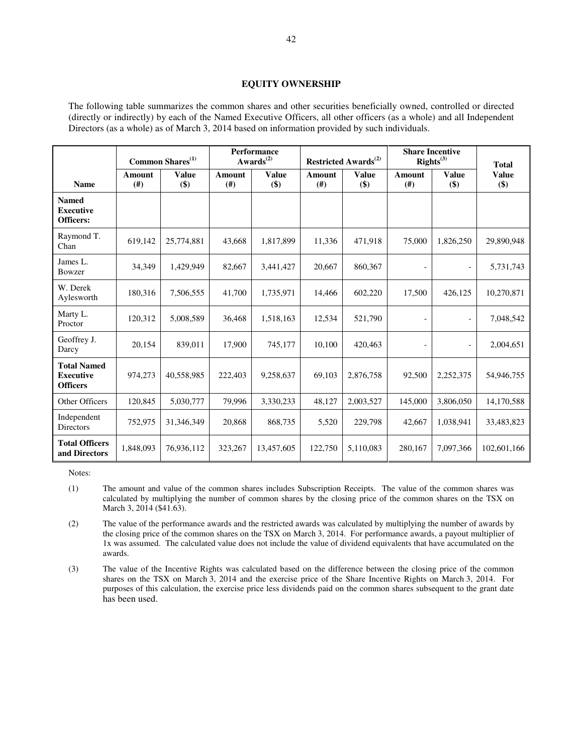# **EQUITY OWNERSHIP**

The following table summarizes the common shares and other securities beneficially owned, controlled or directed (directly or indirectly) by each of the Named Executive Officers, all other officers (as a whole) and all Independent Directors (as a whole) as of March 3, 2014 based on information provided by such individuals.

|                                                           | Common Shares <sup>(1)</sup> |                     | <b>Performance</b><br>$Awards^{(2)}$ |                            | Restricted Awards <sup>(2)</sup> |                     | <b>Share Incentive</b><br>Right <sup>(3)</sup> |                              | <b>Total</b>        |
|-----------------------------------------------------------|------------------------------|---------------------|--------------------------------------|----------------------------|----------------------------------|---------------------|------------------------------------------------|------------------------------|---------------------|
| <b>Name</b>                                               | Amount<br>(#)                | <b>Value</b><br>\$) | <b>Amount</b><br>(#)                 | <b>Value</b><br>$($ \$ $)$ | Amount<br>(#)                    | <b>Value</b><br>\$) | <b>Amount</b><br>(#)                           | <b>Value</b><br>\$)          | <b>Value</b><br>\$) |
| <b>Named</b><br><b>Executive</b><br><b>Officers:</b>      |                              |                     |                                      |                            |                                  |                     |                                                |                              |                     |
| Raymond T.<br>Chan                                        | 619,142                      | 25,774,881          | 43,668                               | 1,817,899                  | 11,336                           | 471,918             | 75,000                                         | 1,826,250                    | 29,890,948          |
| James L.<br>Bowzer                                        | 34,349                       | 1,429,949           | 82,667                               | 3,441,427                  | 20,667                           | 860,367             |                                                |                              | 5,731,743           |
| W. Derek<br>Aylesworth                                    | 180,316                      | 7,506,555           | 41,700                               | 1,735,971                  | 14.466                           | 602,220             | 17,500                                         | 426,125                      | 10,270,871          |
| Marty L.<br>Proctor                                       | 120,312                      | 5.008.589           | 36,468                               | 1,518,163                  | 12,534                           | 521,790             | $\overline{\phantom{a}}$                       | $\qquad \qquad \blacksquare$ | 7,048,542           |
| Geoffrey J.<br>Darcy                                      | 20,154                       | 839,011             | 17,900                               | 745,177                    | 10,100                           | 420,463             | $\overline{\phantom{a}}$                       | $\qquad \qquad \blacksquare$ | 2,004,651           |
| <b>Total Named</b><br><b>Executive</b><br><b>Officers</b> | 974,273                      | 40,558,985          | 222,403                              | 9,258,637                  | 69,103                           | 2,876,758           | 92,500                                         | 2,252,375                    | 54,946,755          |
| Other Officers                                            | 120,845                      | 5,030,777           | 79,996                               | 3,330,233                  | 48,127                           | 2,003,527           | 145,000                                        | 3,806,050                    | 14,170,588          |
| Independent<br><b>Directors</b>                           | 752,975                      | 31,346,349          | 20,868                               | 868,735                    | 5,520                            | 229,798             | 42,667                                         | 1,038,941                    | 33,483,823          |
| <b>Total Officers</b><br>and Directors                    | 1,848,093                    | 76,936,112          | 323,267                              | 13,457,605                 | 122,750                          | 5,110,083           | 280,167                                        | 7,097,366                    | 102,601,166         |

<sup>(1)</sup> The amount and value of the common shares includes Subscription Receipts. The value of the common shares was calculated by multiplying the number of common shares by the closing price of the common shares on the TSX on March 3, 2014 (\$41.63).

<sup>(2)</sup> The value of the performance awards and the restricted awards was calculated by multiplying the number of awards by the closing price of the common shares on the TSX on March 3, 2014. For performance awards, a payout multiplier of 1x was assumed. The calculated value does not include the value of dividend equivalents that have accumulated on the awards.

<sup>(3)</sup> The value of the Incentive Rights was calculated based on the difference between the closing price of the common shares on the TSX on March 3, 2014 and the exercise price of the Share Incentive Rights on March 3, 2014. For purposes of this calculation, the exercise price less dividends paid on the common shares subsequent to the grant date has been used.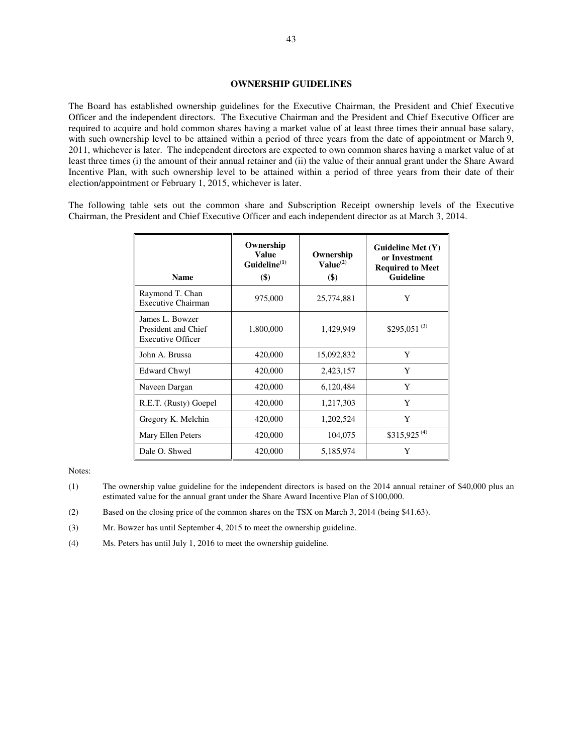The Board has established ownership guidelines for the Executive Chairman, the President and Chief Executive Officer and the independent directors. The Executive Chairman and the President and Chief Executive Officer are required to acquire and hold common shares having a market value of at least three times their annual base salary, with such ownership level to be attained within a period of three years from the date of appointment or March 9, 2011, whichever is later. The independent directors are expected to own common shares having a market value of at least three times (i) the amount of their annual retainer and (ii) the value of their annual grant under the Share Award Incentive Plan, with such ownership level to be attained within a period of three years from their date of their election/appointment or February 1, 2015, whichever is later.

The following table sets out the common share and Subscription Receipt ownership levels of the Executive Chairman, the President and Chief Executive Officer and each independent director as at March 3, 2014.

| <b>Name</b>                                                        | Ownership<br><b>Value</b><br>Guideline <sup>(1)</sup><br>$($ \$) | Ownership<br>$Value^{(2)}$<br>$($ \$) | Guideline Met $(Y)$<br>or Investment<br><b>Required to Meet</b><br>Guideline |
|--------------------------------------------------------------------|------------------------------------------------------------------|---------------------------------------|------------------------------------------------------------------------------|
| Raymond T. Chan<br><b>Executive Chairman</b>                       | 975,000                                                          | 25,774,881                            | Y                                                                            |
| James L. Bowzer<br>President and Chief<br><b>Executive Officer</b> | 1,800,000                                                        | 1,429,949                             | \$295,051 $^{(3)}$                                                           |
| John A. Brussa                                                     | 420,000                                                          | 15,092,832                            | Y                                                                            |
| Edward Chwyl                                                       | 420,000                                                          | 2,423,157                             | Y                                                                            |
| Naveen Dargan                                                      | 420,000                                                          | 6,120,484                             | Y                                                                            |
| R.E.T. (Rusty) Goepel                                              | 420,000                                                          | 1,217,303                             | Y                                                                            |
| Gregory K. Melchin                                                 | 420,000                                                          | 1,202,524                             | Y                                                                            |
| Mary Ellen Peters                                                  | 420,000                                                          | 104,075                               | \$315,925 <sup>(4)</sup>                                                     |
| Dale O. Shwed                                                      | 420,000                                                          | 5,185,974                             | Y                                                                            |

- (1) The ownership value guideline for the independent directors is based on the 2014 annual retainer of \$40,000 plus an estimated value for the annual grant under the Share Award Incentive Plan of \$100,000.
- (2) Based on the closing price of the common shares on the TSX on March 3, 2014 (being \$41.63).
- (3) Mr. Bowzer has until September 4, 2015 to meet the ownership guideline.
- (4) Ms. Peters has until July 1, 2016 to meet the ownership guideline.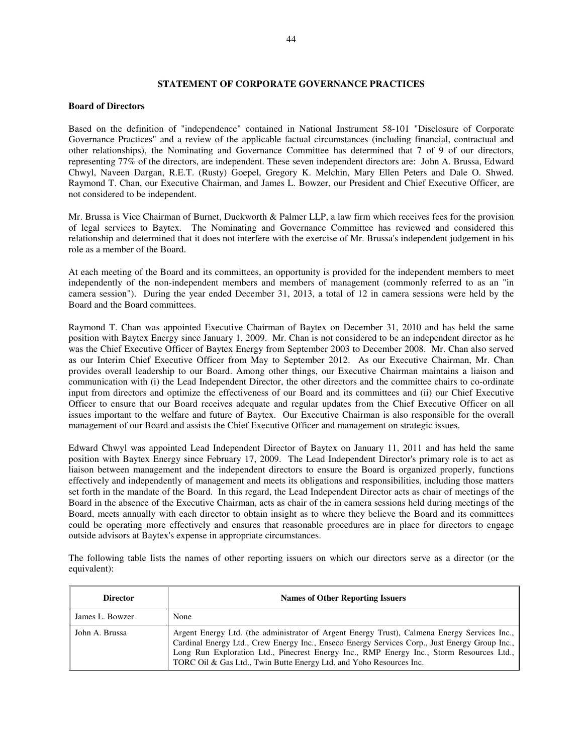# **STATEMENT OF CORPORATE GOVERNANCE PRACTICES**

#### **Board of Directors**

Based on the definition of "independence" contained in National Instrument 58-101 "Disclosure of Corporate Governance Practices" and a review of the applicable factual circumstances (including financial, contractual and other relationships), the Nominating and Governance Committee has determined that 7 of 9 of our directors, representing 77% of the directors, are independent. These seven independent directors are: John A. Brussa, Edward Chwyl, Naveen Dargan, R.E.T. (Rusty) Goepel, Gregory K. Melchin, Mary Ellen Peters and Dale O. Shwed. Raymond T. Chan, our Executive Chairman, and James L. Bowzer, our President and Chief Executive Officer, are not considered to be independent.

Mr. Brussa is Vice Chairman of Burnet, Duckworth & Palmer LLP, a law firm which receives fees for the provision of legal services to Baytex. The Nominating and Governance Committee has reviewed and considered this relationship and determined that it does not interfere with the exercise of Mr. Brussa's independent judgement in his role as a member of the Board.

At each meeting of the Board and its committees, an opportunity is provided for the independent members to meet independently of the non-independent members and members of management (commonly referred to as an "in camera session"). During the year ended December 31, 2013, a total of 12 in camera sessions were held by the Board and the Board committees.

Raymond T. Chan was appointed Executive Chairman of Baytex on December 31, 2010 and has held the same position with Baytex Energy since January 1, 2009. Mr. Chan is not considered to be an independent director as he was the Chief Executive Officer of Baytex Energy from September 2003 to December 2008. Mr. Chan also served as our Interim Chief Executive Officer from May to September 2012. As our Executive Chairman, Mr. Chan provides overall leadership to our Board. Among other things, our Executive Chairman maintains a liaison and communication with (i) the Lead Independent Director, the other directors and the committee chairs to co-ordinate input from directors and optimize the effectiveness of our Board and its committees and (ii) our Chief Executive Officer to ensure that our Board receives adequate and regular updates from the Chief Executive Officer on all issues important to the welfare and future of Baytex. Our Executive Chairman is also responsible for the overall management of our Board and assists the Chief Executive Officer and management on strategic issues.

Edward Chwyl was appointed Lead Independent Director of Baytex on January 11, 2011 and has held the same position with Baytex Energy since February 17, 2009. The Lead Independent Director's primary role is to act as liaison between management and the independent directors to ensure the Board is organized properly, functions effectively and independently of management and meets its obligations and responsibilities, including those matters set forth in the mandate of the Board. In this regard, the Lead Independent Director acts as chair of meetings of the Board in the absence of the Executive Chairman, acts as chair of the in camera sessions held during meetings of the Board, meets annually with each director to obtain insight as to where they believe the Board and its committees could be operating more effectively and ensures that reasonable procedures are in place for directors to engage outside advisors at Baytex's expense in appropriate circumstances.

The following table lists the names of other reporting issuers on which our directors serve as a director (or the equivalent):

| <b>Director</b> | <b>Names of Other Reporting Issuers</b>                                                                                                                                                                                                                                                                                                                          |
|-----------------|------------------------------------------------------------------------------------------------------------------------------------------------------------------------------------------------------------------------------------------------------------------------------------------------------------------------------------------------------------------|
| James L. Bowzer | None                                                                                                                                                                                                                                                                                                                                                             |
| John A. Brussa  | Argent Energy Ltd. (the administrator of Argent Energy Trust), Calmena Energy Services Inc.,<br>Cardinal Energy Ltd., Crew Energy Inc., Enseco Energy Services Corp., Just Energy Group Inc.,<br>Long Run Exploration Ltd., Pinecrest Energy Inc., RMP Energy Inc., Storm Resources Ltd.,<br>TORC Oil & Gas Ltd., Twin Butte Energy Ltd. and Yoho Resources Inc. |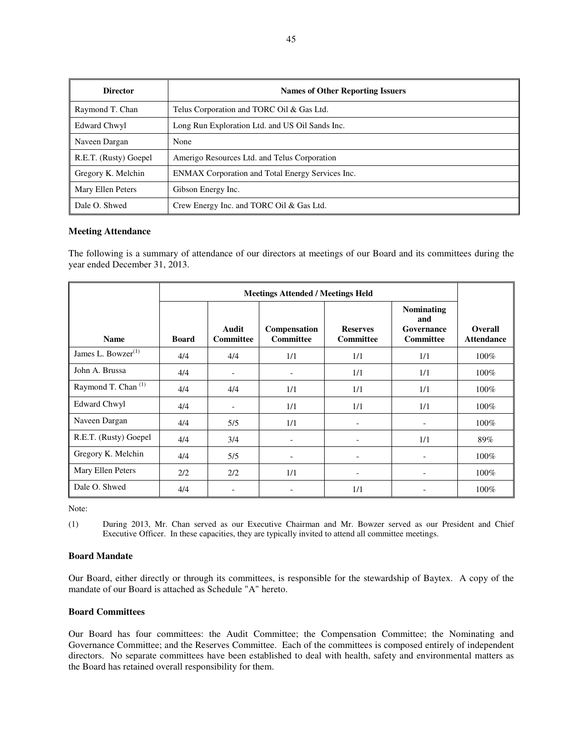| <b>Director</b>       | <b>Names of Other Reporting Issuers</b>          |
|-----------------------|--------------------------------------------------|
| Raymond T. Chan       | Telus Corporation and TORC Oil & Gas Ltd.        |
| <b>Edward Chwyl</b>   | Long Run Exploration Ltd. and US Oil Sands Inc.  |
| Naveen Dargan         | None                                             |
| R.E.T. (Rusty) Goepel | Amerigo Resources Ltd. and Telus Corporation     |
| Gregory K. Melchin    | ENMAX Corporation and Total Energy Services Inc. |
| Mary Ellen Peters     | Gibson Energy Inc.                               |
| Dale O. Shwed         | Crew Energy Inc. and TORC Oil & Gas Ltd.         |

# **Meeting Attendance**

The following is a summary of attendance of our directors at meetings of our Board and its committees during the year ended December 31, 2013.

| <b>Name</b>                    | <b>Board</b> | Audit<br><b>Committee</b> | Compensation<br><b>Committee</b> | <b>Reserves</b><br><b>Committee</b> | <b>Nominating</b><br>and<br>Governance<br><b>Committee</b> | Overall<br><b>Attendance</b> |
|--------------------------------|--------------|---------------------------|----------------------------------|-------------------------------------|------------------------------------------------------------|------------------------------|
| James L. Bowzer <sup>(1)</sup> | 4/4          | 4/4                       | 1/1                              | 1/1                                 | 1/1                                                        | $100\%$                      |
| John A. Brussa                 | 4/4          |                           | $\overline{\phantom{a}}$         | 1/1                                 | 1/1                                                        | $100\%$                      |
| Raymond T. Chan <sup>(1)</sup> | 4/4          | 4/4                       | 1/1                              | 1/1                                 | 1/1                                                        | 100%                         |
| Edward Chwyl                   | 4/4          | $\overline{\phantom{a}}$  | 1/1                              | 1/1                                 | 1/1                                                        | $100\%$                      |
| Naveen Dargan                  | 4/4          | 5/5                       | 1/1                              | $\qquad \qquad$                     |                                                            | 100%                         |
| R.E.T. (Rusty) Goepel          | 4/4          | 3/4                       | $\overline{\phantom{a}}$         | $\overline{\phantom{0}}$            | 1/1                                                        | 89%                          |
| Gregory K. Melchin             | 4/4          | 5/5                       | $\overline{\phantom{a}}$         | $\qquad \qquad$                     | -                                                          | 100%                         |
| Mary Ellen Peters              | 2/2          | 2/2                       | 1/1                              | $\qquad \qquad$                     |                                                            | 100%                         |
| Dale O. Shwed                  | 4/4          |                           | $\overline{\phantom{a}}$         | 1/1                                 |                                                            | 100%                         |

Note:

(1) During 2013, Mr. Chan served as our Executive Chairman and Mr. Bowzer served as our President and Chief Executive Officer. In these capacities, they are typically invited to attend all committee meetings.

# **Board Mandate**

Our Board, either directly or through its committees, is responsible for the stewardship of Baytex. A copy of the mandate of our Board is attached as Schedule "A" hereto.

#### **Board Committees**

Our Board has four committees: the Audit Committee; the Compensation Committee; the Nominating and Governance Committee; and the Reserves Committee. Each of the committees is composed entirely of independent directors. No separate committees have been established to deal with health, safety and environmental matters as the Board has retained overall responsibility for them.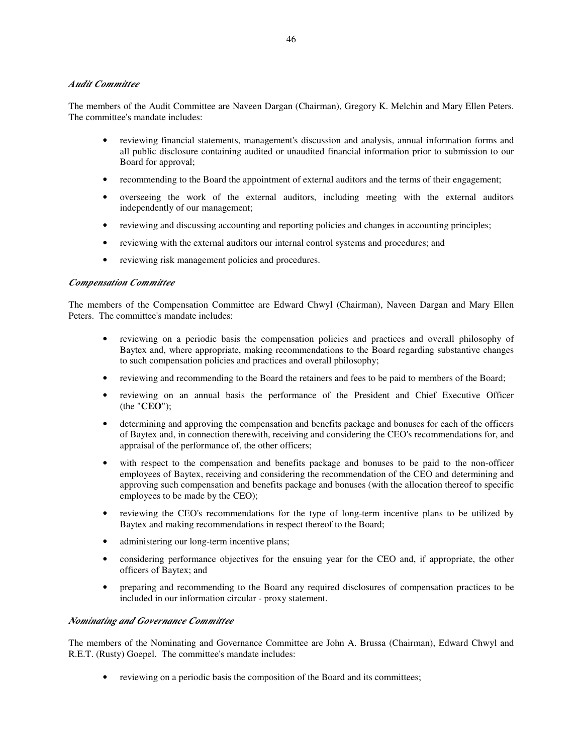# *Audit Committee*

The members of the Audit Committee are Naveen Dargan (Chairman), Gregory K. Melchin and Mary Ellen Peters. The committee's mandate includes:

- reviewing financial statements, management's discussion and analysis, annual information forms and all public disclosure containing audited or unaudited financial information prior to submission to our Board for approval;
- recommending to the Board the appointment of external auditors and the terms of their engagement;
- overseeing the work of the external auditors, including meeting with the external auditors independently of our management;
- reviewing and discussing accounting and reporting policies and changes in accounting principles;
- reviewing with the external auditors our internal control systems and procedures; and
- reviewing risk management policies and procedures.

# *Compensation Committee*

The members of the Compensation Committee are Edward Chwyl (Chairman), Naveen Dargan and Mary Ellen Peters. The committee's mandate includes:

- reviewing on a periodic basis the compensation policies and practices and overall philosophy of Baytex and, where appropriate, making recommendations to the Board regarding substantive changes to such compensation policies and practices and overall philosophy;
- reviewing and recommending to the Board the retainers and fees to be paid to members of the Board;
- reviewing on an annual basis the performance of the President and Chief Executive Officer (the "**CEO**");
- determining and approving the compensation and benefits package and bonuses for each of the officers of Baytex and, in connection therewith, receiving and considering the CEO's recommendations for, and appraisal of the performance of, the other officers;
- with respect to the compensation and benefits package and bonuses to be paid to the non-officer employees of Baytex, receiving and considering the recommendation of the CEO and determining and approving such compensation and benefits package and bonuses (with the allocation thereof to specific employees to be made by the CEO);
- reviewing the CEO's recommendations for the type of long-term incentive plans to be utilized by Baytex and making recommendations in respect thereof to the Board;
- administering our long-term incentive plans;
- considering performance objectives for the ensuing year for the CEO and, if appropriate, the other officers of Baytex; and
- preparing and recommending to the Board any required disclosures of compensation practices to be included in our information circular - proxy statement.

# *Nominating and Governance Committee*

The members of the Nominating and Governance Committee are John A. Brussa (Chairman), Edward Chwyl and R.E.T. (Rusty) Goepel. The committee's mandate includes:

• reviewing on a periodic basis the composition of the Board and its committees;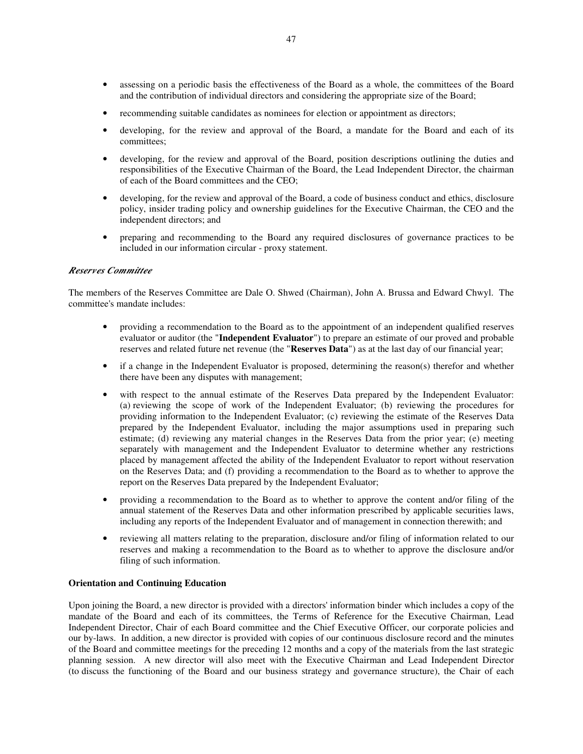- assessing on a periodic basis the effectiveness of the Board as a whole, the committees of the Board and the contribution of individual directors and considering the appropriate size of the Board;
- recommending suitable candidates as nominees for election or appointment as directors;
- developing, for the review and approval of the Board, a mandate for the Board and each of its committees;
- developing, for the review and approval of the Board, position descriptions outlining the duties and responsibilities of the Executive Chairman of the Board, the Lead Independent Director, the chairman of each of the Board committees and the CEO;
- developing, for the review and approval of the Board, a code of business conduct and ethics, disclosure policy, insider trading policy and ownership guidelines for the Executive Chairman, the CEO and the independent directors; and
- preparing and recommending to the Board any required disclosures of governance practices to be included in our information circular - proxy statement.

#### *Reserves Committee*

The members of the Reserves Committee are Dale O. Shwed (Chairman), John A. Brussa and Edward Chwyl. The committee's mandate includes:

- providing a recommendation to the Board as to the appointment of an independent qualified reserves evaluator or auditor (the "**Independent Evaluator**") to prepare an estimate of our proved and probable reserves and related future net revenue (the "**Reserves Data**") as at the last day of our financial year;
- if a change in the Independent Evaluator is proposed, determining the reason(s) therefor and whether there have been any disputes with management;
- with respect to the annual estimate of the Reserves Data prepared by the Independent Evaluator: (a) reviewing the scope of work of the Independent Evaluator; (b) reviewing the procedures for providing information to the Independent Evaluator; (c) reviewing the estimate of the Reserves Data prepared by the Independent Evaluator, including the major assumptions used in preparing such estimate; (d) reviewing any material changes in the Reserves Data from the prior year; (e) meeting separately with management and the Independent Evaluator to determine whether any restrictions placed by management affected the ability of the Independent Evaluator to report without reservation on the Reserves Data; and (f) providing a recommendation to the Board as to whether to approve the report on the Reserves Data prepared by the Independent Evaluator;
- providing a recommendation to the Board as to whether to approve the content and/or filing of the annual statement of the Reserves Data and other information prescribed by applicable securities laws, including any reports of the Independent Evaluator and of management in connection therewith; and
- reviewing all matters relating to the preparation, disclosure and/or filing of information related to our reserves and making a recommendation to the Board as to whether to approve the disclosure and/or filing of such information.

# **Orientation and Continuing Education**

Upon joining the Board, a new director is provided with a directors' information binder which includes a copy of the mandate of the Board and each of its committees, the Terms of Reference for the Executive Chairman, Lead Independent Director, Chair of each Board committee and the Chief Executive Officer, our corporate policies and our by-laws. In addition, a new director is provided with copies of our continuous disclosure record and the minutes of the Board and committee meetings for the preceding 12 months and a copy of the materials from the last strategic planning session. A new director will also meet with the Executive Chairman and Lead Independent Director (to discuss the functioning of the Board and our business strategy and governance structure), the Chair of each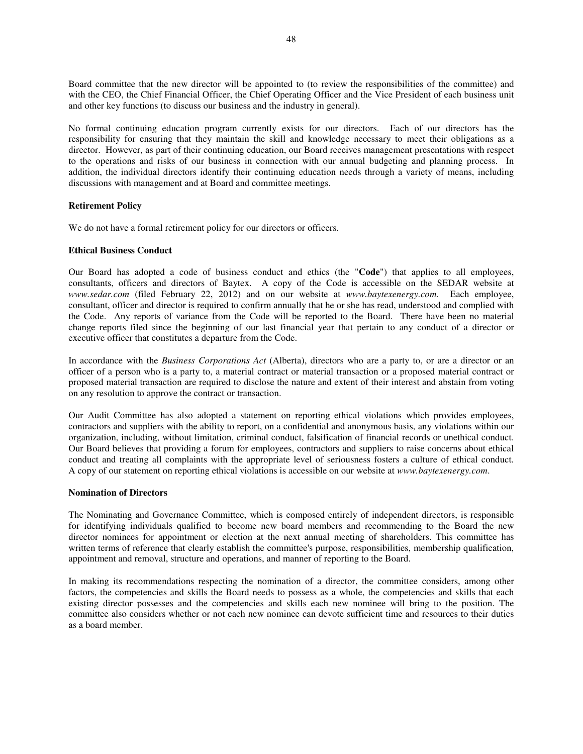Board committee that the new director will be appointed to (to review the responsibilities of the committee) and with the CEO, the Chief Financial Officer, the Chief Operating Officer and the Vice President of each business unit and other key functions (to discuss our business and the industry in general).

No formal continuing education program currently exists for our directors. Each of our directors has the responsibility for ensuring that they maintain the skill and knowledge necessary to meet their obligations as a director. However, as part of their continuing education, our Board receives management presentations with respect to the operations and risks of our business in connection with our annual budgeting and planning process. In addition, the individual directors identify their continuing education needs through a variety of means, including discussions with management and at Board and committee meetings.

# **Retirement Policy**

We do not have a formal retirement policy for our directors or officers.

# **Ethical Business Conduct**

Our Board has adopted a code of business conduct and ethics (the "**Code**") that applies to all employees, consultants, officers and directors of Baytex. A copy of the Code is accessible on the SEDAR website at *www.sedar.com* (filed February 22, 2012) and on our website at *www.baytexenergy.com*. Each employee, consultant, officer and director is required to confirm annually that he or she has read, understood and complied with the Code. Any reports of variance from the Code will be reported to the Board. There have been no material change reports filed since the beginning of our last financial year that pertain to any conduct of a director or executive officer that constitutes a departure from the Code.

In accordance with the *Business Corporations Act* (Alberta), directors who are a party to, or are a director or an officer of a person who is a party to, a material contract or material transaction or a proposed material contract or proposed material transaction are required to disclose the nature and extent of their interest and abstain from voting on any resolution to approve the contract or transaction.

Our Audit Committee has also adopted a statement on reporting ethical violations which provides employees, contractors and suppliers with the ability to report, on a confidential and anonymous basis, any violations within our organization, including, without limitation, criminal conduct, falsification of financial records or unethical conduct. Our Board believes that providing a forum for employees, contractors and suppliers to raise concerns about ethical conduct and treating all complaints with the appropriate level of seriousness fosters a culture of ethical conduct. A copy of our statement on reporting ethical violations is accessible on our website at *www.baytexenergy.com*.

# **Nomination of Directors**

The Nominating and Governance Committee, which is composed entirely of independent directors, is responsible for identifying individuals qualified to become new board members and recommending to the Board the new director nominees for appointment or election at the next annual meeting of shareholders. This committee has written terms of reference that clearly establish the committee's purpose, responsibilities, membership qualification, appointment and removal, structure and operations, and manner of reporting to the Board.

In making its recommendations respecting the nomination of a director, the committee considers, among other factors, the competencies and skills the Board needs to possess as a whole, the competencies and skills that each existing director possesses and the competencies and skills each new nominee will bring to the position. The committee also considers whether or not each new nominee can devote sufficient time and resources to their duties as a board member.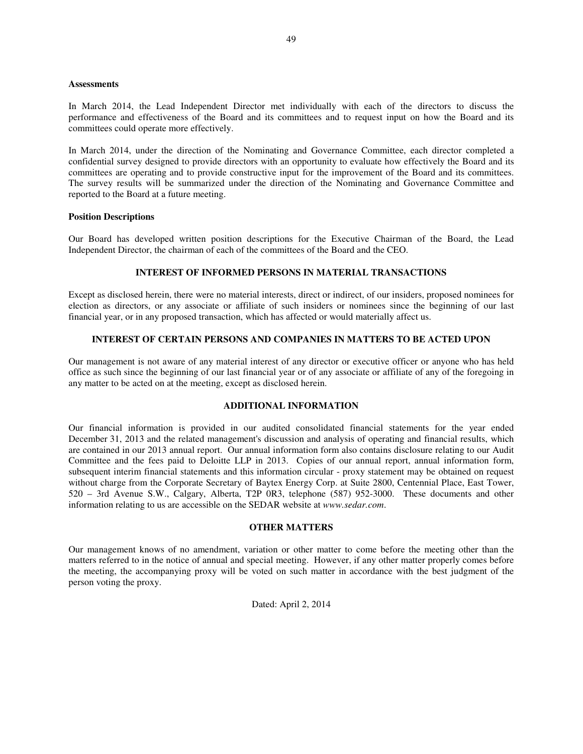#### **Assessments**

In March 2014, the Lead Independent Director met individually with each of the directors to discuss the performance and effectiveness of the Board and its committees and to request input on how the Board and its committees could operate more effectively.

In March 2014, under the direction of the Nominating and Governance Committee, each director completed a confidential survey designed to provide directors with an opportunity to evaluate how effectively the Board and its committees are operating and to provide constructive input for the improvement of the Board and its committees. The survey results will be summarized under the direction of the Nominating and Governance Committee and reported to the Board at a future meeting.

#### **Position Descriptions**

Our Board has developed written position descriptions for the Executive Chairman of the Board, the Lead Independent Director, the chairman of each of the committees of the Board and the CEO.

# **INTEREST OF INFORMED PERSONS IN MATERIAL TRANSACTIONS**

Except as disclosed herein, there were no material interests, direct or indirect, of our insiders, proposed nominees for election as directors, or any associate or affiliate of such insiders or nominees since the beginning of our last financial year, or in any proposed transaction, which has affected or would materially affect us.

# **INTEREST OF CERTAIN PERSONS AND COMPANIES IN MATTERS TO BE ACTED UPON**

Our management is not aware of any material interest of any director or executive officer or anyone who has held office as such since the beginning of our last financial year or of any associate or affiliate of any of the foregoing in any matter to be acted on at the meeting, except as disclosed herein.

# **ADDITIONAL INFORMATION**

Our financial information is provided in our audited consolidated financial statements for the year ended December 31, 2013 and the related management's discussion and analysis of operating and financial results, which are contained in our 2013 annual report. Our annual information form also contains disclosure relating to our Audit Committee and the fees paid to Deloitte LLP in 2013. Copies of our annual report, annual information form, subsequent interim financial statements and this information circular - proxy statement may be obtained on request without charge from the Corporate Secretary of Baytex Energy Corp. at Suite 2800, Centennial Place, East Tower, 520 – 3rd Avenue S.W., Calgary, Alberta, T2P 0R3, telephone (587) 952-3000. These documents and other information relating to us are accessible on the SEDAR website at *www.sedar.com*.

#### **OTHER MATTERS**

Our management knows of no amendment, variation or other matter to come before the meeting other than the matters referred to in the notice of annual and special meeting. However, if any other matter properly comes before the meeting, the accompanying proxy will be voted on such matter in accordance with the best judgment of the person voting the proxy.

Dated: April 2, 2014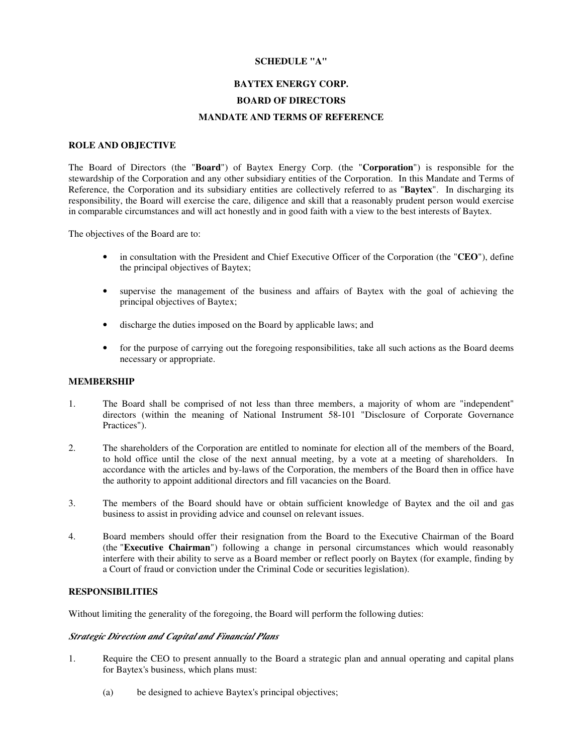# **SCHEDULE "A"**

# **BAYTEX ENERGY CORP.**

# **BOARD OF DIRECTORS**

#### **MANDATE AND TERMS OF REFERENCE**

#### **ROLE AND OBJECTIVE**

The Board of Directors (the "**Board**") of Baytex Energy Corp. (the "**Corporation**") is responsible for the stewardship of the Corporation and any other subsidiary entities of the Corporation. In this Mandate and Terms of Reference, the Corporation and its subsidiary entities are collectively referred to as "**Baytex**". In discharging its responsibility, the Board will exercise the care, diligence and skill that a reasonably prudent person would exercise in comparable circumstances and will act honestly and in good faith with a view to the best interests of Baytex.

The objectives of the Board are to:

- in consultation with the President and Chief Executive Officer of the Corporation (the "**CEO**"), define the principal objectives of Baytex;
- supervise the management of the business and affairs of Baytex with the goal of achieving the principal objectives of Baytex;
- discharge the duties imposed on the Board by applicable laws; and
- for the purpose of carrying out the foregoing responsibilities, take all such actions as the Board deems necessary or appropriate.

# **MEMBERSHIP**

- 1. The Board shall be comprised of not less than three members, a majority of whom are "independent" directors (within the meaning of National Instrument 58-101 "Disclosure of Corporate Governance Practices").
- 2. The shareholders of the Corporation are entitled to nominate for election all of the members of the Board, to hold office until the close of the next annual meeting, by a vote at a meeting of shareholders. In accordance with the articles and by-laws of the Corporation, the members of the Board then in office have the authority to appoint additional directors and fill vacancies on the Board.
- 3. The members of the Board should have or obtain sufficient knowledge of Baytex and the oil and gas business to assist in providing advice and counsel on relevant issues.
- 4. Board members should offer their resignation from the Board to the Executive Chairman of the Board (the "**Executive Chairman**") following a change in personal circumstances which would reasonably interfere with their ability to serve as a Board member or reflect poorly on Baytex (for example, finding by a Court of fraud or conviction under the Criminal Code or securities legislation).

# **RESPONSIBILITIES**

Without limiting the generality of the foregoing, the Board will perform the following duties:

# *Strategic Direction and Capital and Financial Plans*

- 1. Require the CEO to present annually to the Board a strategic plan and annual operating and capital plans for Baytex's business, which plans must:
	- (a) be designed to achieve Baytex's principal objectives;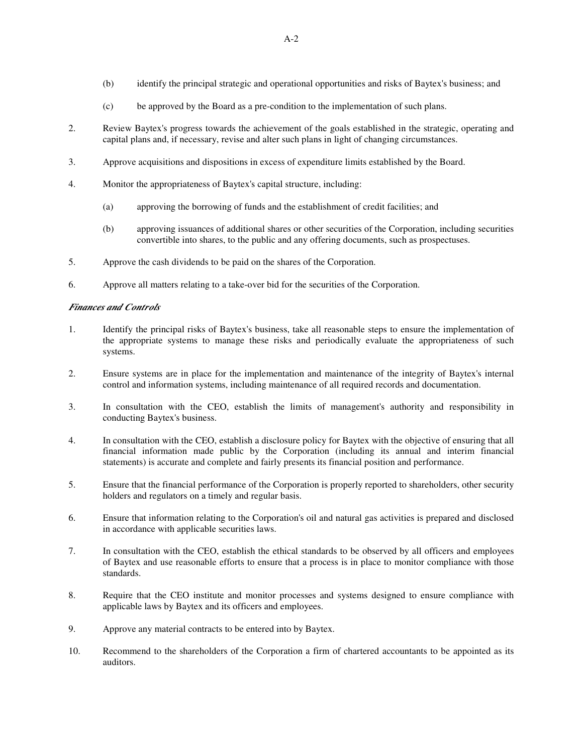- (b) identify the principal strategic and operational opportunities and risks of Baytex's business; and
- (c) be approved by the Board as a pre-condition to the implementation of such plans.
- 2. Review Baytex's progress towards the achievement of the goals established in the strategic, operating and capital plans and, if necessary, revise and alter such plans in light of changing circumstances.
- 3. Approve acquisitions and dispositions in excess of expenditure limits established by the Board.
- 4. Monitor the appropriateness of Baytex's capital structure, including:
	- (a) approving the borrowing of funds and the establishment of credit facilities; and
	- (b) approving issuances of additional shares or other securities of the Corporation, including securities convertible into shares, to the public and any offering documents, such as prospectuses.
- 5. Approve the cash dividends to be paid on the shares of the Corporation.
- 6. Approve all matters relating to a take-over bid for the securities of the Corporation.

# *Finances and Controls*

- 1. Identify the principal risks of Baytex's business, take all reasonable steps to ensure the implementation of the appropriate systems to manage these risks and periodically evaluate the appropriateness of such systems.
- 2. Ensure systems are in place for the implementation and maintenance of the integrity of Baytex's internal control and information systems, including maintenance of all required records and documentation.
- 3. In consultation with the CEO, establish the limits of management's authority and responsibility in conducting Baytex's business.
- 4. In consultation with the CEO, establish a disclosure policy for Baytex with the objective of ensuring that all financial information made public by the Corporation (including its annual and interim financial statements) is accurate and complete and fairly presents its financial position and performance.
- 5. Ensure that the financial performance of the Corporation is properly reported to shareholders, other security holders and regulators on a timely and regular basis.
- 6. Ensure that information relating to the Corporation's oil and natural gas activities is prepared and disclosed in accordance with applicable securities laws.
- 7. In consultation with the CEO, establish the ethical standards to be observed by all officers and employees of Baytex and use reasonable efforts to ensure that a process is in place to monitor compliance with those standards.
- 8. Require that the CEO institute and monitor processes and systems designed to ensure compliance with applicable laws by Baytex and its officers and employees.
- 9. Approve any material contracts to be entered into by Baytex.
- 10. Recommend to the shareholders of the Corporation a firm of chartered accountants to be appointed as its auditors.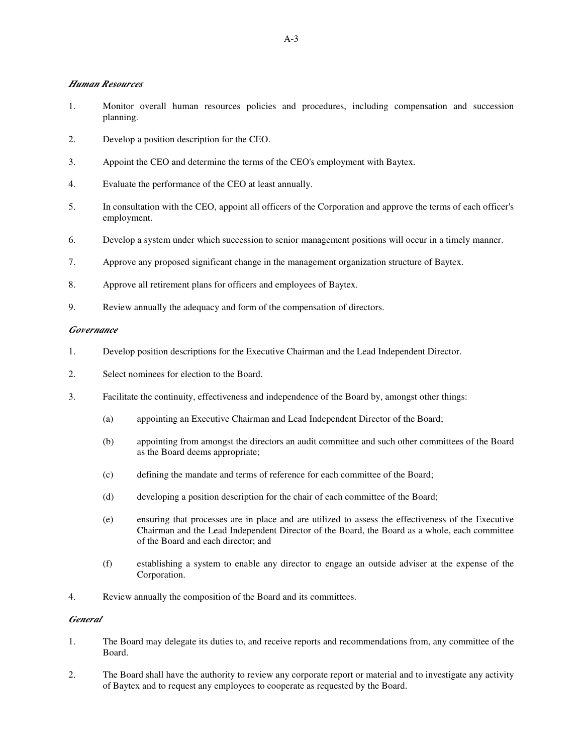# *Human Resources*

- 1. Monitor overall human resources policies and procedures, including compensation and succession planning.
- 2. Develop a position description for the CEO.
- 3. Appoint the CEO and determine the terms of the CEO's employment with Baytex.
- 4. Evaluate the performance of the CEO at least annually.
- 5. In consultation with the CEO, appoint all officers of the Corporation and approve the terms of each officer's employment.
- 6. Develop a system under which succession to senior management positions will occur in a timely manner.
- 7. Approve any proposed significant change in the management organization structure of Baytex.
- 8. Approve all retirement plans for officers and employees of Baytex.
- 9. Review annually the adequacy and form of the compensation of directors.

#### *Governance*

- 1. Develop position descriptions for the Executive Chairman and the Lead Independent Director.
- 2. Select nominees for election to the Board.
- 3. Facilitate the continuity, effectiveness and independence of the Board by, amongst other things:
	- (a) appointing an Executive Chairman and Lead Independent Director of the Board;
	- (b) appointing from amongst the directors an audit committee and such other committees of the Board as the Board deems appropriate;
	- (c) defining the mandate and terms of reference for each committee of the Board;
	- (d) developing a position description for the chair of each committee of the Board;
	- (e) ensuring that processes are in place and are utilized to assess the effectiveness of the Executive Chairman and the Lead Independent Director of the Board, the Board as a whole, each committee of the Board and each director; and
	- (f) establishing a system to enable any director to engage an outside adviser at the expense of the Corporation.
- 4. Review annually the composition of the Board and its committees.

# *General*

- 1. The Board may delegate its duties to, and receive reports and recommendations from, any committee of the Board.
- 2. The Board shall have the authority to review any corporate report or material and to investigate any activity of Baytex and to request any employees to cooperate as requested by the Board.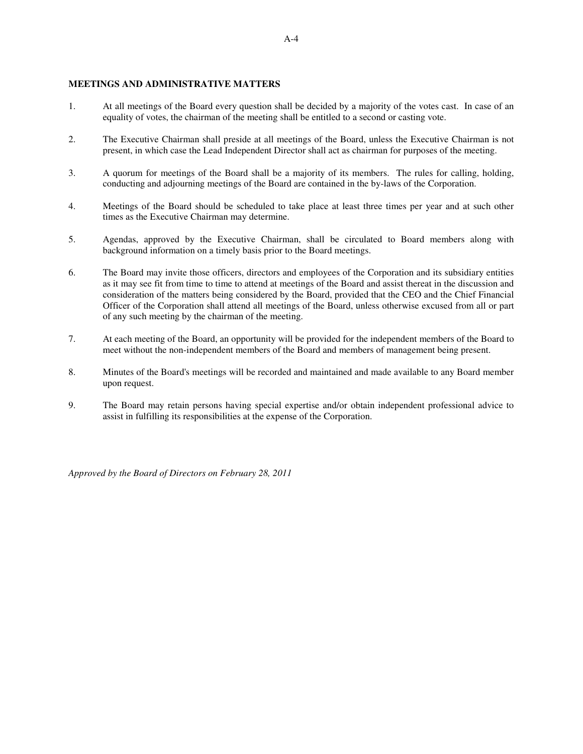# **MEETINGS AND ADMINISTRATIVE MATTERS**

- 1. At all meetings of the Board every question shall be decided by a majority of the votes cast. In case of an equality of votes, the chairman of the meeting shall be entitled to a second or casting vote.
- 2. The Executive Chairman shall preside at all meetings of the Board, unless the Executive Chairman is not present, in which case the Lead Independent Director shall act as chairman for purposes of the meeting.
- 3. A quorum for meetings of the Board shall be a majority of its members. The rules for calling, holding, conducting and adjourning meetings of the Board are contained in the by-laws of the Corporation.
- 4. Meetings of the Board should be scheduled to take place at least three times per year and at such other times as the Executive Chairman may determine.
- 5. Agendas, approved by the Executive Chairman, shall be circulated to Board members along with background information on a timely basis prior to the Board meetings.
- 6. The Board may invite those officers, directors and employees of the Corporation and its subsidiary entities as it may see fit from time to time to attend at meetings of the Board and assist thereat in the discussion and consideration of the matters being considered by the Board, provided that the CEO and the Chief Financial Officer of the Corporation shall attend all meetings of the Board, unless otherwise excused from all or part of any such meeting by the chairman of the meeting.
- 7. At each meeting of the Board, an opportunity will be provided for the independent members of the Board to meet without the non-independent members of the Board and members of management being present.
- 8. Minutes of the Board's meetings will be recorded and maintained and made available to any Board member upon request.
- 9. The Board may retain persons having special expertise and/or obtain independent professional advice to assist in fulfilling its responsibilities at the expense of the Corporation.

*Approved by the Board of Directors on February 28, 2011*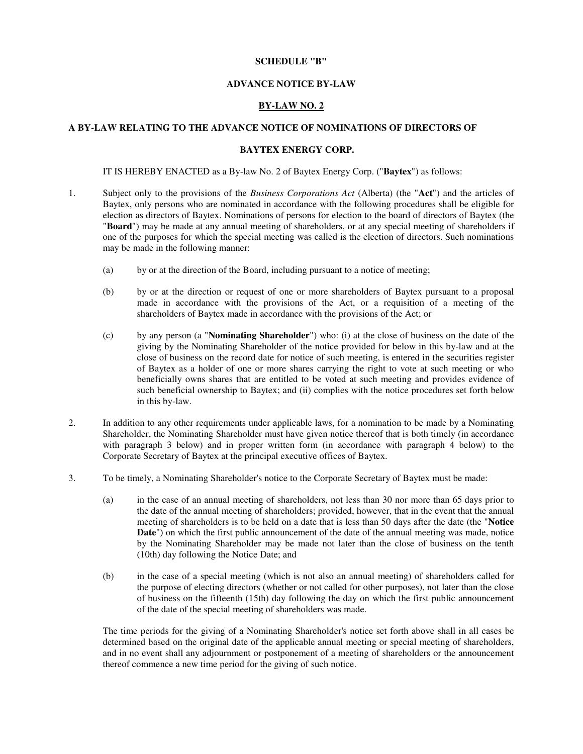#### **SCHEDULE "B"**

# **ADVANCE NOTICE BY-LAW**

# **BY-LAW NO. 2**

# **A BY-LAW RELATING TO THE ADVANCE NOTICE OF NOMINATIONS OF DIRECTORS OF**

# **BAYTEX ENERGY CORP.**

IT IS HEREBY ENACTED as a By-law No. 2 of Baytex Energy Corp. ("**Baytex**") as follows:

- 1. Subject only to the provisions of the *Business Corporations Act* (Alberta) (the "**Act**") and the articles of Baytex, only persons who are nominated in accordance with the following procedures shall be eligible for election as directors of Baytex. Nominations of persons for election to the board of directors of Baytex (the "**Board**") may be made at any annual meeting of shareholders, or at any special meeting of shareholders if one of the purposes for which the special meeting was called is the election of directors. Such nominations may be made in the following manner:
	- (a) by or at the direction of the Board, including pursuant to a notice of meeting;
	- (b) by or at the direction or request of one or more shareholders of Baytex pursuant to a proposal made in accordance with the provisions of the Act, or a requisition of a meeting of the shareholders of Baytex made in accordance with the provisions of the Act; or
	- (c) by any person (a "**Nominating Shareholder**") who: (i) at the close of business on the date of the giving by the Nominating Shareholder of the notice provided for below in this by-law and at the close of business on the record date for notice of such meeting, is entered in the securities register of Baytex as a holder of one or more shares carrying the right to vote at such meeting or who beneficially owns shares that are entitled to be voted at such meeting and provides evidence of such beneficial ownership to Baytex; and (ii) complies with the notice procedures set forth below in this by-law.
- 2. In addition to any other requirements under applicable laws, for a nomination to be made by a Nominating Shareholder, the Nominating Shareholder must have given notice thereof that is both timely (in accordance with paragraph 3 below) and in proper written form (in accordance with paragraph 4 below) to the Corporate Secretary of Baytex at the principal executive offices of Baytex.
- 3. To be timely, a Nominating Shareholder's notice to the Corporate Secretary of Baytex must be made:
	- (a) in the case of an annual meeting of shareholders, not less than 30 nor more than 65 days prior to the date of the annual meeting of shareholders; provided, however, that in the event that the annual meeting of shareholders is to be held on a date that is less than 50 days after the date (the "**Notice Date**") on which the first public announcement of the date of the annual meeting was made, notice by the Nominating Shareholder may be made not later than the close of business on the tenth (10th) day following the Notice Date; and
	- (b) in the case of a special meeting (which is not also an annual meeting) of shareholders called for the purpose of electing directors (whether or not called for other purposes), not later than the close of business on the fifteenth (15th) day following the day on which the first public announcement of the date of the special meeting of shareholders was made.

The time periods for the giving of a Nominating Shareholder's notice set forth above shall in all cases be determined based on the original date of the applicable annual meeting or special meeting of shareholders, and in no event shall any adjournment or postponement of a meeting of shareholders or the announcement thereof commence a new time period for the giving of such notice.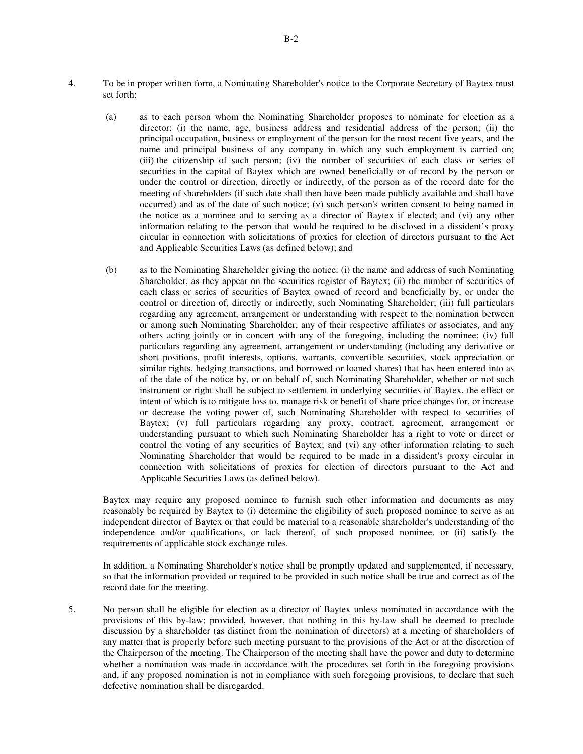set forth:

- (a) as to each person whom the Nominating Shareholder proposes to nominate for election as a director: (i) the name, age, business address and residential address of the person; (ii) the principal occupation, business or employment of the person for the most recent five years, and the name and principal business of any company in which any such employment is carried on; (iii) the citizenship of such person; (iv) the number of securities of each class or series of securities in the capital of Baytex which are owned beneficially or of record by the person or under the control or direction, directly or indirectly, of the person as of the record date for the meeting of shareholders (if such date shall then have been made publicly available and shall have occurred) and as of the date of such notice;  $(v)$  such person's written consent to being named in the notice as a nominee and to serving as a director of Baytex if elected; and (vi) any other information relating to the person that would be required to be disclosed in a dissident's proxy circular in connection with solicitations of proxies for election of directors pursuant to the Act and Applicable Securities Laws (as defined below); and
- (b) as to the Nominating Shareholder giving the notice: (i) the name and address of such Nominating Shareholder, as they appear on the securities register of Baytex; (ii) the number of securities of each class or series of securities of Baytex owned of record and beneficially by, or under the control or direction of, directly or indirectly, such Nominating Shareholder; (iii) full particulars regarding any agreement, arrangement or understanding with respect to the nomination between or among such Nominating Shareholder, any of their respective affiliates or associates, and any others acting jointly or in concert with any of the foregoing, including the nominee; (iv) full particulars regarding any agreement, arrangement or understanding (including any derivative or short positions, profit interests, options, warrants, convertible securities, stock appreciation or similar rights, hedging transactions, and borrowed or loaned shares) that has been entered into as of the date of the notice by, or on behalf of, such Nominating Shareholder, whether or not such instrument or right shall be subject to settlement in underlying securities of Baytex, the effect or intent of which is to mitigate loss to, manage risk or benefit of share price changes for, or increase or decrease the voting power of, such Nominating Shareholder with respect to securities of Baytex; (v) full particulars regarding any proxy, contract, agreement, arrangement or understanding pursuant to which such Nominating Shareholder has a right to vote or direct or control the voting of any securities of Baytex; and (vi) any other information relating to such Nominating Shareholder that would be required to be made in a dissident's proxy circular in connection with solicitations of proxies for election of directors pursuant to the Act and Applicable Securities Laws (as defined below).

Baytex may require any proposed nominee to furnish such other information and documents as may reasonably be required by Baytex to (i) determine the eligibility of such proposed nominee to serve as an independent director of Baytex or that could be material to a reasonable shareholder's understanding of the independence and/or qualifications, or lack thereof, of such proposed nominee, or (ii) satisfy the requirements of applicable stock exchange rules.

In addition, a Nominating Shareholder's notice shall be promptly updated and supplemented, if necessary, so that the information provided or required to be provided in such notice shall be true and correct as of the record date for the meeting.

5. No person shall be eligible for election as a director of Baytex unless nominated in accordance with the provisions of this by-law; provided, however, that nothing in this by-law shall be deemed to preclude discussion by a shareholder (as distinct from the nomination of directors) at a meeting of shareholders of any matter that is properly before such meeting pursuant to the provisions of the Act or at the discretion of the Chairperson of the meeting. The Chairperson of the meeting shall have the power and duty to determine whether a nomination was made in accordance with the procedures set forth in the foregoing provisions and, if any proposed nomination is not in compliance with such foregoing provisions, to declare that such defective nomination shall be disregarded.